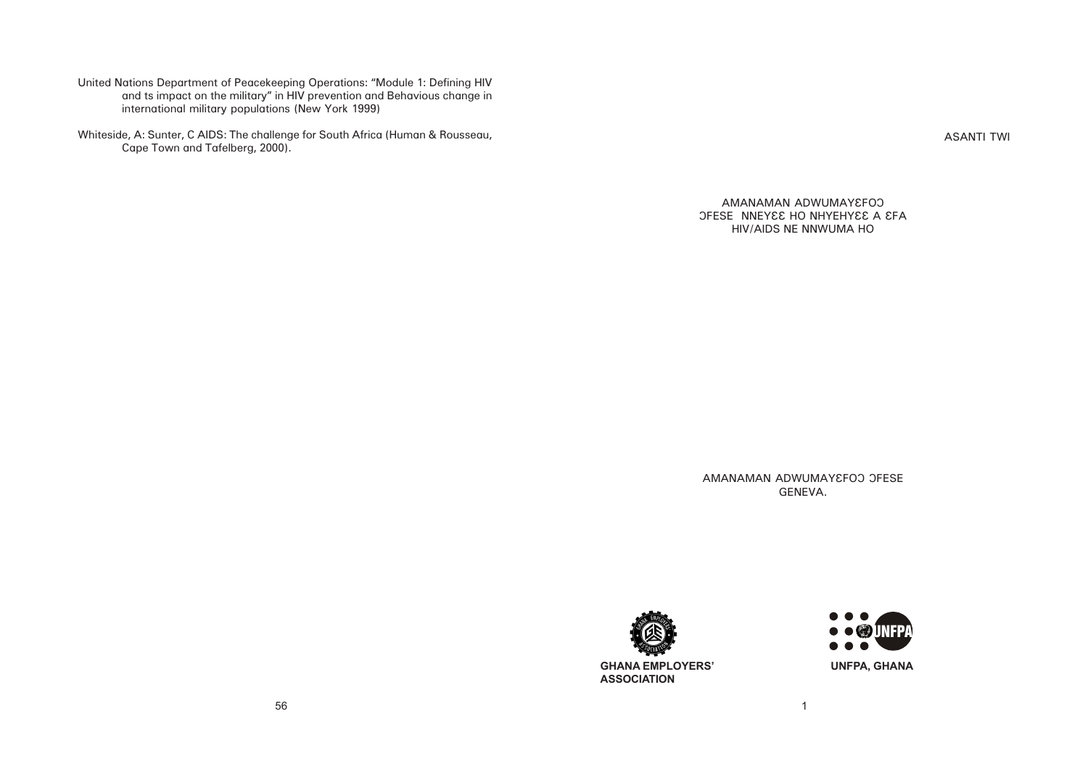ASANTI TWI

AMANAMAN ADWUMAYEFOO OFESE NNEYES HO NHYEHYES A SFA HIV/AIDS NE NNWUMA HO

AMANAMAN ADWUMAY EFOO OFESE GENEVA.

United Nations Department of Peacekeeping Operations: "Module 1: Defining HIV and ts impact on the military" in HIV prevention and Behavious change in international military populations (New York 1999)

Whiteside, A: Sunter, C AIDS: The challenge for South Africa (Human & Rousseau, Cape Town and Tafelberg, 2000).



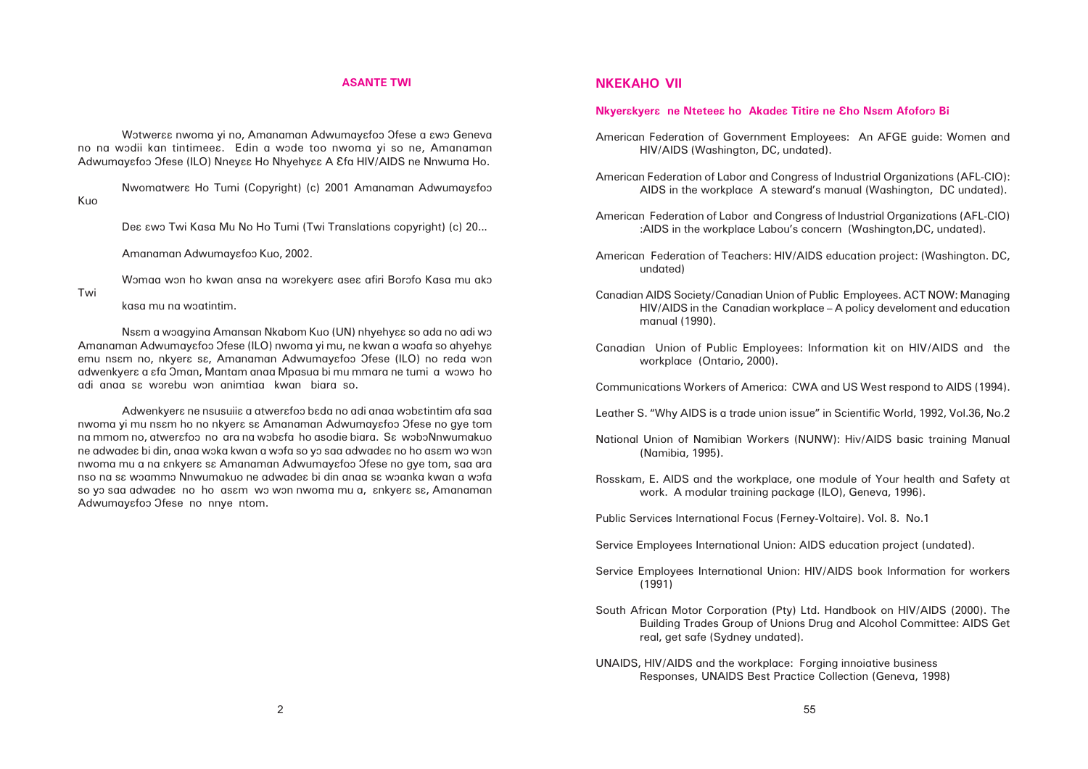#### **ASANTE TWI**

Wotweraa nwoma yi no, Amanaman Adwumayafoo Ofese a awo Geneva no na wodii kan tintimees. Edin a wode too nwoma yi so ne, Amanaman Adwumayɛfoɔ Ofese (ILO) Nneyεε Ho Nhyehyεε A εfa HIV/AIDS ne Nnwuma Ho.

Nwomatwera Ho Tumi (Copyright) (c) 2001 Amanaman Adwumayafoo Kuo

Dea awo Twi Kasa Mu No Ho Tumi (Twi Translations copyright) (c) 20...

Amanaman Adwumayafoo Kuo, 2002.

Womaa won ho kwan ansa na worekyera asea afiri Borofo Kasa mu ako

Twi

kasa mu na woatintim.

Nsam a woagying Amansan Nkabom Kuo (UN) nhyehyaa so ada no adi wo Amanaman Adwumayɛfoɔ Ofese (ILO) nwoma yi mu, ne kwan a wɔafa so ahyehyɛ emu nsam no, nkyera sa, Amanaman Adwumayafoo Ofese (ILO) no reda won adwenkyera a afa Oman, Mantam anaa Mpasua bi mu mmara ne tumi a wowo ho adi anaa sa worebu won animtiaa kwan biara so.

Adwenkyera ne nsusuiia a atwerafoo bada no adi anaa wobatintim afa saa nwoma yi mu nsam ho no nkyera sa Amanaman Adwumayafoo Ofese no gye tom na mmom no, atwerafoo no ara na wobafa ho asodie biara. Sa woboNnwumakuo ne adwadea bi din, anaa woka kwan a wofa so yo saa adwadea no ho asam wo won nwoma mu a na  $anky$ er $\varepsilon$  s $\varepsilon$  Amanaman Adwumay $\varepsilon$ foo Ofese no gye tom, saa ara nso na sa woammo Nnwumakuo ne adwadea bi din anaa sa woanka kwan a wofa so yo saa adwadea no ho asam wo won nwoma mu a, ankyera sa, Amanaman Adwumayafoo Ofese no nnye ntom.

### **NKEKAHO VII**

# **Nkyerskyers** ne Ntetees ho Akades Titire ne Eho Nsam Afoforo Bi

American Federation of Government Employees: An AFGE guide: Women and HIV/AIDS (Washington, DC, undated).

American Federation of Labor and Congress of Industrial Organizations (AFL-CIO): AIDS in the workplace A steward's manual (Washington, DC undated).

American Federation of Labor and Congress of Industrial Organizations (AFL-CIO) :AIDS in the workplace Labou's concern (Washington,DC, undated).

American Federation of Teachers: HIV/AIDS education project: (Washington. DC, undated)

Canadian AIDS Society/Canadian Union of Public Employees. ACT NOW: Managing HIV/AIDS in the Canadian workplace – A policy develoment and education manual (1990).

Canadian Union of Public Employees: Information kit on HIV/AIDS and the workplace (Ontario, 2000).

Communications Workers of America: CWA and US West respond to AIDS (1994).

Leather S. "Why AIDS is a trade union issue" in Scientific World, 1992, Vol.36, No.2

National Union of Namibian Workers (NUNW): Hiv/AIDS basic training Manual (Namibia, 1995).

Rosskam, E. AIDS and the workplace, one module of Your health and Safety at work. A modular training package (ILO), Geneva, 1996).

Public Services International Focus (Ferney-Voltaire). Vol. 8. No.1

Service Employees International Union: AIDS education project (undated).

Service Employees International Union: HIV/AIDS book Information for workers (1991)

South African Motor Corporation (Pty) Ltd. Handbook on HIV/AIDS (2000). The Building Trades Group of Unions Drug and Alcohol Committee: AIDS Get real, get safe (Sydney undated).

UNAIDS, HIV/AIDS and the workplace: Forging innoiative business Responses, UNAIDS Best Practice Collection (Geneva, 1998)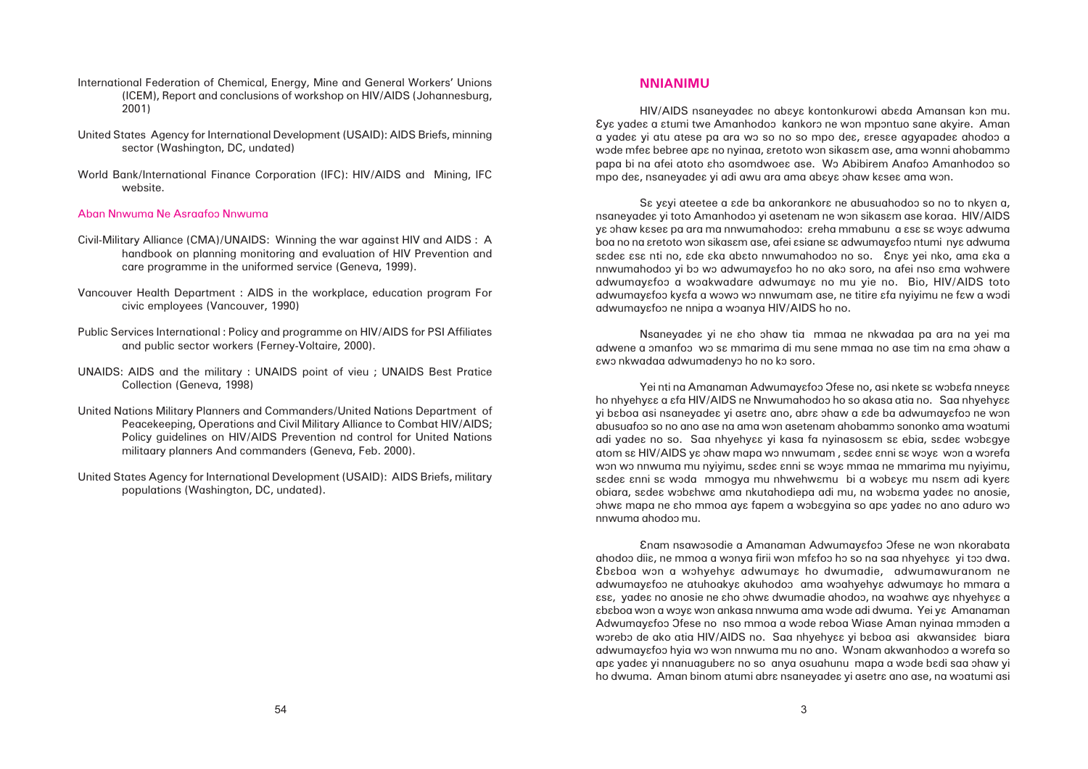# **NNIANIMU**

HIV/AIDS nsaneyades no abaya kontonkurowi abada Amansan kon mu. Âyâ yadeâ a âtumi twe Amanhodoô kankorô ne wôn mpôntuo sane akyire. Aman a yadea yi atu atese pa ara wo so no so mpo dea, aresae agyapadea ahodoo a wode mfea bebree apa no nyinaa, aretoto won sikasam ase, ama wonni ahobammo papa bi na afei atoto aho asomdwoea ase. Wo Abibirem Anafoo Amanhodoo so mpo dea, nsaneyadea yi adi awu ara ama abaya ohaw kasea ama won.

Sa yayi ateetee a ade ba ankorankora ne abusuahodoo so no to nkyan a, nsaneyadea yi toto Amanhodoo yi asetenam ne won sikasam ase koraa. HIV/AIDS ya ohaw kasea pa ara ma nnwumahodoo: areha mmabunu a asa sa woya adwuma boa no na  $a$ retoto won sikas $\epsilon$ m ase, afei  $\epsilon$ siane s $\epsilon$  adwumay $\epsilon$ foo ntumi ny $\epsilon$  adwuma sadea asa nti no, ade aka abato nnwumahodoo no so. Enya yei nko, ama aka a nnwumahodoo yi bo wo adwumayafoo ho no ako soro, na afei nso ama wohwere adwumayafoo a woakwadare adwumaya no mu yie no. Bio, HIV/AIDS toto adwumayɛfoɔ kyɛfa a wɔwɔ wɔ nnwumam ase, ne titire ɛfa nyiyimu ne fɛw a wɔdi adwumayafoo ne nnipa a woanya HIV/AIDS ho no.

Yei nti na Amanaman Adwumayɛfoɔ Əfese no, asi nkete sɛ wɔbɛfa nneyɛɛ ho nhyehyɛɛ a ɛfa HIV/AIDS ne Nnwumahodoo ho so akasa atia no. Saa nhyehyɛɛ yi baboa asi nsaneyadea yi asetra ano, abra ohaw a ade ba adwumayafoo ne won abusuafoo so no ano ase na ama won asetenam ahobammo sononko ama woatumi adi yadea no so. Saa nhyehyaa yi kasa fa nyinasosam sa ebia, sadea wobagye atom sa HIV/AIDS ya ohaw mapa wo nnwumam , sadea anni sa woya won a worefa won wo nnwuma mu nyiyimu, sadea anni sa woya mmaa ne mmarima mu nyiyimu, sadea anni sa woda mmogya mu nhwehwamu bi a wobaya mu nsam adi kyera obiara, sadea wobahwa ama nkutahodiepa adi mu, na wobama yadea no anosie, ohwa mapa ne aho mmoa aya fapem a wobagyina so apa yadea no ano aduro wo nnwuma ahodoô mu.

Enam nsawosodie a Amanaman Adwumayafoo Ofese ne won nkorabata ahodoo diia, ne mmoa a wonya firii won mfafoo ho so na saa nhyehyaa yi too dwa. Âbâboa wôn a wôhyehyâ adwumayâ ho dwumadie, adwumawuranom ne adwumayafoo ne atuhoakya akuhodoo ama woahyehya adwumaya ho mmara a  $\epsilon$ ssa, yadea no anosie ne aho ohwa dwumadie ahodoo, na woahwa aya nhyehyaa a âbâboa wôn a wôyâ wôn ankasa nnwuma ama wôde adi dwuma. Yei yâ Amanaman Adwumayafoo Ofese no nso mmoa a wode reboa Wiase Aman nyinaa mmoden a worebo de ako atia HIV/AIDS no. Saa nhyehyaa yi baboa asi akwansidea biara adwumayɛfoɔ hyia wɔ wɔn nnwuma mu no ano. Wɔnam akwanhodoɔ a wɔrefa so apa yadea yi nnanuagubera no so anya osuahunu mapa a wode badi saa ohaw vi ho dwuma. Aman binom atumi abra nsaneyadea yi asetra ano ase, na woatumi asi

Nsaneyadeâ yi ne âho ôhaw tia mmaa ne nkwadaa pa ara na yei ma adwene a omanfoo wo sa mmarima di mu sene mmaa no ase tim na ama ohaw a âwô nkwadaa adwumadenyô ho no kô soro.

- International Federation of Chemical, Energy, Mine and General Workers' Unions (ICEM), Report and conclusions of workshop on HIV/AIDS (Johannesburg, 2001)
- United States Agency for International Development (USAID): AIDS Briefs, minning sector (Washington, DC, undated)
- World Bank/International Finance Corporation (IFC): HIV/AIDS and Mining, IFC website.

### Aban Nnwuma Ne Asraafoô Nnwuma

- Civil-Military Alliance (CMA)/UNAIDS: Winning the war against HIV and AIDS : A handbook on planning monitoring and evaluation of HIV Prevention and care programme in the uniformed service (Geneva, 1999).
- Vancouver Health Department : AIDS in the workplace, education program For civic employees (Vancouver, 1990)
- Public Services International : Policy and programme on HIV/AIDS for PSI Affiliates and public sector workers (Ferney-Voltaire, 2000).
- UNAIDS: AIDS and the military : UNAIDS point of vieu ; UNAIDS Best Pratice Collection (Geneva, 1998)
- United Nations Military Planners and Commanders/United Nations Department of Peacekeeping, Operations and Civil Military Alliance to Combat HIV/AIDS; Policy guidelines on HIV/AIDS Prevention nd control for United Nations militaary planners And commanders (Geneva, Feb. 2000).
- United States Agency for International Development (USAID): AIDS Briefs, military populations (Washington, DC, undated).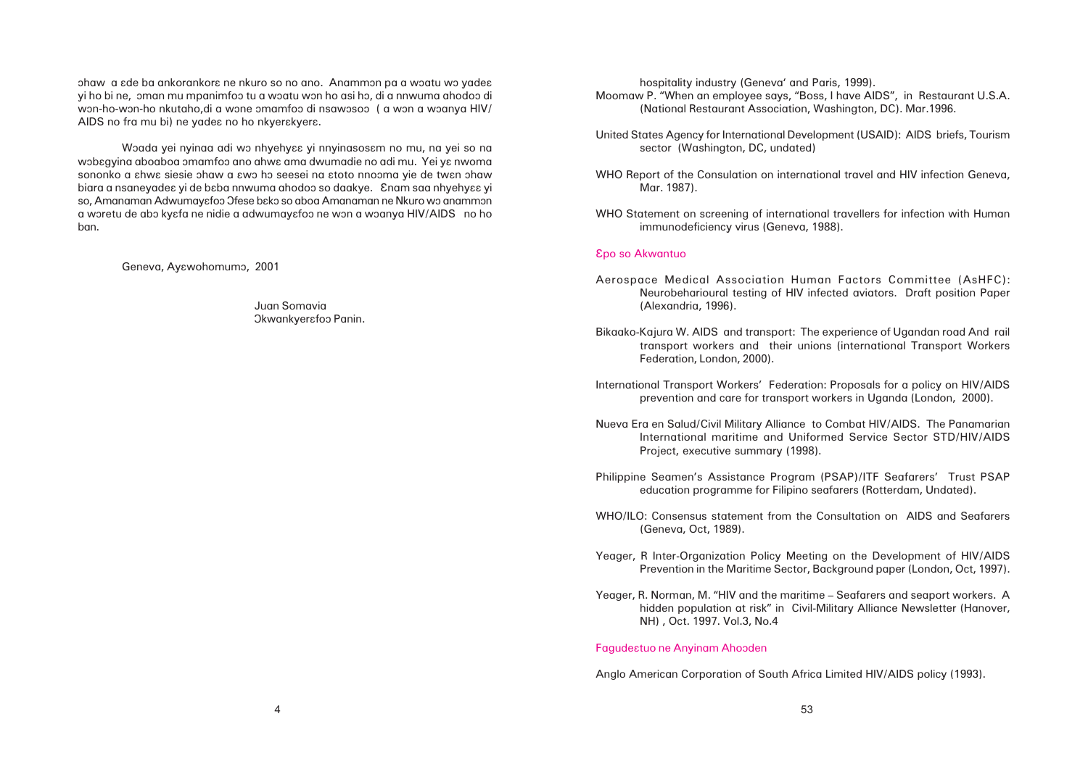ohaw a  $\epsilon$ de ba ankorankor $\epsilon$  ne nkuro so no ano. Anammon pa a woatu wo yade $\epsilon$ yi ho bi ne, oman mu mpanimfoo tu a woatu won ho asi ho, di a nnwuma ahodoo di won-ho-won-ho nkutaho,di a wone omamfoo di nsawosoo ( a won a woanya HIV/ AIDS no fra mu bi) ne yadea no ho nkyerakyera.

Woada yei nyinga adi wo nhyehyaa yi nnyinasosam no mu, na yei so na wobagyina aboaboa omamfoo ano ahwa ama dwumadie no adi mu. Yei ya nwoma sononko a ahwa siesie ohaw a awo ho seesei na atoto nnooma yie de twan ohaw biara a nsaneyadea yi de baba nnwuma ahodoo so daakye. Enam saa nhyehyaa yi so, Amanaman Adwumayɛfoɔ Ofese bɛkɔ so aboa Amanaman ne Nkuro wɔ anammɔn a woretu de abo kyafa ne nidie a adwumayafoo ne won a woanya HIV/AIDS no ho ban.

Geneva, Ayawohomumo, 2001

Juan Somavia Okwankyerafoo Panin.

hospitality industry (Geneva' and Paris, 1999). Moomaw P. "When an employee says, "Boss, I have AIDS", in Restaurant U.S.A. (National Restaurant Association, Washington, DC). Mar.1996.

United States Agency for International Development (USAID): AIDS briefs, Tourism sector (Washington, DC, undated)

WHO Report of the Consulation on international travel and HIV infection Geneva, Mar. 1987).

WHO Statement on screening of international travellers for infection with Human immunodeficiency virus (Geneva, 1988).

#### Âpo so Akwantuo

Neurobeharioural testing of HIV infected aviators. Draft position Paper

transport workers and their unions (international Transport Workers

International maritime and Uniformed Service Sector STD/HIV/AIDS

- Aerospace Medical Association Human Factors Committee (AsHFC): (Alexandria, 1996).
- Bikaako-Kajura W. AIDS and transport: The experience of Ugandan road And rail Federation, London, 2000).
- International Transport Workers' Federation: Proposals for a policy on HIV/AIDS prevention and care for transport workers in Uganda (London, 2000).
- Nueva Era en Salud/Civil Military Alliance to Combat HIV/AIDS. The Panamarian Project, executive summary (1998).
- Philippine Seamen's Assistance Program (PSAP)/ITF Seafarers' Trust PSAP education programme for Filipino seafarers (Rotterdam, Undated).
- WHO/ILO: Consensus statement from the Consultation on AIDS and Seafarers (Geneva, Oct, 1989).
- Yeager, R Inter-Organization Policy Meeting on the Development of HIV/AIDS
- Yeager, R. Norman, M. "HIV and the maritime Seafarers and seaport workers. A NH) , Oct. 1997. Vol.3, No.4

Prevention in the Maritime Sector, Background paper (London, Oct, 1997).

hidden population at risk" in Civil-Military Alliance Newsletter (Hanover,

#### Fagudeâtuo ne Anyinam Ahoôden

Anglo American Corporation of South Africa Limited HIV/AIDS policy (1993).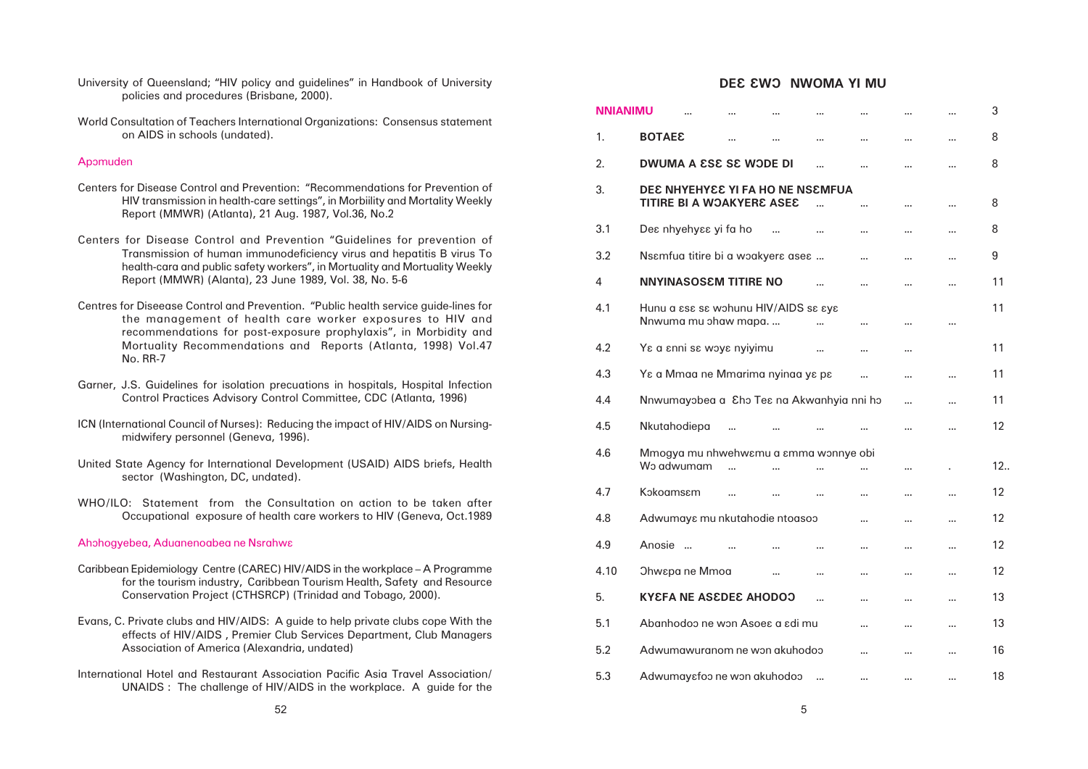| University of Queensland; "HIV policy and guidelines" in Handbook of University                                                                                                                                        |                 | <b>DEE EWO NWOMA YI MU</b>                                                  |     |
|------------------------------------------------------------------------------------------------------------------------------------------------------------------------------------------------------------------------|-----------------|-----------------------------------------------------------------------------|-----|
| policies and procedures (Brisbane, 2000).                                                                                                                                                                              | <b>NNIANIMU</b> | <b>A 10</b>                                                                 |     |
| World Consultation of Teachers International Organizations: Consensus statement<br>on AIDS in schools (undated).                                                                                                       | Ί.              | <b>BOTAE&amp;</b><br>$\sim$<br>$\sim 100$<br>$\sim 100$<br>10,000           | 8   |
| Apomuden                                                                                                                                                                                                               | 2.              | <b>DWUMA A ESE SE WODE DI</b><br>$\sim$ $\sim$                              | 8   |
| Centers for Disease Control and Prevention: "Recommendations for Prevention of<br>HIV transmission in health-care settings", in Morbiility and Mortality Weekly<br>Report (MMWR) (Atlanta), 21 Aug. 1987, Vol.36, No.2 | 3.              | DEE NHYEHYEE YI FA HO NE NSEMFUA<br>TITIRE BI A WOAKYERE ASEE<br>$\sim 100$ | 8   |
| Centers for Disease Control and Prevention "Guidelines for prevention of                                                                                                                                               | 3.1             | Des nhyehyss yi fa ho<br>$\sim$<br>$\sim 100$                               | 8   |
| Transmission of human immunodeficiency virus and hepatitis B virus To<br>health-cara and public safety workers", in Mortuality and Mortuality Weekly                                                                   | 3.2             | Nsemfua titire bi a woakyers ases<br>$\sim$ 10 $\pm$                        | 9   |
| Report (MMWR) (Alanta), 23 June 1989, Vol. 38, No. 5-6                                                                                                                                                                 | 4               | <b>NNYINASOSEM TITIRE NO</b><br>$\cdots$                                    | 11  |
| Centres for Diseease Control and Prevention. "Public health service guide-lines for<br>the management of health care worker exposures to HIV and<br>recommendations for post-exposure prophylaxis", in Morbidity and   | 4.1             | Hunu a ese se wohunu HIV/AIDS se eye<br>Nnwuma mu ohaw mapa.                | 11  |
| Mortuality Recommendations and Reports (Atlanta, 1998) Vol.47<br><b>No. RR-7</b>                                                                                                                                       | 4.2             | Ye a enni se woye nyiyimu                                                   | 11  |
| Garner, J.S. Guidelines for isolation precuations in hospitals, Hospital Infection                                                                                                                                     | 4.3             | Ye a Mmaa ne Mmarima nyinaa ye pe<br>$\cdots$                               | 11  |
| Control Practices Advisory Control Committee, CDC (Atlanta, 1996)                                                                                                                                                      | 4.4             | Nnwumayobea a Eho Tes na Akwanhyia nni ho<br>$\sim$<br>$\sim$               | 11  |
| ICN (International Council of Nurses): Reducing the impact of HIV/AIDS on Nursing-<br>midwifery personnel (Geneva, 1996).                                                                                              | 4.5             | Nkutahodiepa<br>$\ldots$<br>$\sim$ $\sim$                                   | 12  |
|                                                                                                                                                                                                                        | 4.6             | Mmogya mu nhwehwemu a emma wonnye obi                                       |     |
| United State Agency for International Development (USAID) AIDS briefs, Health<br>sector (Washington, DC, undated).                                                                                                     |                 | Wo adwumam<br>$\sim$                                                        | 12. |
| WHO/ILO: Statement from the Consultation on action to be taken after                                                                                                                                                   | 4.7             | Kokoamsem                                                                   | 12  |
| Occupational exposure of health care workers to HIV (Geneva, Oct.1989                                                                                                                                                  | 4.8             | Adwumays mu nkutahodie ntoasoo<br>$\sim 100$                                | 12  |
| Ahohogyebea, Aduanenoabea ne Nsrahwa                                                                                                                                                                                   | 4.9             | Anosie<br>$\sim$ $\sim$                                                     | 12  |
| Caribbean Epidemiology Centre (CAREC) HIV/AIDS in the workplace - A Programme<br>for the tourism industry, Caribbean Tourism Health, Safety and Resource                                                               | 4.10            | <b>Ohwepane Mmoa</b><br>$\sim 100$<br>$\sim$                                | 12  |
| Conservation Project (CTHSRCP) (Trinidad and Tobago, 2000).                                                                                                                                                            | 5.              | <b>KYEFA NE ASEDEE AHODOO</b><br>$\sim$<br>$\sim 100$<br>$\sim 100$         | 13  |
| Evans, C. Private clubs and HIV/AIDS: A guide to help private clubs cope With the<br>effects of HIV/AIDS, Premier Club Services Department, Club Managers                                                              | 5.1             | Abanhodoo ne won Asoes a sdi mu<br>$\cdots$<br>$\sim 100$                   | 13  |
| Association of America (Alexandria, undated)                                                                                                                                                                           | 5.2             | Adwumawuranom ne won akuhodoo<br>$\sim 100$<br>$\sim 100$                   | 16  |
| International Hotel and Restaurant Association Pacific Asia Travel Association/<br>UNAIDS : The challenge of HIV/AIDS in the workplace. A guide for the                                                                | 5.3             | Adwumaysfoo ne won akuhodoo<br>$\sim$                                       | 18  |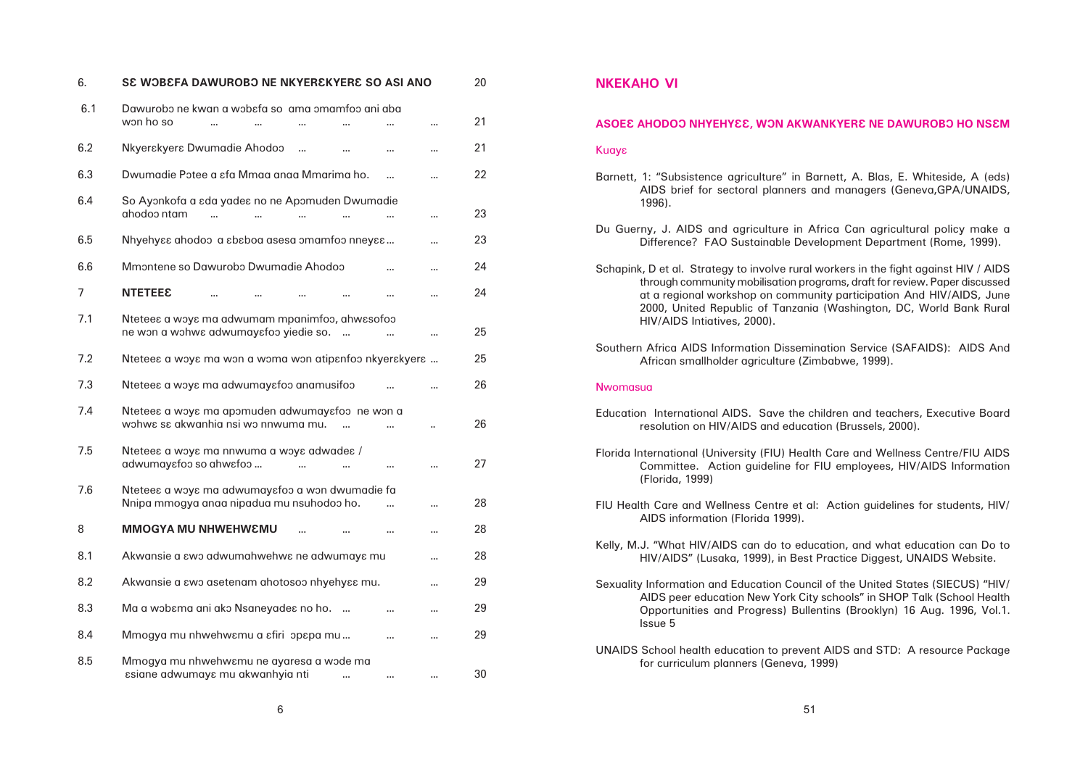| 6.  | SE WOBEFA DAWUROBO NE NKYEREKYERE SO ASI ANO                                                 |  | 20 |
|-----|----------------------------------------------------------------------------------------------|--|----|
| 6.1 | Dawurobo ne kwan a wobefa so ama omamfoo ani aba<br>won ho so                                |  | 21 |
| 6.2 | Nkyerskyers Dwumadie Ahodoo                                                                  |  | 21 |
| 6.3 | Dwumadie Potee a sfa Mmaa anaa Mmarima ho.                                                   |  | 22 |
| 6.4 | So Ayonkofa a sda yades no ne Apomuden Dwumadie<br>ahodoo ntam<br>$\ddotsc$                  |  | 23 |
| 6.5 | Mhyehyee ahodoo a ebeboa asesa omamfoo nneyee                                                |  | 23 |
| 6.6 | Mmontene so Dawurobo Dwumadie Ahodoo                                                         |  | 24 |
| 7   | <b>NTETEE&amp;</b>                                                                           |  | 24 |
| 7.1 | Ntetees a woys ma adwumam mpanimfoo, ahwssofoo<br>ne won a wohwe adwumayefoo yiedie so.      |  | 25 |
| 7.2 | Ntetees a woys ma won a woma won atipsnfoo nkyerskyers                                       |  | 25 |
| 7.3 | Ntetees a woys ma adwumaysfoo anamusifoo                                                     |  | 26 |
| 7.4 | Ntetees a woys ma apomuden adwumaysfoo ne won a<br>wohwe se akwanhia nsi wo nnwuma mu.       |  | 26 |
| 7.5 | Ntetees a woys ma nnwuma a woys adwades /<br>adwumaysfoo so ahwsfoo                          |  | 27 |
| 7.6 | Ntetees a woys ma adwumaysfoo a won dwumadie fa<br>Nnipa mmogya anaa nipadua mu nsuhodoo ho. |  | 28 |
| 8   | <b>MMOGYA MU NHWEHWEMU</b>                                                                   |  | 28 |
| 8.1 | Akwansie a zwo adwumahwehwe ne adwumaye mu                                                   |  | 28 |
| 8.2 | Akwansie a zwo asetenam ahotosoo nhyehyzz mu.                                                |  | 29 |
| 8.3 | Ma a wobema ani ako Nsaneyades no ho.                                                        |  | 29 |
| 8.4 | Mmogya mu nhwehwemu a efiri opepa mu                                                         |  | 29 |
| 8.5 | Mmogya mu nhwehwemu ne ayaresa a wode ma<br>ssiane adwumays mu akwanhyia nti                 |  | 30 |

# **NKEKAHO VI**

# ASOE AHODOO NHYEHYEE, WON AKWANKYERE NE DAWUROBO HO NSEM

#### **Kuαγε**

AIDS brief for sectoral planners and managers (Geneva,GPA/UNAIDS,

- Barnett, 1: "Subsistence agriculture" in Barnett, A. Blas, E. Whiteside, A (eds) 1996).
- Du Guerny, J. AIDS and agriculture in Africa Can agricultural policy make a Difference? FAO Sustainable Development Department (Rome, 1999).
- Schapink, D et al. Strategy to involve rural workers in the fight against HIV / AIDS HIV/AIDS Intiatives, 2000).
- Southern Africa AIDS Information Dissemination Service (SAFAIDS): AIDS And African smallholder agriculture (Zimbabwe, 1999).

#### **Nwomasua**

through community mobilisation programs, draft for review. Paper discussed at a regional workshop on community participation And HIV/AIDS, June 2000, United Republic of Tanzania (Washington, DC, World Bank Rural

Committee. Action guideline for FIU employees, HIV/AIDS Information

- Education International AIDS. Save the children and teachers, Executive Board resolution on HIV/AIDS and education (Brussels, 2000).
- Florida International (University (FIU) Health Care and Wellness Centre/FIU AIDS (Florida, 1999)
- FIU Health Care and Wellness Centre et al: Action guidelines for students, HIV/ AIDS information (Florida 1999).
- Kelly, M.J. "What HIV/AIDS can do to education, and what education can Do to HIV/AIDS" (Lusaka, 1999), in Best Practice Diggest, UNAIDS Website.
- Sexuality Information and Education Council of the United States (SIECUS) "HIV/ Issue 5
- UNAIDS School health education to prevent AIDS and STD: A resource Package for curriculum planners (Geneva, 1999)

AIDS peer education New York City schools" in SHOP Talk (School Health Opportunities and Progress) Bullentins (Brooklyn) 16 Aug. 1996, Vol.1.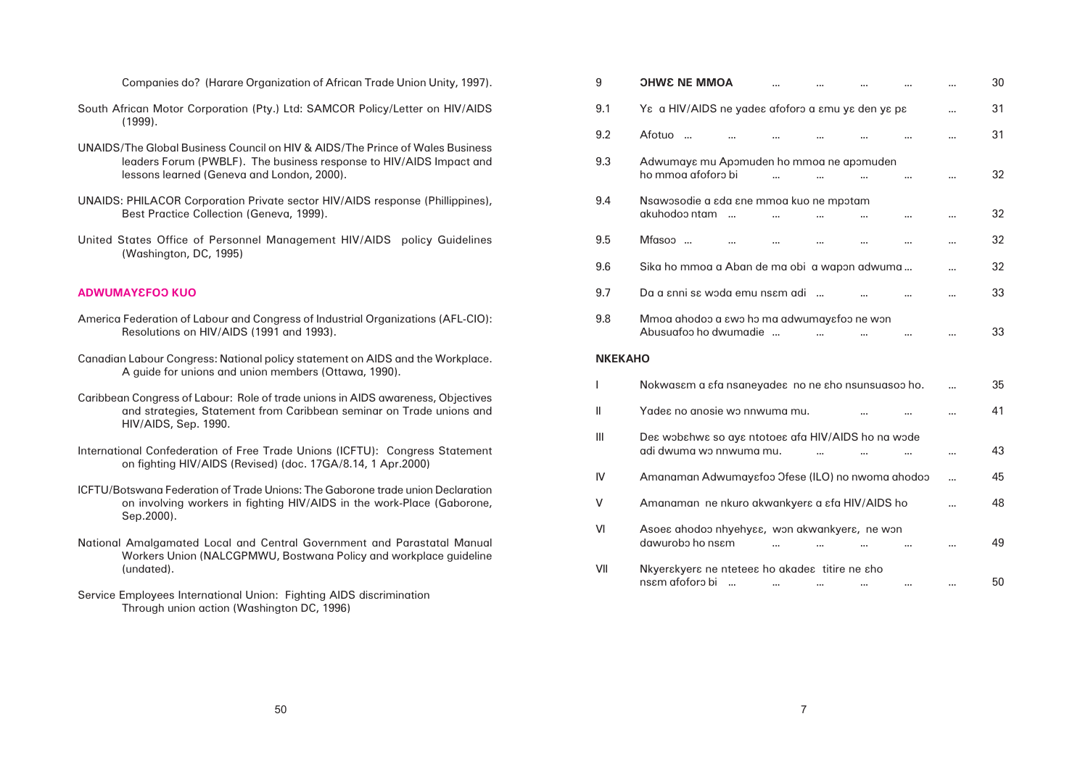| <b>OHWE NE MMOA</b>                                                           |  |  | 30 |
|-------------------------------------------------------------------------------|--|--|----|
| Ys a HIV/AIDS ne yades afoforo a smu ys den ys ps                             |  |  | 31 |
| Afotuo                                                                        |  |  | 31 |
| Adwumays mu Apomuden ho mmoa ne apomuden<br>ho mmoa afoforo bi                |  |  | 32 |
| Nsawosodie a εda εne mmoa kuo ne mpotam<br>akuhodoo ntam<br>$\sim$            |  |  | 32 |
| Mfasoo                                                                        |  |  | 32 |
| Sika ho mmoa a Aban de ma obi  a wapon adwuma                                 |  |  | 32 |
| Da a ɛnni sɛ wɔda emu nsɛm adi                                                |  |  | 33 |
| Mmoa ahodoo a swo ho ma adwumaysfoo ne won<br>Abusuafoo ho dwumadie           |  |  | 33 |
| O                                                                             |  |  |    |
| Nokwasem a efa nsaneyadee no ne eho nsunsuasoo ho.                            |  |  | 35 |
| Yades no anosie wo nnwuma mu.                                                 |  |  | 41 |
| Des wobshws so ays ntotoes afa HIV/AIDS ho na wode<br>adi dwuma wo nnwuma mu. |  |  | 43 |
| Amanaman Adwumayefoo Jfese (ILO) no nwoma ahodoo                              |  |  | 45 |
| Amanaman ne nkuro akwankyers a sfa HIV/AIDS ho                                |  |  | 48 |
| Asoes ahodoo nhyehyss, won akwankyers, ne won<br>dawurobo ho nsem             |  |  | 49 |
| Nkyerskyers ne ntetees ho akades titire ne sho<br>nsem afoforo bi             |  |  | 50 |

| Companies do? (Harare Organization of African Trade Union Unity, 1997).                                                                                                                            | 9              | <b>OHWE NE MMOA</b>                                                                                                | 30 |
|----------------------------------------------------------------------------------------------------------------------------------------------------------------------------------------------------|----------------|--------------------------------------------------------------------------------------------------------------------|----|
| South African Motor Corporation (Pty.) Ltd: SAMCOR Policy/Letter on HIV/AIDS<br>(1999).                                                                                                            | 9.1            | Ys a HIV/AIDS ne yades afoforo a smu ys den ys ps<br>$\cdots$                                                      | 31 |
|                                                                                                                                                                                                    | 9.2            | Afotuo<br>$\cdots$                                                                                                 | 31 |
| UNAIDS/The Global Business Council on HIV & AIDS/The Prince of Wales Business<br>leaders Forum (PWBLF). The business response to HIV/AIDS Impact and<br>lessons learned (Geneva and London, 2000). | 9.3            | Adwumays mu Apomuden ho mmoa ne apomuden<br>ho mmog afoforo bi                                                     | 32 |
| UNAIDS: PHILACOR Corporation Private sector HIV/AIDS response (Phillippines),<br>Best Practice Collection (Geneva, 1999).                                                                          | 9.4            | Nsawosodie a ada ane mmoa kuo ne mpotam<br>akuhodoo ntam<br>$\cdots$                                               | 32 |
| United States Office of Personnel Management HIV/AIDS policy Guidelines                                                                                                                            | 9.5            | Mfasoo<br>$\cdots$                                                                                                 | 32 |
| (Washington, DC, 1995)                                                                                                                                                                             | 9.6            | Sika ho mmoa a Aban de ma obi a wapon adwuma                                                                       | 32 |
| <b>ADWUMAYEFOO KUO</b>                                                                                                                                                                             | 9.7            | Da a snni se woda emu nsem adi                                                                                     | 33 |
| America Federation of Labour and Congress of Industrial Organizations (AFL-CIO):                                                                                                                   | 9.8            | Mmoa ahodoo a swo ho ma adwumaysfoo ne won<br>Abusuafoo ho dwumadie                                                | 33 |
| Resolutions on HIV/AIDS (1991 and 1993).                                                                                                                                                           |                |                                                                                                                    |    |
| Canadian Labour Congress: National policy statement on AIDS and the Workplace.                                                                                                                     | <b>NKEKAHO</b> |                                                                                                                    |    |
| A guide for unions and union members (Ottawa, 1990).                                                                                                                                               |                | Nokwasem a efa nsaneyadee no ne eho nsunsuasoo ho.                                                                 | 35 |
| Caribbean Congress of Labour: Role of trade unions in AIDS awareness, Objectives<br>and strategies, Statement from Caribbean seminar on Trade unions and                                           |                | Yades no anosie wo nnwuma mu.                                                                                      | 41 |
| HIV/AIDS, Sep. 1990.<br>International Confederation of Free Trade Unions (ICFTU): Congress Statement                                                                                               | Ш              | Des wobshws so ays ntotoes afa HIV/AIDS ho na wode<br>adi dwuma wo nnwuma mu.                                      | 43 |
| on fighting HIV/AIDS (Revised) (doc. 17GA/8.14, 1 Apr.2000)                                                                                                                                        | IV             | Amanaman Adwumayefoo Ofese (ILO) no nwoma ahodoo                                                                   | 45 |
| ICFTU/Botswang Federation of Trade Unions: The Gaborone trade union Declaration<br>on involving workers in fighting HIV/AIDS in the work-Place (Gaborone,                                          | $\vee$         | Amanaman ne nkuro akwankyera a afa HIV/AIDS ho                                                                     | 48 |
| Sep. 2000).<br>National Amalgamated Local and Central Government and Parastatal Manual<br>Workers Union (NALCGPMWU, Bostwana Policy and workplace guideline                                        | VI             | Asoes ahodoo nhyehyss, won akwankyers, ne won<br>dawurobo ho nsem<br>$\mathbf{m}$ .<br>$\sim 100$<br>$\sim$ $\sim$ | 49 |
| (undated).                                                                                                                                                                                         | VII            | Nkyerskyers ne ntetees ho akades titire ne sho<br>nsem afoforo bi                                                  | 50 |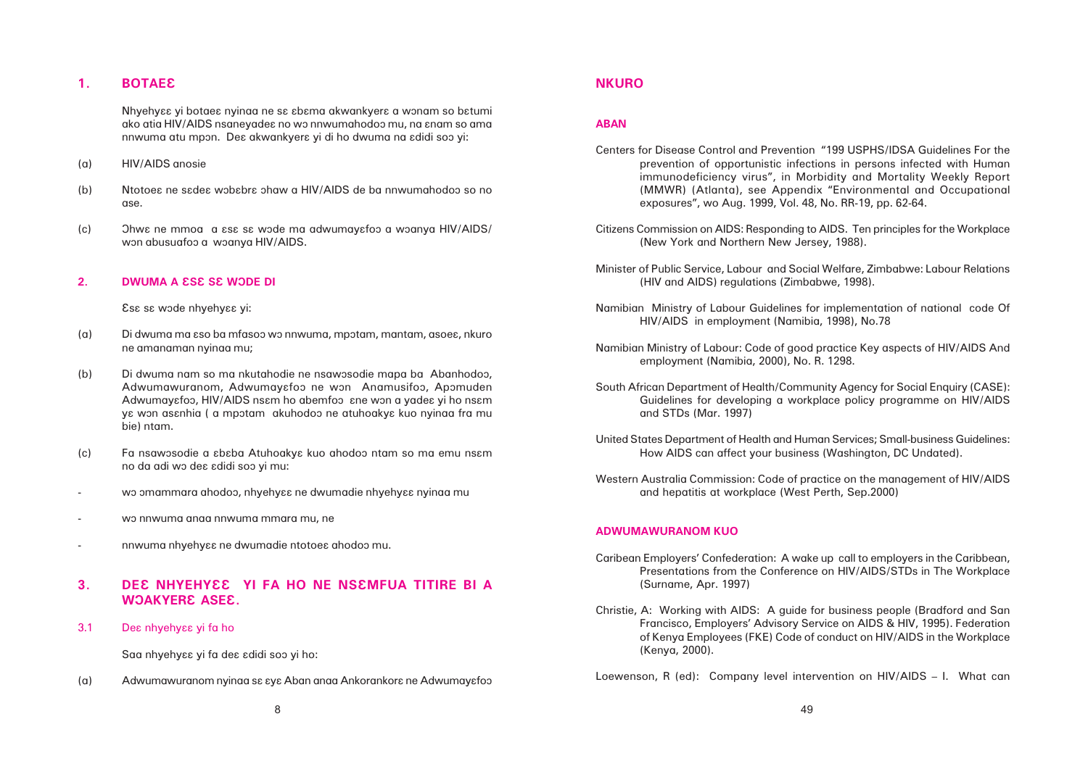# 1. **BOTAEE**

Nhyehyaa yi botaea nyinaa ne sa abama akwankyera a wonam so batumi ako atia HIV/AIDS nsaneyades no wo nnwumahodoo mu, na snam so ama nnwuma atu mpôn. Dea akwankyera yi di ho dwuma na adidi soo yi:

- (a) HIV/AIDS anosie
- (b) Ntotoes ne sadea wobabra ohaw a HIV/AIDS de ba nnwumahodoo so no ase.
- (c) Ohwe ne mmoa a ese se wode ma adwumayefoo a woanya HIV/AIDS/ won abusuafoo a woanya HIV/AIDS.

# **2.** DWUMA A ESE SE WODE DI

Esa sa wode nhyehyaa yi:

- (a) Di dwuma ma âso ba mfasoô wô nnwuma, mpôtam, mantam, asoeâ, nkuro ne amanaman nyinaa mu;
- (b) Di dwuma nam so ma nkutahodie ne nsawosodie mapa ba Abanhodoo, Adwumawuranom, Adwumayafoo ne won Anamusifoo, Apomuden Adwumayɛfoɔ, HIV/AIDS nsɛm ho abemfoɔ ɛne wɔn a yadeɛ yi ho nsɛm ya won asanhia ( a mpotam akuhodoo ne atuhoakya kuo nyinaa fra mu bie) ntam.
- (c) Fa nsawosodie a  $\epsilon$ baba Atuhoakya kuo ahodoo ntam so ma emu nsam no da adi wô deâ âdidi soô yi mu:
- wo omammara ahodoo, nhyehy $\epsilon$ a ne dwumadie nhyehy $\epsilon$ a nyinaa mu
- wô nnwuma anaa nnwuma mmara mu, ne
- nnwuma nhyehyaa ne dwumadie ntotoea ahodoo mu.

# **3. DEC NHYEHYEE YI FA HO NE NSEMFUA TITIRE BI A WOAKYERE ASEE.**

3.1 Dea nhyehyaa yi fa ho

Saa nhyehyaa yi fa dea adidi soo yi ho:

(a) Adwumawuranom nyinaa sa aya Aban anaa Ankorankora ne Adwumayafoo

# **NKURO**

# **ABAN**

prevention of opportunistic infections in persons infected with Human immunodeficiency virus", in Morbidity and Mortality Weekly Report (MMWR) (Atlanta), see Appendix "Environmental and Occupational

- Centers for Disease Control and Prevention "199 USPHS/IDSA Guidelines For the exposures", wo Aug. 1999, Vol. 48, No. RR-19, pp. 62-64.
- Citizens Commission on AIDS: Responding to AIDS. Ten principles for the Workplace (New York and Northern New Jersey, 1988).
- Minister of Public Service, Labour and Social Welfare, Zimbabwe: Labour Relations (HIV and AIDS) regulations (Zimbabwe, 1998).
- Namibian Ministry of Labour Guidelines for implementation of national code Of HIV/AIDS in employment (Namibia, 1998), No.78
- Namibian Ministry of Labour: Code of good practice Key aspects of HIV/AIDS And employment (Namibia, 2000), No. R. 1298.
- South African Department of Health/Community Agency for Social Enquiry (CASE): and STDs (Mar. 1997)
- United States Department of Health and Human Services; Small-business Guidelines: How AIDS can affect your business (Washington, DC Undated).
- Western Australia Commission: Code of practice on the management of HIV/AIDS and hepatitis at workplace (West Perth, Sep.2000)

Guidelines for developing a workplace policy programme on HIV/AIDS

# **ADWUMAWURANOM KUO**

Presentations from the Conference on HIV/AIDS/STDs in The Workplace

- Caribean Employers' Confederation: A wake up call to employers in the Caribbean, (Surname, Apr. 1997)
- Christie, A: Working with AIDS: A guide for business people (Bradford and San (Kenya, 2000).

Francisco, Employers' Advisory Service on AIDS & HIV, 1995). Federation of Kenya Employees (FKE) Code of conduct on HIV/AIDS in the Workplace

Loewenson, R (ed): Company level intervention on HIV/AIDS – I. What can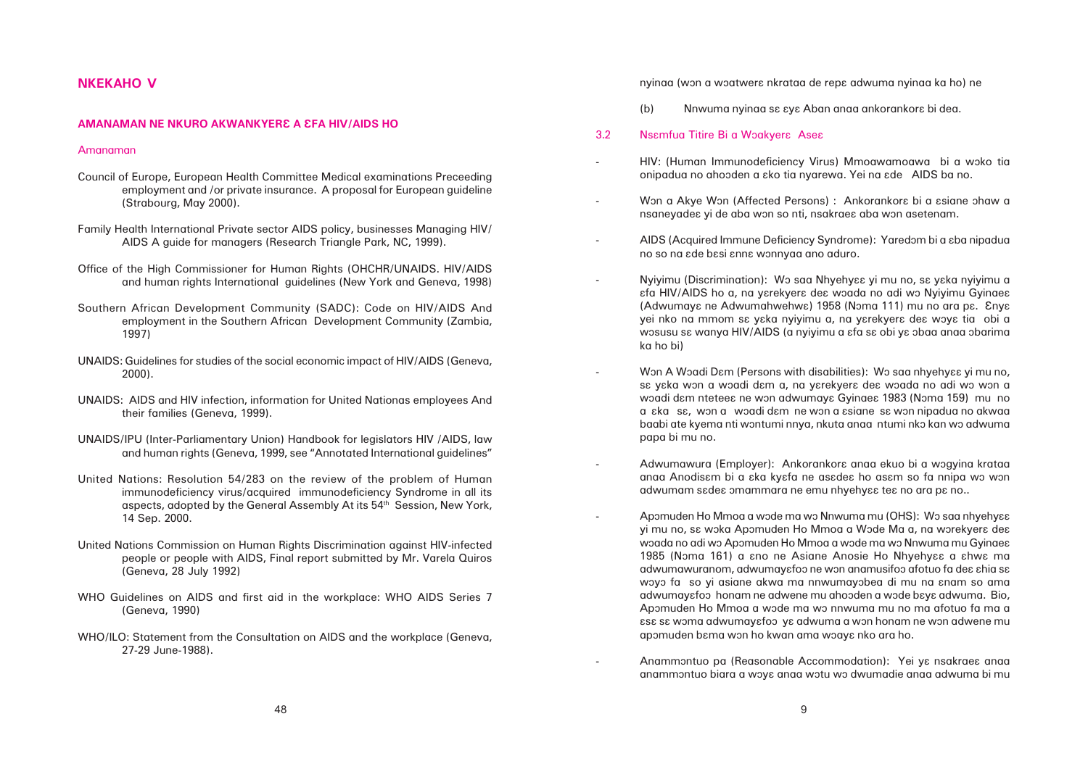HIV: (Human Immunodeficiency Virus) Mmoawamoawa bi a woko tia

Won a Akye Won (Affected Persons) : Ankorankora bi a asiane ohaw a

AIDS (Acquired Immune Deficiency Syndrome): Yaredom bi a  $\varepsilon$ ba nipadua

Nyiyimu (Discrimination): Wo saa Nhyehyaa yi mu no, sa yaka nyiyimu a  $\varepsilon$ fa HIV/AIDS ho a, na yɛrekyerɛ deɛ wɔada no adi wɔ Nyiyimu Gyinaeɛ (Adwumaya ne Adwumahwehwa) 1958 (Noma 111) mu no ara pa. Enya yei nko na mmom sa yaka nyiyimu a, na yarekyera dea woya tia obi a wosusu sa wanya HIV/AIDS (a nyiyimu a afa sa obi ya obaa anaa obarima

Won A Woadi Dam (Persons with disabilities): Wo saa nhyehyaa yi mu no, sɛ yɛka wɔn a wɔadi dɛm a, na yɛrekyerɛ deɛ wɔada no adi wɔ wɔn a woadi dam nteteea ne won adwumaya Gyinaea 1983 (Noma 159) mu no a εka sε, won a woadi dεm ne won a εsiane sε won nipadua no akwaa baabi ate kyema nti wontumi nnya, nkuta anaa ntumi nko kan wo adwuma

Adwumawura (Employer): Ankorankora anaa ekuo bi a wogyina krataa anaa Anodisam bi a aka kyafa ne asadea ho asam so fa nnipa wo won

Apomuden Ho Mmoa a wode ma wo Nnwuma mu (OHS): Wo saa nhyehy $\epsilon$ a yi mu no, sa woka Apomuden Ho Mmoa a Wode Ma a, na worekyera dea woada no adi wo Apomuden Ho Mmoa a wode ma wo Nnwuma mu Gyinae $\epsilon$ 1985 (Noma 161) a ano ne Asiane Anosie Ho Nhyehyaa a ahwa ma adwumawuranom, adwumayɛfoɔ ne wɔn anamusifoɔ afotuo fa deɛ ɛhia sɛ woyo fa so yi asiane akwa ma nnwumayobea di mu na anam so ama adwumayɛfoɔ honam ne adwene mu ahoɔden a wɔde bɛyɛ adwuma. Bio, Apomuden Ho Mmoa a wode ma wo nnwuma mu no ma afotuo fa ma a âsâ sâ wôma adwumayâfoô yâ adwuma a wôn honam ne wôn adwene mu

Anammontuo pa (Reasonable Accommodation): Yei ye nsakraee anaa anammôntuo biara a wôyâ anaa wôtu wô dwumadie anaa adwuma bi mu

# **NKEKAHO V**

#### **AMANAMAN NE NKURO AKWANKYERE A EFA HIV/AIDS HO**

#### Amanaman

- Council of Europe, European Health Committee Medical examinations Preceeding employment and /or private insurance. A proposal for European guideline (Strabourg, May 2000).
- Family Health International Private sector AIDS policy, businesses Managing HIV/ AIDS A guide for managers (Research Triangle Park, NC, 1999).
- Office of the High Commissioner for Human Rights (OHCHR/UNAIDS. HIV/AIDS and human rights International guidelines (New York and Geneva, 1998)
- Southern African Development Community (SADC): Code on HIV/AIDS And employment in the Southern African Development Community (Zambia, 1997)
- UNAIDS: Guidelines for studies of the social economic impact of HIV/AIDS (Geneva, 2000).
- UNAIDS: AIDS and HIV infection, information for United Nationas employees And their families (Geneva, 1999).
- UNAIDS/IPU (Inter-Parliamentary Union) Handbook for legislators HIV /AIDS, law and human rights (Geneva, 1999, see "Annotated International guidelines"
- United Nations: Resolution 54/283 on the review of the problem of Human immunodeficiency virus/acquired immunodeficiency Syndrome in all its aspects, adopted by the General Assembly At its 54<sup>th</sup> Session, New York, 14 Sep. 2000.
- United Nations Commission on Human Rights Discrimination against HIV-infected people or people with AIDS, Final report submitted by Mr. Varela Quiros (Geneva, 28 July 1992)
- WHO Guidelines on AIDS and first aid in the workplace: WHO AIDS Series 7 (Geneva, 1990)
- WHO/ILO: Statement from the Consultation on AIDS and the workplace (Geneva, 27-29 June-1988).

nyinaa (won a woatwera nkrataa de repa adwuma nyinaa ka ho) ne

- (b) Nnwuma nyinaa sa aya Aban anaa ankorankora bi dea.
- 3.2 Nsamfua Titire Bi a Woakyera Asea
- onipadua no ahoôden a âko tia nyarewa. Yei na âde AIDS ba no.
- nsaneyadea yi de aba won so nti, nsakraea aba won asetenam.
- no so na âde bâsi ânnâ wônnyaa ano aduro.
- ka ho bi)
- papa bi mu no.
- adwumam sadea omammara ne emu nhyehyaa tea no ara pa no..
- apomuden bama won ho kwan ama woaya nko ara ho.
	-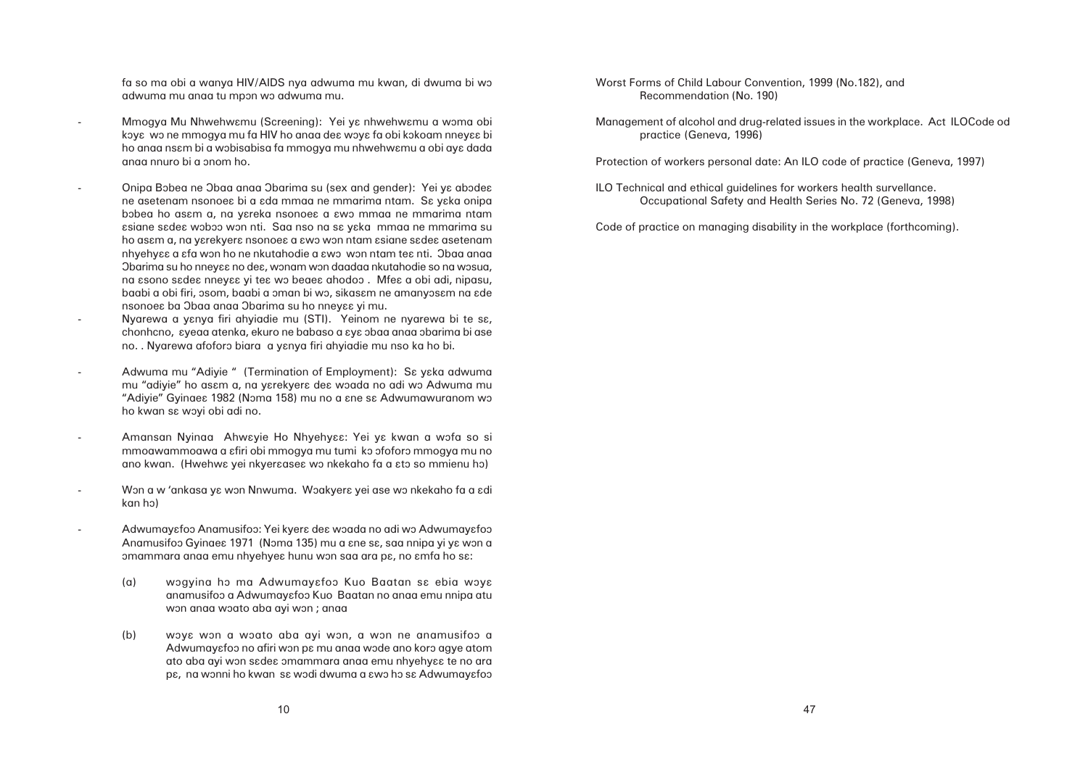fa so ma obi a wanya HIV/AIDS nya adwuma mu kwan, di dwuma bi wô adwuma mu anaa tu mpon wo adwuma mu.

- Mmogya Mu Nhwehwamu (Screening): Yei ya nhwehwamu a woma obi koya wo ne mmogya mu fa HIV ho anaa dea woya fa obi kokoam nneyaa bi ho anaa nsâm bi a wôbisabisa fa mmogya mu nhwehwâmu a obi ayâ dada anaa nnuro bi a ônom ho.
- Onipa Bobea ne Obaa anaa Obarima su (sex and gender): Yei ya abodea ne asetenam nsonoes bi a *i*da mmaa ne mmarima ntam. Sa yaka onipa bobea ho asam a, na yareka nsonoea a awo mmaa ne mmarima ntam âsiane sâdeâ wôbôô wôn nti. Saa nso na sâ yâka mmaa ne mmarima su ho asam a, na yarekyera nsonoea a awo won ntam asiane sadea asetenam nhyehyaa a afa won ho ne nkutahodie a awo won ntam tea nti. Obaa anaa Obarima su ho nneyaa no dea, wonam won daadaa nkutahodie so na wosua, na  $\epsilon$ sono s $\epsilon$ de $\epsilon$  nney $\epsilon$  yi te $\epsilon$  wo beae $\epsilon$  ahodoo . Mfe $\epsilon$  a obi adi, nipasu, baabi a obi firi, osom, baabi a oman bi wo, sikasam ne amanyosam na ade nsonoea ba Obaa anaa Obarima su ho nneyaa yi mu.
- Nyarewa a yanya firi ahyiadie mu (STI). Yeinom ne nyarewa bi te sa, chonhcno,  $z$ yeaa atenka, ekuro ne babaso a  $z$ y $\epsilon$  obaa anaa obarima bi ase no. . Nyarewa afoforo biara a yanya firi ahyiadie mu nso ka ho bi.
- Adwuma mu "Adiyie " (Termination of Employment): Se yeka adwuma mu "adiyie" ho asam a, na yarekyera dea woada no adi wo Adwuma mu "Adivie" Gyinge 1982 (Noma 158) mu no a ane sa Adwumawuranom wo ho kwan sa woyi obi adi no.
- Amansan Nyinaa Ahwayie Ho Nhyehyaa: Yei ya kwan a wofa so si mmoawammoawa a afiri obi mmogya mu tumi ko ofoforo mmogya mu no ano kwan. (Hwehwa yei nkyeraasea wo nkekaho fa a ato so mmienu ho)
- Won a w 'ankasa ya won Nnwuma. Woakyera yei ase wo nkekaho fa a adi kan ho)
- Adwumayɛfoɔ Anamusifoɔ: Yei kyerɛ deɛ wɔada no adi wɔ Adwumayɛfoɔ Anamusifoo Gyinae 1971 (Noma 135) mu a ane sa, saa nnipa yi ya won a omammara anaa emu nhyehyea hunu won saa ara pa, no amfa ho sa:
	- (a) wogyina ho ma Adwumayafoo Kuo Baatan sa ebia woya anamusifoo a Adwumayɛfoo Kuo Baatan no anaa emu nnipa atu won anaa woato aba ayi won ; anaa
	- (b) woye won a woato aba ayi won, a won ne anamusifoo a Adwumayɛfoɔ no afiri wɔn pɛ mu anaa wɔde ano korɔ agye atom ato aba ayi won sadea omammara anaa emu nhyehyaa te no ara pe, na wonni ho kwan sa wodi dwuma a awo ho sa Adwumayafoo

Worst Forms of Child Labour Convention, 1999 (No.182), and Recommendation (No. 190)

Management of alcohol and drug-related issues in the workplace. Act ILOCode od practice (Geneva, 1996)

Protection of workers personal date: An ILO code of practice (Geneva, 1997)

ILO Technical and ethical guidelines for workers health survellance. Occupational Safety and Health Series No. 72 (Geneva, 1998)

Code of practice on managing disability in the workplace (forthcoming).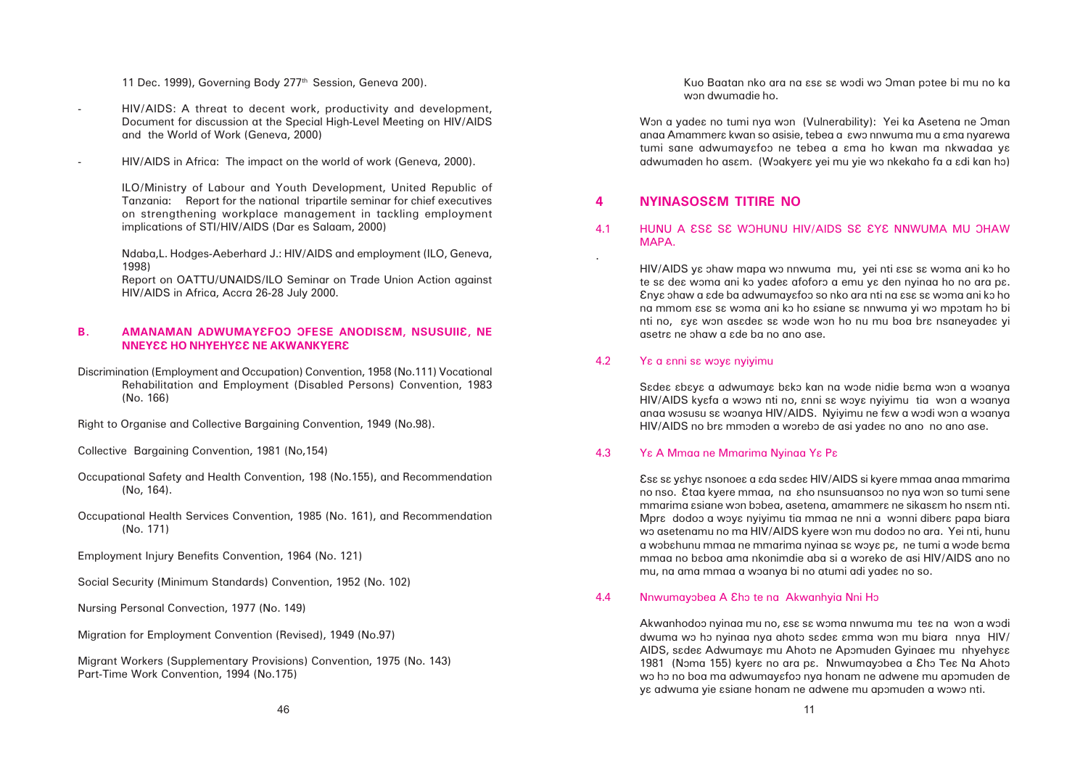Kuo Baatan nko ara na  $\epsilon$ sa sa wodi wo Oman potee bi mu no ka

# 4.1 HUNU A ESE SE WOHUNU HIV/AIDS SE EYE NNWUMA MU OHAW MAPA.

HIV/AIDS ye ohaw mapa wo nnwuma mu, yei nti ese se woma ani ko ho te sa dea woma ani ko yadea afoforo a emu ya den nyinaa ho no ara pa. Ânyâ ôhaw a âde ba adwumayâfoô so nko ara nti na âsâ sâ wôma ani kô ho na mmom  $\mathop{\text{ess}}$  sa woma ani ko ho asiane sa nnwuma yi wo mpotam ho bi nti no,  $\epsilon$ yɛ wɔn asɛdeɛ sɛ wɔde wɔn ho nu mu boa brɛ nsaneyadeɛ yi asetra ne ohaw a ade ba no ano ase.

#### 4.2 Yε α εnni sε woyε nyiyimu

# **4 NYINASOSÂM TITIRE NO**

.

Sadea abaya a adwumaya bako kan na wode nidie bama won a woanya HIV/AIDS kyɛfa a wɔwɔ nti no, ɛnni sɛ wɔyɛ nyiyimu tia wɔn a wɔanya anaa wosusu sa woanya HIV/AIDS. Nyiyimu ne faw a wodi won a woanya HIV/AIDS no bra mmoden a worebo de asi yadea no ano no ano ase.

Âsâ sâ yâhyâ nsonoeâ a âda sâdeâ HIV/AIDS si kyere mmaa anaa mmarima no nso. <sup>2</sup>taa kyere mmaa, na sho nsunsuansoo no nya won so tumi sene mmarima asiane won bobea, asetena, amammera ne sikasam ho nsam nti. Mpra dodoo a woya nyiyimu tia mmaa ne nni a wonni dibera papa biara wo asetenamu no ma HIV/AIDS kyere won mu dodoo no ara. Yei nti, hunu a wobahunu mmaa ne mmarima nyinaa sa woya pa, ne tumi a wode bama mmaa no bɛboa ama nkonimdie aba si a wɔreko de asi HIV/AIDS ano no mu, na ama mmaa a woanya bi no atumi adi yadee no so.

#### 4.4 Nnwumayobea A Eho te na Akwanhyia Nni Ho

Akwanhodoo nyinaa mu no,  $\epsilon$ sa sa woma nnwuma mu tea na won a wodi dwuma wo ho nyinaa nya ahoto sadea amma won mu biara nnya HIV/ AIDS, sadea Adwumaya mu Ahoto ne Apomuden Gyinaea mu nhyehyaa 1981 (Noma 155) kyerê no ara pê. Nnwumayobea a Eho Teê Na Ahoto wo ho no boa ma adwumayɛfoɔ nya honam ne adwene mu apomuden de ya adwuma yie asiane honam ne adwene mu apomuden a wowo nti.

#### 4.3 Yâ A Mmaa ne Mmarima Nyinaa Yâ Pâ

11 Dec. 1999), Governing Body 277<sup>th</sup> Session, Geneva 200).

- HIV/AIDS: A threat to decent work, productivity and development, Document for discussion at the Special High-Level Meeting on HIV/AIDS and the World of Work (Geneva, 2000)
- HIV/AIDS in Africa: The impact on the world of work (Geneva, 2000).

ILO/Ministry of Labour and Youth Development, United Republic of Tanzania: Report for the national tripartile seminar for chief executives on strengthening workplace management in tackling employment implications of STI/HIV/AIDS (Dar es Salaam, 2000)

Ndaba,L. Hodges-Aeberhard J.: HIV/AIDS and employment (ILO, Geneva, 1998)

Report on OATTU/UNAIDS/ILO Seminar on Trade Union Action against HIV/AIDS in Africa, Accra 26-28 July 2000.

### **B. AMANAMAN ADWUMAYEFOO OFESE ANODISEM, NSUSUIIE, NE NNEYEE HO NHYEHYEE NE AKWANKYERE**

Discrimination (Employment and Occupation) Convention, 1958 (No.111) Vocational Rehabilitation and Employment (Disabled Persons) Convention, 1983 (No. 166)

Right to Organise and Collective Bargaining Convention, 1949 (No.98).

Collective Bargaining Convention, 1981 (No,154)

- Occupational Safety and Health Convention, 198 (No.155), and Recommendation (No, 164).
- Occupational Health Services Convention, 1985 (No. 161), and Recommendation (No. 171)

Employment Injury Benefits Convention, 1964 (No. 121)

Social Security (Minimum Standards) Convention, 1952 (No. 102)

Nursing Personal Convection, 1977 (No. 149)

Migration for Employment Convention (Revised), 1949 (No.97)

Migrant Workers (Supplementary Provisions) Convention, 1975 (No. 143) Part-Time Work Convention, 1994 (No.175)

won dwumadie ho.

Won a yadea no tumi nya won (Vulnerability): Yei ka Asetena ne Oman anaa Amammera kwan so asisie, tebea a  $\epsilon$ wo nnwuma mu a ama nyarewa tumi sane adwumayafoo ne tebea a ama ho kwan ma nkwadaa ya adwumaden ho asɛm. (Wɔakyerɛ yei mu yie wɔ nkekaho fa a ɛdi kan hɔ)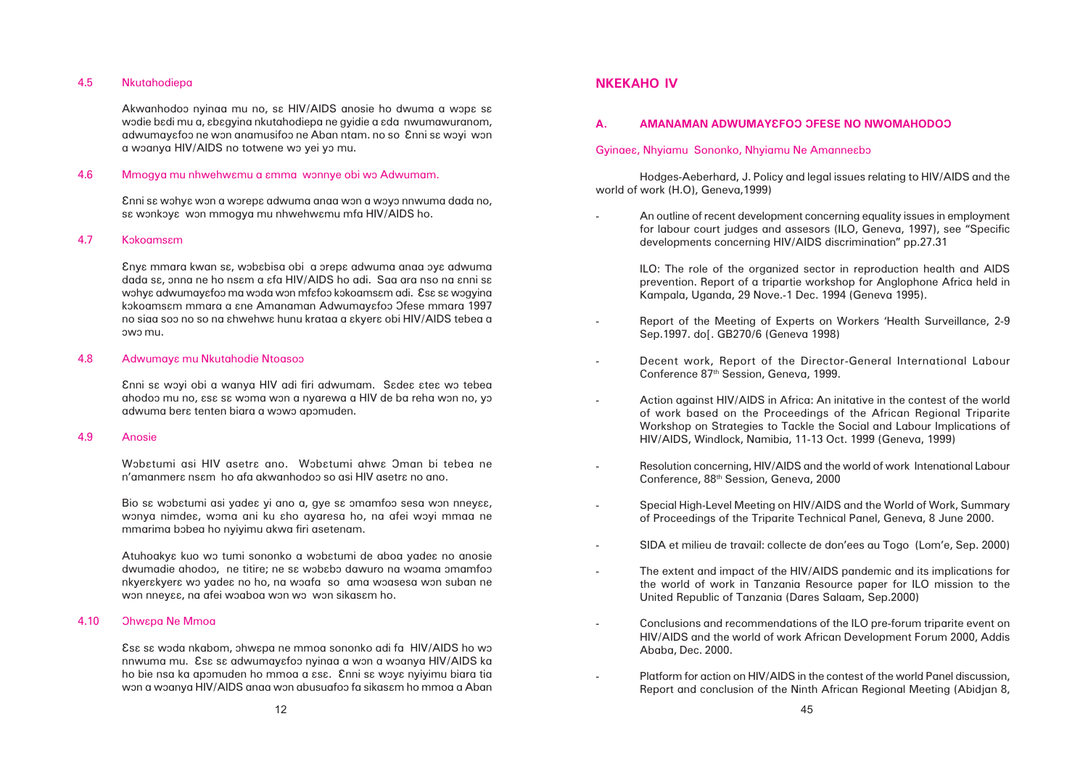#### 4.5 Nkutahodiepa

Akwanhodoo nyinaa mu no, sa HIV/AIDS anosie ho dwuma a wopa sa wodie badi mu a, abagying nkutahodiepa ne gyidie a ada nwumawuranom, adwumayɛfoɔ ne wɔn anamusifoɔ ne Aban ntam. no so Enni sɛ wɔyi wɔn a woanya HIV/AIDS no totwene wo yei yo mu.

### 4.6 Mmogya mu nhwehwamu a amma wonnye obi wo Adwumam.

Enni sa wohya won a worepa adwuma anaa won a woyo nnwuma dada no, sa wonkoya won mmogya mu nhwehwamu mfa HIV/AIDS ho.

#### 4.7 Kokoamsam

Ânyâ mmara kwan sâ, wôbâbisa obi a ôrepâ adwuma anaa ôyâ adwuma dada sɛ, ɔnna ne ho nsɛm a ɛfa HIV/AIDS ho adi. Saa ara nso na ɛnni sɛ wohye adwumayefoo ma woda won mfefoo kokoamsem adi. Ese se wogyina kokoamsam mmara a ane Amanaman Adwumayafoo Ofese mmara 1997 no siaa soo no so na  $\varepsilon$ hwehw $\varepsilon$  hunu krataa a  $\varepsilon$ kyer $\varepsilon$  obi HIV/AIDS tebea a ôwô mu.

#### 4.8 Adwumaya mu Nkutahodie Ntoasoo

Enni sa woyi obi a wanya HIV adi firi adwumam. Sadea atea wo tebea ahodoo mu no,  $\epsilon$ s $\epsilon$  s $\epsilon$  woma won a nyarewa a HIV de ba reha won no, yo adwuma bera tenten biara a wowo apomuden.

Âsâ sâ wôda nkabom, ôhwâpa ne mmoa sononko adi fa HIV/AIDS ho wô nnwuma mu. Esa sa adwumayafoo nyinaa a won a woanya HIV/AIDS ka ho bie nsa ka apomuden ho mmoa a  $\epsilon$ sa. Enni sa woya nyiyimu biara tia won a woanya HIV/AIDS anaa won abusuafoo fa sikasam ho mmoa a Aban

#### 4.9 Anosie

Wobatumi asi HIV asetra ano. Wobatumi ahwa Oman bi tebea ne n'amanmera nsam ho afa akwanhodoo so asi HIV asetra no ano.

Bio sa wobatumi asi yadea yi ano a, gye sa omamfoo sesa won nneyaa, wonya nimdea, woma ani ku aho ayaresa ho, na afei woyi mmaa ne mmarima bobea ho nyiyimu akwa firi asetenam.

Atuhoakya kuo wo tumi sononko a wobatumi de aboa yadea no anosie dwumadie ahodoo, ne titire; ne sa wobabo dawuro na woama omamfoo nkyerakyera wo yadea no ho, na woafa so ama woasesa won suban ne won nneyaa, na afei woaboa won wo won sikasam ho.

#### 4.10 Ohwapa Ne Mmoa

# **NKEKAHO IV**

# **A. AMANAMAN ADWUMAYEFOO OFESE NO NWOMAHODOO**

#### Gyinaes, Nhyiamu Sononko, Nhyiamu Ne Amannesbo

Hodges-Aeberhard, J. Policy and legal issues relating to HIV/AIDS and the world of work (H.O), Geneva,1999)

> An outline of recent development concerning equality issues in employment for labour court judges and assesors (ILO, Geneva, 1997), see "Specific

> ILO: The role of the organized sector in reproduction health and AIDS prevention. Report of a tripartie workshop for Anglophone Africa held in

> Report of the Meeting of Experts on Workers 'Health Surveillance, 2-9

Decent work, Report of the Director-General International Labour

 Action against HIV/AIDS in Africa: An initative in the contest of the world of work based on the Proceedings of the African Regional Triparite Workshop on Strategies to Tackle the Social and Labour Implications of

- developments concerning HIV/AIDS discrimination" pp.27.31
	- Kampala, Uganda, 29 Nove.-1 Dec. 1994 (Geneva 1995).
- Sep.1997. dol. GB270/6 (Geneva 1998)
- Conference 87th Session, Geneva, 1999.
- HIV/AIDS, Windlock, Namibia, 11-13 Oct. 1999 (Geneva, 1999)
- Conference, 88th Session, Geneva, 2000
- of Proceedings of the Triparite Technical Panel, Geneva, 8 June 2000.
- 
- United Republic of Tanzania (Dares Salaam, Sep.2000)
- Ababa, Dec. 2000.

Resolution concerning, HIV/AIDS and the world of work Intenational Labour

Special High-Level Meeting on HIV/AIDS and the World of Work, Summary

SIDA et milieu de travail: collecte de don'ees au Togo (Lom'e, Sep. 2000)

 The extent and impact of the HIV/AIDS pandemic and its implications for the world of work in Tanzania Resource paper for ILO mission to the

-

 Conclusions and recommendations of the ILO pre-forum triparite event on HIV/AIDS and the world of work African Development Forum 2000, Addis

 Platform for action on HIV/AIDS in the contest of the world Panel discussion, Report and conclusion of the Ninth African Regional Meeting (Abidjan 8,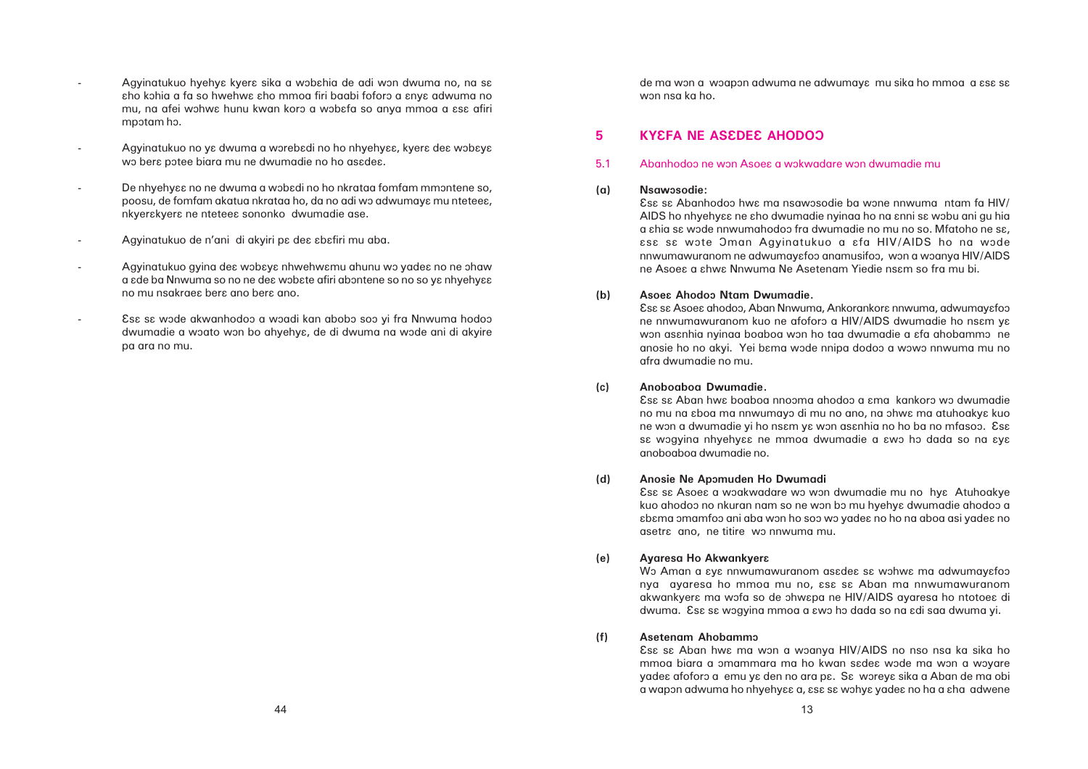Esa sa Asoea ahodoo, Aban Nnwuma, Ankorankora nnwuma, adwumayafoo ne nnwumawuranom kuo ne afoforo a HIV/AIDS dwumadie ho ns $\epsilon$ m ya won asanhia nyinaa boaboa won ho taa dwumadie a afa ahobammo ne anosie ho no akyi. Yei bama wode nnipa dodoo a wowo nnwuma mu no

**(a) Nsawôsodie:**

Esa sa Abanhodoo hwa ma nsawosodie ba wone nnwuma ntam fa HIV/ AIDS ho nhyehyaa ne aho dwumadie nyinaa ho na anni sa wobu ani gu hia a chia sa wode nnwumahodoo fra dwumadie no mu no so. Mfatoho ne sa, âsâ sâ wôte Ôman Agyinatukuo a âfa HIV/AIDS ho na wôde nnwumawuranom ne adwumayɛfoɔ anamusifoɔ, wɔn a wɔanya HIV/AIDS ne Asoea a ahwa Nnwuma Ne Asetenam Yiedie nsam so fra mu bi.

Esa sa Asoea a woakwadare wo won dwumadie mu no hya Atuhoakye kuo ahodoo no nkuran nam so ne won bo mu hyehya dwumadie ahodoo a âbâma ômamfoô ani aba wôn ho soô wô yadeâ no ho na aboa asi yadeâ no

**(b) Asoeâ Ahodoô Ntam Dwumadie.** afra dwumadie no mu.

**(c) Anoboaboa Dwumadie.** Âsâ sâ Aban hwâ boaboa nnoôma ahodoô a âma kankorô wô dwumadie no mu na  $e$ boa ma nnwumayo di mu no ano, na ohwa ma atuhoakya kuo ne won a dwumadie yi ho nsam ya won asanhia no ho ba no mfasoo. Esa sa wogyina nhyehyaa ne mmoa dwumadie a awo ho dada so na aya anoboaboa dwumadie no.

- **(d) Anosie Ne Apômuden Ho Dwumadi** asetra ano, ne titire wo nnwuma mu.
- **(e) Ayaresa Ho Akwankyerâ**

Wo Aman a  $\epsilon$ y $\epsilon$  nnwumawuranom asadea sa wohwa ma adwumayafoo nya ayaresa ho mmoa mu no, ese se Aban ma nnwumawuranom akwankyera ma wofa so de ohwapa ne HIV/AIDS ayaresa ho ntotoea di dwuma. Esa sa wogyina mmoa a awo ho dada so na adi saa dwuma yi.

- Agyinatukuo hyehya kyera sika a wobahia de adi won dwuma no, na sa aho kohia a fa so hwehwa aho mmoa firi baabi foforo a anya adwuma no mu, na afei wohwe hunu kwan koro a wobefa so anya mmoa a ese afiri mpotam ho.
- Agyinatukuo no ya dwuma a worebadi no ho nhyehyaa, kyera dea wobaya wo bera potee biara mu ne dwumadie no ho asadea.
- De nhyehyaa no ne dwuma a wobadi no ho nkrataa fomfam mmontene so, poosu, de fomfam akatua nkrataa ho, da no adi wo adwumaya mu nteteea, nkyerakyera ne nteteea sononko dwumadie ase.
- Agyinatukuo de n'ani di akyiri pa dea abafiri mu aba.
- Agyinatukuo gyina dea wobaya nhwehwamu ahunu wo yadea no ne ohaw a ade ba Nnwuma so no ne dea wobate afiri abontene so no so ya nhyehyaa no mu nsakraea bera ano bera ano.
- Esa sa wode akwanhodoo a woadi kan abobo soo yi fra Nnwuma hodoo dwumadie a woato won bo ahyehya, de di dwuma na wode ani di akyire pa ara no mu.

de ma won a woapon adwuma ne adwumaya mu sika ho mmoa a asa sa won nsa ka ho.

# **5 KYEFA NE ASEDEE AHODOO**

5.1 Abanhodoo ne won Asoea a wokwadare won dwumadie mu

**(f) Asetenam Ahobammô**

Esa sa Aban hwa ma won a woanya HIV/AIDS no nso nsa ka sika ho mmoa biara a omammara ma ho kwan sadea wode ma won a woyare yade $\epsilon$  afoforo a emu y $\epsilon$  den no ara p $\epsilon$ . S $\epsilon$  worey $\epsilon$  sika a Aban de ma obi a wapon adwuma ho nhyehyɛɛ a, ɛsɛ sɛ wɔhyɛ yadeɛ no ha a ɛha adwene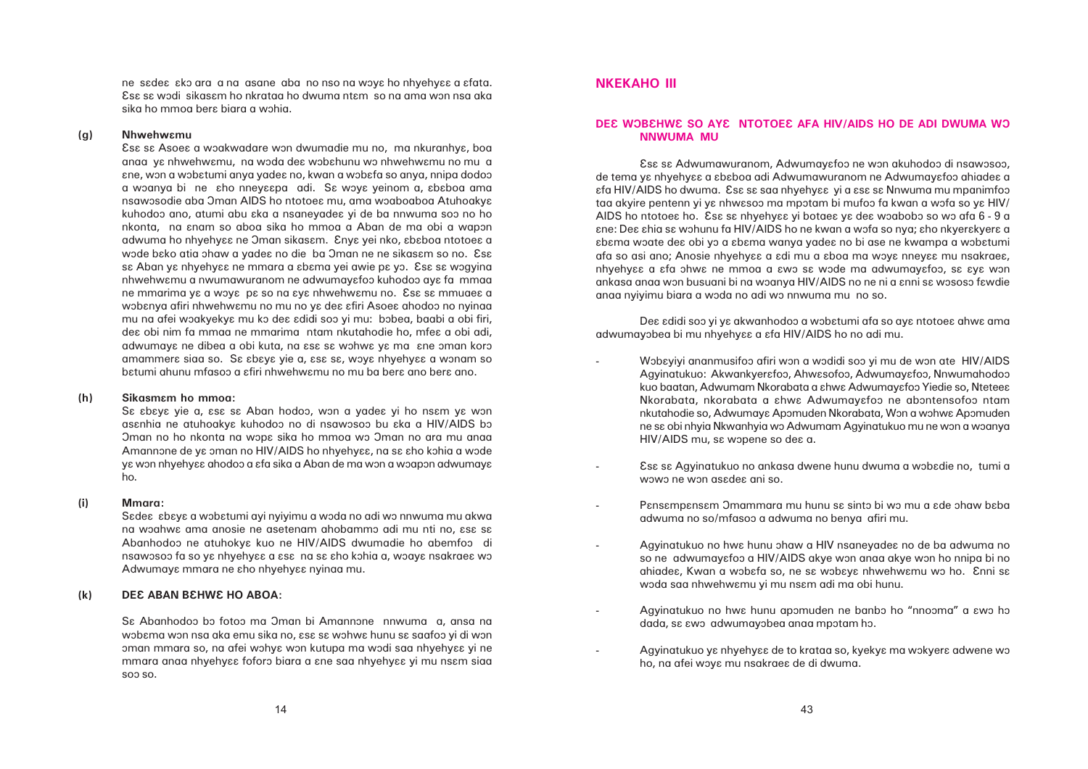ne sadea ako ara a na asane aba no nso na woya ho nhyehyaa a afata. Esa sa wodi sikasam ho nkrataa ho dwuma ntam so na ama won nsa aka sika ho mmoa bera biara a wohia.

#### **(g) Nhwehwâmu**

Esa sa Asoea a woakwadare won dwumadie mu no, ma nkuranhya, boa anaa ya nhwehwamu, na woda dea wobahunu wo nhwehwamu no mu a  $\epsilon$ ne, won a wob $\epsilon$ tumi anya yade $\epsilon$  no, kwan a wob $\epsilon$ fa so anya, nnipa dodoo a woanya bi ne aho nneyaapa adi. Sa woya yeinom a, ababoa ama nsawosodie aba Oman AIDS ho ntotoes mu, ama woaboaboa Atuhoakys kuhodoo ano, atumi abu  $\epsilon$ ka a nsaneyade $\epsilon$  yi de ba nnwuma soo no ho nkonta, na anam so aboa sika ho mmoa a Aban de ma obi a wapon adwuma ho nhyehyaa ne Oman sikasam. Enya yei nko, ababoa ntotoea a wode bako atia ohaw a yadea no die ba Oman ne ne sikasam so no. Esa sa Aban ya nhyehyaa ne mmara a abama yei awie pa yo. Esa sa wogyina nhwehwamu a nwumawuranom ne adwumayafoo kuhodoo aya fa mmaa ne mmarima ya a woya pa so na aya nhwehwamu no. Esa sa mmuaea a wobanya afiri nhwehwamu no mu no ya dea afiri Asoea ahodoo no nyinaa mu na afei woakyekya mu ko dea adidi soo yi mu: bobea, baabi a obi firi, des obi nim fa mmaa ne mmarima ntam nkutahodie ho, mfes a obi adi, adwumaya ne dibea a obi kuta, na asa sa wohwa ya ma ane oman koro amammera siaa so. Sa abaya yie a, asa sa, woya nhyehyaa a wonam so batumi ahunu mfasoo a afiri nhwehwamu no mu ba bera ano bera ano.

Sa abaya yie a, asa sa Aban hodoo, won a yadea yi ho nsam ya won asanhia ne atuhoakya kuhodoo no di nsawosoo bu aka a HIV/AIDS bo Oman no ho nkonta na wopa sika ho mmoa wo Oman no ara mu anaa Amannone de ya oman no HIV/AIDS ho nhyehyaa, na sa aho kohia a wode yɛ wɔn nhyehyɛɛ ahodoɔ a ɛfa sika a Aban de ma wɔn a wɔapɔn adwumayɛ ho.

# **DEE WOBEHWE SO AYE NTOTOEE AFA HIV/AIDS HO DE ADI DWUMA WO NNWUMA MU**

#### **(h) Sikasmâm ho mmoa:**

Esa sa Adwumawuranom, Adwumayafoo ne won akuhodoo di nsawosoo, de tema ya nhyehyaa a ababoa adi Adwumawuranom ne Adwumayafoo ahiadea a  $a$  Efa HIV/AIDS ho dwuma. Esa sa saa nhyehyaa yi a asa sa Nnwuma mu mpanimfoo taa akyire pentenn yi ya nhwasoo ma mpotam bi mufoo fa kwan a wofa so ya HIV/ AIDS ho ntotoea ho. Esa sa nhyehyaa yi botaea ya dea woabobo so wo afa 6 - 9 a ane: Dea ahia sa wohunu fa HIV/AIDS ho ne kwan a wofa so nya; aho nkyerakyera a abama woate dea obi yo a abama wanya yadea no bi ase ne kwampa a wobatumi afa so asi ano; Anosie nhyehyaa a adi mu a aboa ma woya nneyaa mu nsakraea, nhyehyaa a afa ohwa ne mmoa a awo sa wode ma adwumayafoo, sa aya won ankasa anaa won busuani bi na woanya HIV/AIDS no ne ni a anni sa wososo fawdie anaa nyiyimu biara a wôda no adi wô nnwuma mu no so.

Dea adidi soo yi ya akwanhodoo a wobatumi afa so aya ntotoea ahwa ama adwumayobea bi mu nhyehyaa a afa HIV/AIDS ho no adi mu.

- HIV/AIDS mu, se wopene so dee a.
- wowo ne won asadea ani so.
- adwuma no so/mfasoo a adwuma no benya afiri mu.
- Agyinatukuo no hwa hunu ohaw a HIV nsaneyadea no de ba adwuma no woda saa nhwehwamu yi mu nsam adi ma obi hunu.
- dada, se ewo adwumayobea anaa mpotam ho.
- ho, na afei woye mu nsakraee de di dwuma.

Wobayiyi ananmusifoo afiri won a wodidi soo yi mu de won ate HIV/AIDS Agyinatukuo: Akwankyerafoo, Ahwasofoo, Adwumayafoo, Nnwumahodoo kuo baatan, Adwumam Nkorabata a shwe Adwumayefoo Yiedie so, Ntetees Nkorabata, nkorabata a ahwa Adwumayafoo ne abontensofoo ntam nkutahodie so, Adwumaya Apomuden Nkorabata, Won a wohwa Apomuden ne sa obi nhyia Nkwanhyia wo Adwumam Agyinatukuo mu ne won a woanya

Esa sa Agyinatukuo no ankasa dwene hunu dwuma a wobadie no, tumi a

Pansampansam Omammara mu hunu sa sinto bi wo mu a ade ohaw baba

so ne adwumayɛfoɔ a HIV/AIDS akye wɔn anaa akye wɔn ho nnipa bi no ahiadea, Kwan a wobafa so, ne sa wobaya nhwehwamu wo ho. Enni sa

Agyinatukuo no hwa hunu apomuden ne banbo ho "nnooma" a awo ho

Agyinatukuo ya nhyehyaa de to krataa so, kyekya ma wokyera adwene wo

#### **(i) Mmara:**

Sadea abaya a wobatumi ayi nyiyimu a woda no adi wo nnwuma mu akwa na woahwa ama anosie ne asetenam ahobammo adi mu nti no, asa sa Abanhodoo ne atuhokya kuo ne HIV/AIDS dwumadie ho abemfoo di nsawosoo fa so ya nhyehyaa a asa na sa aho kohia a, woaya nsakraea wo Adwumaya mmara ne aho nhyehyaa nyinaa mu.

### **(k) DEE ABAN BEHWE HO ABOA:**

Sa Abanhodoo bo fotoo ma Oman bi Amannone nnwuma a, ansa na wobama won nsa aka emu sika no, asa sa wohwa hunu sa saafoo yi di won oman mmara so, na afei wohya won kutupa ma wodi saa nhyehyaa yi ne mmara anaa nhyehy $\epsilon$  foforo biara a  $\epsilon$ ne saa nhyehy $\epsilon$ e yi mu ns $\epsilon$ m siaa soo so.

# **NKEKAHO III**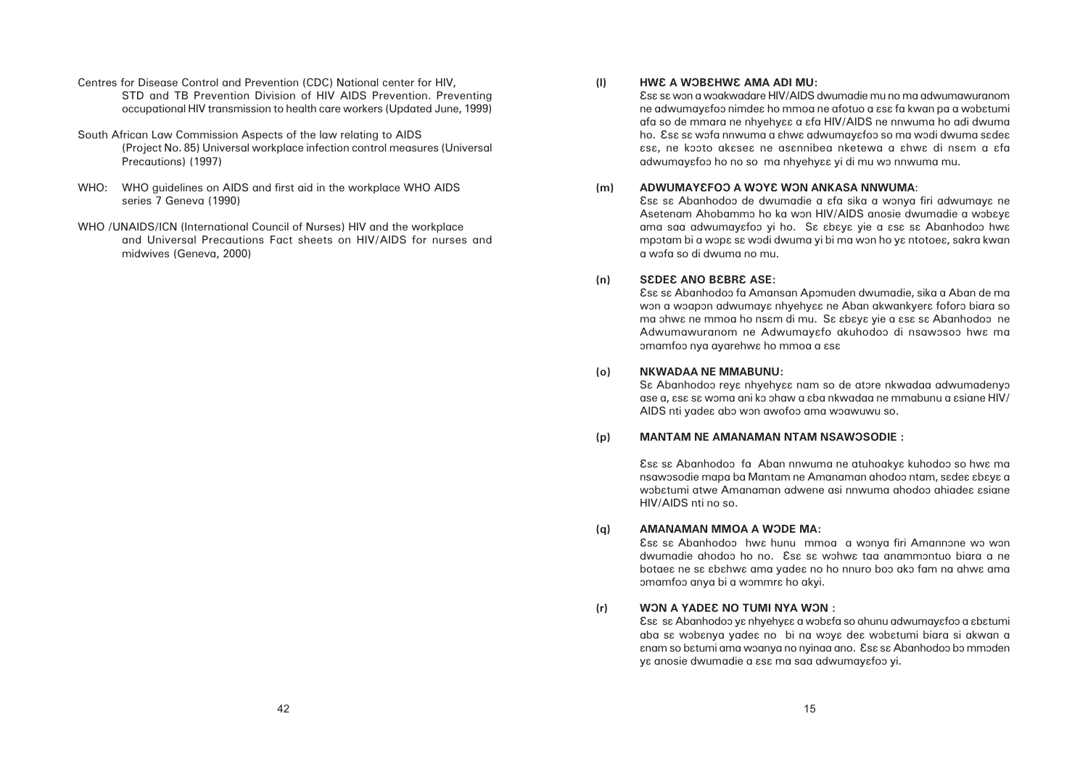**(l) HWÂ A WÔBÂHWÂ AMA ADI MU:** adwumayafoo ho no so ma nhyehyaa yi di mu wo nnwuma mu.

Âsâ sâ wôn a wôakwadare HIV/AIDS dwumadie mu no ma adwumawuranom ne adwumayafoo nimdea ho mmoa ne afotuo a asa fa kwan pa a wobatumi afa so de mmara ne nhyehyee a efa HIV/AIDS ne nnwuma ho adi dwuma ho. Esa sa wofa nnwuma a ahwa adwumayafoo so ma wodi dwuma sadea âsâ, ne kôôto akâseâ ne asânnibea nketewa a âhwâ di nsâm a âfa

Esa sa Abanhodoo de dwumadie a afa sika a wonya firi adwumaya ne Asetenam Ahobammo ho ka won HIV/AIDS anosie dwumadie a wobaya ama saa adwumayafoo yi ho. Sa abaya yie a asa sa Abanhodoo hwa mpotam bi a wopa sa wodi dwuma yi bi ma won ho ya ntotoea, sakra kwan

Esa sa Abanhodoo fa Amansan Apomuden dwumadie, sika a Aban de ma won a woapon adwumaya nhyehyaa ne Aban akwankyera foforo biara so ma ohwa ne mmoa ho nsam di mu. Sa abaya yie a asa sa Abanhodoo ne Adwumawuranom ne Adwumayafo akuhodoo di nsawosoo hwa ma

Sɛ Abanhodoɔ reyɛ nhyehyɛɛ nam so de atɔre nkwadaa adwumadenyɔ ase a,  $\frac{1}{10}$ s sa woma ani ko ohaw a  $\frac{1}{10}$ ba nkwadaa ne mmabunu a  $\frac{1}{10}$ 

Esa sa Abanhodoo hwa hunu mmoa a wonya firi Amannone wo won dwumadie ahodoo ho no. Esa sa wohwa taa anammontuo biara a ne botae $\epsilon$  ne s $\epsilon$   $\epsilon$  behwe ama yade $\epsilon$  no ho nnuro boo ako fam na ahwe ama

aba sa wobanya yadea no bi na woya dea wobatumi biara si akwan a anam so batumi ama woanya no nyinaa ano. Esa sa Abanhodoo bo mmoden

- **(m) ADWUMAYEFOO A WOYE WON ANKASA NNWUMA:** a wôfa so di dwuma no mu.
- **(n) SÂDEÂ ANO BÂBRÂ ASE:** omamfoo nya ayarehwa ho mmoa a asa
- **(o) NKWADAA NE MMABUNU:** AIDS nti yadea abo won awofoo ama woawuwu so.
- **(p) MANTAM NE AMANAMAN NTAM NSAWÔSODIE :**

Esa sa Abanhodoo fa Aban nnwuma ne atuhoakya kuhodoo so hwa ma nsawosodie mapa ba Mantam ne Amanaman ahodoo ntam, s $ed$ e abaya a wobatumi atwe Amanaman adwene asi nnwuma ahodoo ahiadea asiane HIV/AIDS nti no so.

- **(q) AMANAMAN MMOA A WÔDE MA:** omamfoo anya bi a wommra ho akyi.
- **(r) WÔN A YADEÂ NO TUMI NYA WÔN :** Esa sa Abanhodoo ya nhyehyaa a wobafa so ahunu adwumayafoo a abatumi ya anosie dwumadie a asa ma saa adwumayafoo yi.
- Centres for Disease Control and Prevention (CDC) National center for HIV, STD and TB Prevention Division of HIV AIDS Prevention. Preventing occupational HIV transmission to health care workers (Updated June, 1999)
- South African Law Commission Aspects of the law relating to AIDS (Project No. 85) Universal workplace infection control measures (Universal Precautions) (1997)
- WHO: WHO guidelines on AIDS and first aid in the workplace WHO AIDS series 7 Geneva (1990)
- WHO /UNAIDS/ICN (International Council of Nurses) HIV and the workplace and Universal Precautions Fact sheets on HIV/AIDS for nurses and midwives (Geneva, 2000)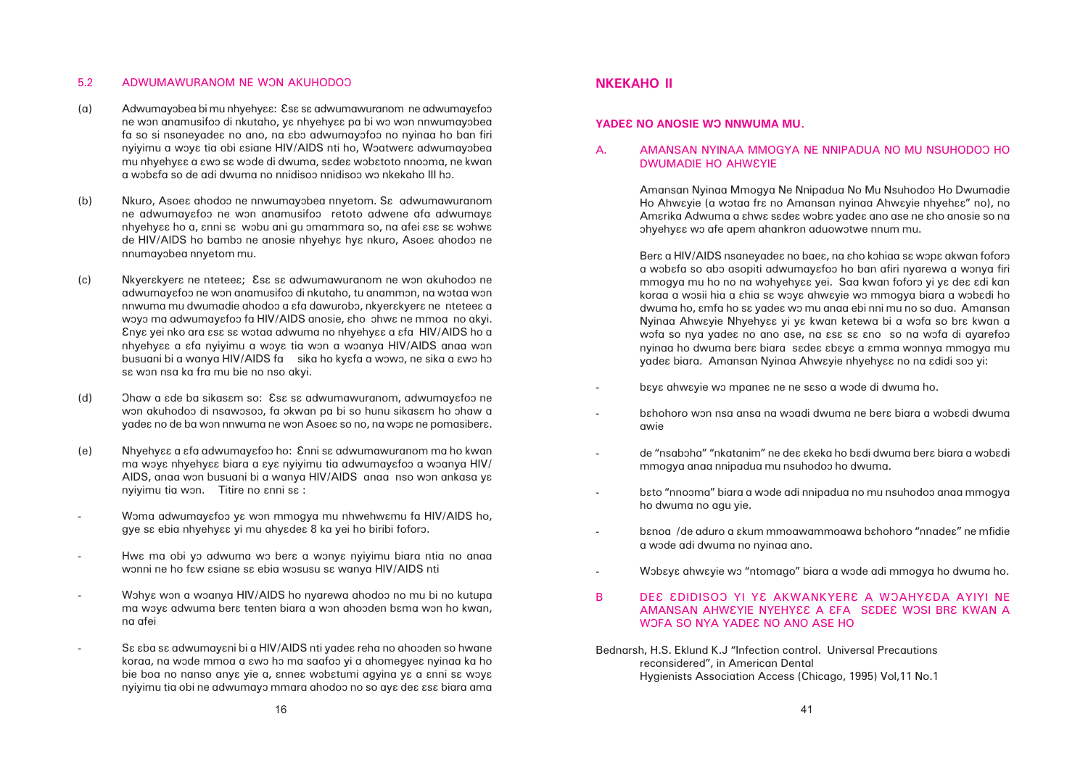### 5.2 ADWUMAWURANOM NE WON AKUHODOO

- (a) Adwumayobea bi mu nhyehyɛɛ: Esɛ sɛ adwumawuranom ne adwumayɛfoo ne won anamusifoo di nkutaho, ya nhyehyaa pa bi wo won nnwumayobea fa so si nsaneyadea no ano, na abo adwumayofoo no nyinaa ho ban firi nyiyimu a woya tia obi asiane HIV/AIDS nti ho, Woatwera adwumayobea mu nhyehyɛɛ a ɛwɔ sɛ wɔde di dwuma, sɛdeɛ wɔbɛtoto nnoɔma, ne kwan a wôbâfa so de adi dwuma no nnidisoô nnidisoô wô nkekaho III hô.
- (b) Nkuro, Asoes ahodoo ne nnwumayobea nnyetom. Sa adwumawuranom ne adwumayɛfoɔ ne wɔn anamusifoɔ retoto adwene afa adwumayɛ nhyehyaa ho a, anni sa wobu ani gu omammara so, na afei asa sa wohwa de HIV/AIDS ho bambo ne anosie nhyehya hya nkuro, Asoea ahodoo ne nnumayôbea nnyetom mu.
- (c) Nkyerakyera ne nteteea; Esa sa adwumawuranom ne won akuhodoo ne adwumayɛfoɔ ne wɔn anamusifoɔ di nkutaho, tu anammɔn, na wɔtaa wɔn nnwuma mu dwumadie ahodoo a  $\varepsilon$ fa dawurobo, nkyer $\varepsilon$ kyer $\varepsilon$  ne ntetee $\varepsilon$  a woyo ma adwumayafoo fa HIV/AIDS anosie, aho ohwa ne mmoa no akyi. Enya yei nko ara asa sa wotaa adwuma no nhyehyaa a afa HIV/AIDS ho a nhyehyaa a afa nyiyimu a woya tia won a woanya HIV/AIDS anaa won busuani bi a wanya HIV/AIDS fa sika ho kyɛfa a wɔwɔ, ne sika a ɛwɔ hɔ sɛ wɔn nsa ka fra mu bie no nso akyi.
- (d) Ohaw a  $\epsilon$ de ba sikasam so: Esa sa adwumawuranom, adwumayafoo ne won akuhodoo di nsawosoo, fa okwan pa bi so hunu sikasam ho ohaw a yadea no de ba won nnwuma ne won Asoea so no, na wopa ne pomasibera.
- (e) Nhyehyââ a âfa adwumayâfoô ho: Ânni sâ adwumawuranom ma ho kwan ma woya nhyehyaa biara a aya nyiyimu tia adwumayafoo a woanya HIV/ AIDS, anaa won busuani bi a wanya HIV/AIDS anaa nso won ankasa ya nyiyimu tia won. Titire no  $\epsilon$ nni sa :
- Woma adwumayafoo ya won mmogya mu nhwehwamu fa HIV/AIDS ho, gye sa ebia nhyehyaa yi mu ahyadea 8 ka yei ho biribi foforo.
- Hwa ma obi yo adwuma wo bera a wonya nyiyimu biara ntia no anaa wonni ne ho faw asiane sa ebia wosusu sa wanya HIV/AIDS nti
- Wohye won a woanya HIV/AIDS ho nyarewa ahodoo no mu bi no kutupa ma woya adwuma bera tenten biara a won ahooden bama won ho kwan, na afei
- S $\epsilon$   $\epsilon$ ba s $\epsilon$  adwumay $\epsilon$ ni bi a HIV/AIDS nti yade $\epsilon$  reha no ahooden so hwane koraa, na wode mmoa a  $\epsilon$ wo ho ma saafoo yi a ahomegye $\epsilon$  nyinaa ka ho bie boa no nanso anya yie a, annea wobatumi agyina ya a anni sa woya nyiyimu tia obi ne adwumayo mmara ahodoo no so aya dea asa biara ama

a wobafa so abo asopiti adwumayafoo ho ban afiri nyarewa a wonya firi mmogya mu ho no na wohyehyaa yei. Saa kwan foforo yi ya dea adi kan koraa a wosii hia a shia sa woya ahwayie wo mmogya biara a wobadi ho dwuma ho,  $\varepsilon$ mfa ho s $\varepsilon$  yade $\varepsilon$  wo mu anaa ebi nni mu no so dua. Amansan Nyinaa Ahwayie Nhyehyaa yi ya kwan ketewa bi a wofa so bra kwan a wofa so nya yadea no ano ase, na asa sa ano so na wofa di ayarefoo nyinaa ho dwuma bera biara sadea abaya a amma wonnya mmogya mu

bahohoro won nsa ansa na woadi dwuma ne bera biara a wobadi dwuma

de "nsaboha" "nkatanim" ne dea akeka ho badi dwuma bera biara a wobadi

banoa /de aduro a akum mmoawammoawa bahohoro "nnadea" ne mfidie

Wobaya ahwayie wo "ntomago" biara a wode adi mmogya ho dwuma ho.

# AMANSAN AHWEYIE NYEHYEE A EFA SEDEE WOSI BRE KWAN A

Amansan Nyinaa Mmogya Ne Nnipadua No Mu Nsuhodoô Ho Dwumadie Ho Ahwayie (a wotaa fra no Amansan nyinaa Ahwayie nhyehaa" no), no Amarika Adwuma a ahwa sadea wobra yadea ano ase ne aho anosie so na ohyehy $\epsilon$  wo afe apem ahankron aduowotwe nnum mu.

- Bere a HIV/AIDS nsaneyadea no baea, na aho kohiaa sa wopa akwan foforo yadea biara. Amansan Nyinaa Ahwayie nhyehyaa no na adidi soo yi:
- baya ahwayie wo mpanea ne ne saso a wode di dwuma ho.
- awie
- mmogya anaa nnipadua mu nsuhodoô ho dwuma.
- bato "nnooma" biara a wode adi nnipadua no mu nsuhodoo anaa mmogya ho dwuma no agu yie.

- a wode adi dwuma no nyinaa ano.
- 
- B DEE EDIDISOO YI YE AKWANKYERE A WOAHYEDA AYIYI NE WOFA SO NYA YADE & NO ANO ASE HO
- Bednarsh, H.S. Eklund K.J "Infection control. Universal Precautions reconsidered", in American Dental Hygienists Association Access (Chicago, 1995) Vol,11 No.1

# **NKEKAHO II**

### **YADEE NO ANOSIE WO NNWUMA MU.**

# A. AMANSAN NYINAA MMOGYA NE NNIPADUA NO MU NSUHODOO HO DWUMADIE HO AHWEYIE

-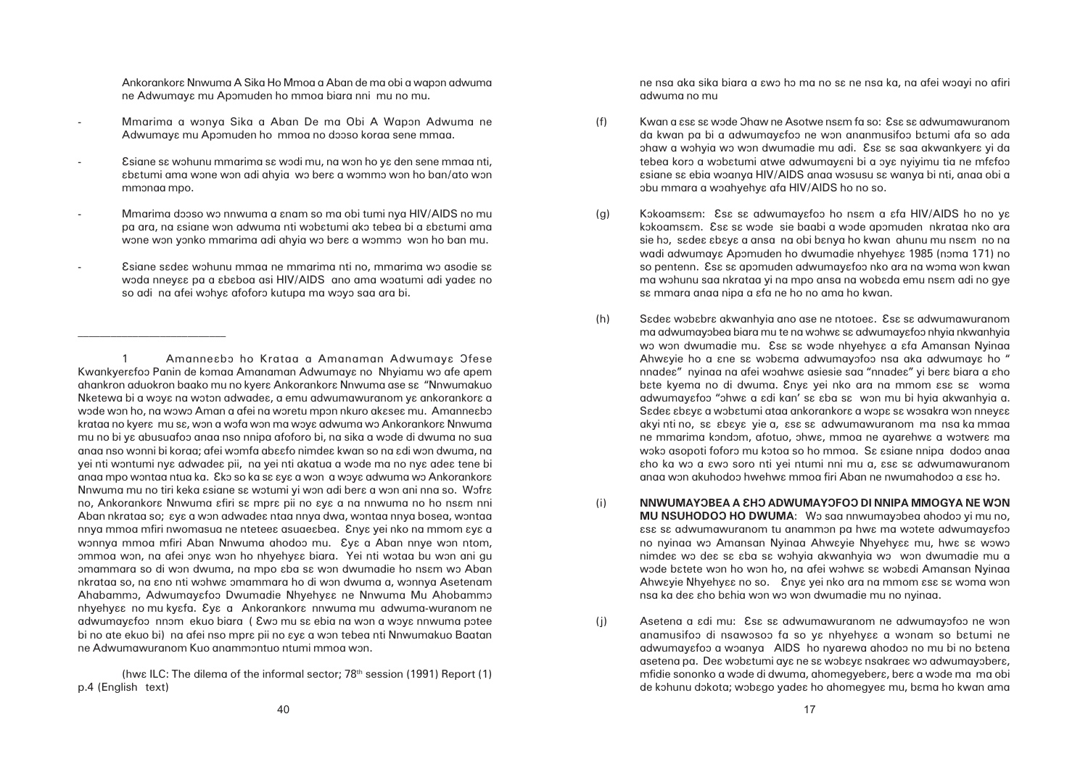Ankorankora Nnwuma A Sika Ho Mmoa a Aban de ma obi a wapon adwuma ne Adwumaya mu Apomuden ho mmoa biara nni mu no mu.

- Mmarima a wonya Sika a Aban De ma Obi A Wapon Adwuma ne Adwumaya mu Apomuden ho mmoa no dooso koraa sene mmaa.
- Esiane sa wohunu mmarima sa wodi mu, na won ho ya den sene mmaa nti, âbâtumi ama wône wôn adi ahyia wô berâ a wômmô wôn ho ban/ato wôn mmonaa mpo.
- Mmarima dooso wo nnwuma a anam so ma obi tumi nya HIV/AIDS no mu pa ara, na asiane won adwuma nti wobatumi ako tebea bi a abatumi ama wone won yonko mmarima adi ahyia wo bera a wommo won ho ban mu.
- $E$ siane s $E$ de $ε$  wɔhunu mmaa ne mmarima nti no, mmarima wɔ asodie sε woda nneyaa pa a ababoa asi HIV/AIDS ano ama woatumi adi yadea no so adi na afei wohye afoforo kutupa ma woyo saa ara bi.

ne nsa aka sika biara a  $\epsilon$ wo ho ma no s $\epsilon$  ne nsa ka, na afei woayi no afiri adwuma no mu

- (f) Kwan a  $\epsilon$ s $\epsilon$  sa wode Ohaw ne Asotwe nsam fa so:  $\epsilon$ sa sa adwumawuranom obu mmara a woahyehya afa HIV/AIDS ho no so.
- (g) Kokoamsam: Esa sa adwumayafoo ho nsam a afa HIV/AIDS ho no ya sa mmara anaa nipa a afa ne ho no ama ho kwan.
- (h) Sadea wobabra akwanhyia ano ase ne ntotoea. Esa sa adwumawuranom anaa won akuhodoo hwehwa mmoa firi Aban ne nwumahodoo a asa ho.
- (i) **NNWUMAYÔBEA A ÂHÔ ADWUMAYÔFOÔ DI NNIPA MMOGYA NE WÔN** nsa ka de $\epsilon$  aho bahia won wo won dwumadie mu no nyinaa.
- 
- 

da kwan pa bi a adwumayɛfoɔ ne wɔn ananmusifoɔ bɛtumi afa so ada ohaw a wohyia wo won dwumadie mu adi. Ese se saa akwankyere yi da tebea koro a wobatumi atwe adwumayani bi a oya nyiyimu tia ne mfafoo âsiane sâ ebia wôanya HIV/AIDS anaa wôsusu sâ wanya bi nti, anaa obi a

kokoamsam. Esa sa wode sie baabi a wode apomuden nkrataa nko ara sie ho, sadea abaya a ansa na obi banya ho kwan ahunu mu nsam no na wadi adwumaya Apomuden ho dwumadie nhyehyaa 1985 (noma 171) no so pentenn. Esa sa apomuden adwumayafoo nko ara na woma won kwan ma wohunu saa nkrataa yi na mpo ansa na wobada emu nsam adi no gye

ma adwumayobea biara mu te na wohwa sa adwumayafoo nhyia nkwanhyia wo won dwumadie mu. Esa sa wode nhyehyaa a afa Amansan Nyinaa Ahwayie ho a ane sa wobama adwumayofoo nsa aka adwumaya ho " nnade $\varepsilon$ " nyinaa na afei woahw $\varepsilon$  asiesie saa "nnade $\varepsilon$ " yi ber $\varepsilon$  biara a  $\varepsilon$ ho bate kyema no di dwuma. Enya yei nko ara na mmom asa sa woma adwumayafoo "ohwa a adi kan' sa aba sa won mu bi hyia akwanhyia a. Sadea abaya a wobatumi ataa ankorankora a wopa sa wosakra won nneyaa akyi nti no, sa abaya yie a, asa sa adwumawuranom ma nsa ka mmaa ne mmarima kondôm, afotuo, ohwa, mmoa ne ayarehwa a wotwera ma woko asopoti foforo mu kotoa so ho mmoa. Sa asiane nnipa dodoo anaa εho ka wo a εwo soro nti yei ntumi nni mu a, εsε sε adwumawuranom

**MU NSUHODOO HO DWUMA:** Wo saa nnwumayobea ahodoo yi mu no,  $\epsilon$ sa sa adwumawuranom tu anammon pa hwa ma wotete adwumayafoo no nyinaa wo Amansan Nyinaa Ahwayie Nhyehyaa mu, hwa sa wowo nimdea wo dea sa aba sa wohyig akwanhyig wo won dwumadie mu g wode batete won ho won ho, na afei wohwa sa wobadi Amansan Nyinaa Ahwayie Nhyehyaa no so. Enya yei nko ara na mmom asa sa woma won

(j) Asetena a *idi mu:* Ess si adwumawuranom ne adwumayofoo ne won anamusifoo di nsawosoo fa so ya nhyehyaa a wonam so batumi ne adwumayɛfoɔ a wɔanya AIDS ho nyarewa ahodoɔ no mu bi no bɛtena asetena pa. De $\varepsilon$  wob $\varepsilon$ tumi ay $\varepsilon$  ne s $\varepsilon$  wob $\varepsilon$ y $\varepsilon$  nsakrae $\varepsilon$  wo adwumayober $\varepsilon$ , mfidie sononko a wode di dwuma, ahomegyebera, bera a wode ma ma obi de kohunu dokota; wobago yadea ho ahomegyea mu, bama ho kwan ama

1 Amanne $\epsilon$ bo ho Krataa a Amanaman Adwumay $\epsilon$  Ofese Kwankyerafoo Panin de komaa Amanaman Adwumaya no Nhyiamu wo afe apem ahankron aduokron baako mu no kyera Ankorankora Nnwuma ase sa "Nnwumakuo" Nketewa bi a woya na woton adwadea, a emu adwumawuranom ya ankorankora a wode won ho, na wowo Aman a afei na woretu mpon nkuro akasea mu. Amanneabo krataa no kyera mu sa, won a wofa won ma woya adwuma wo Ankorankora Nnwuma mu no bi ya abusuafoo anaa nso nnipa afoforo bi, na sika a wode di dwuma no sua anaa nso wônni bi koraa; afei wômfa abââfo nimdeâ kwan so na âdi wôn dwuma, na yei nti wontumi nya adwadea pii, na yei nti akatua a wode ma no nya adea tene bi anaa mpo wontaa ntua ka. Eko so ka sa aya a won a woya adwuma wo Ankorankora Nnwuma mu no tiri keka asiane sa wotumi yi won adi bera a won ani nna so. Wofra no, Ankorankora Nnwuma afiri sa mpra pii no aya a na nnwuma no ho nsam nni Aban nkrataa so;  $\epsilon$ y $\epsilon$  a won adwade $\epsilon$  ntaa nnya dwa, wontaa nnya bosea, wontaa nnya mmoa mfiri nwomasua ne nteteea asuaeabea. Enya yei nko na mmom aya a wonnya mmoa mfiri Aban Nnwuma ahodoo mu. Eye a Aban nnye won ntom, ommoa won, na afei onya won ho nhyehyaa biara. Yei nti wotaa bu won ani gu omammara so di won dwuma, na mpo aba sa won dwumadie ho nsam wo Aban nkrataa so, na ano nti wohwa omammara ho di won dwuma a, wonnya Asetenam Ahabammo, Adwumayafoo Dwumadie Nhyehyaa ne Nnwuma Mu Ahobammo nhyehyaa no mu kyafa. Eya a Ankorankora nnwuma mu adwuma-wuranom ne adwumayafoo nnom ekuo biara ( Ewo mu sa ebia na won a woya nnwuma potee bi no ate ekuo bi) na afei nso mpre pii no  $\epsilon$ ye a won tebea nti Nnwumakuo Baatan ne Adwumawuranom Kuo anammôntuo ntumi mmoa wôn.

(hwe ILC: The dilema of the informal sector;  $78<sup>th</sup>$  session (1991) Report (1) p.4 (English text)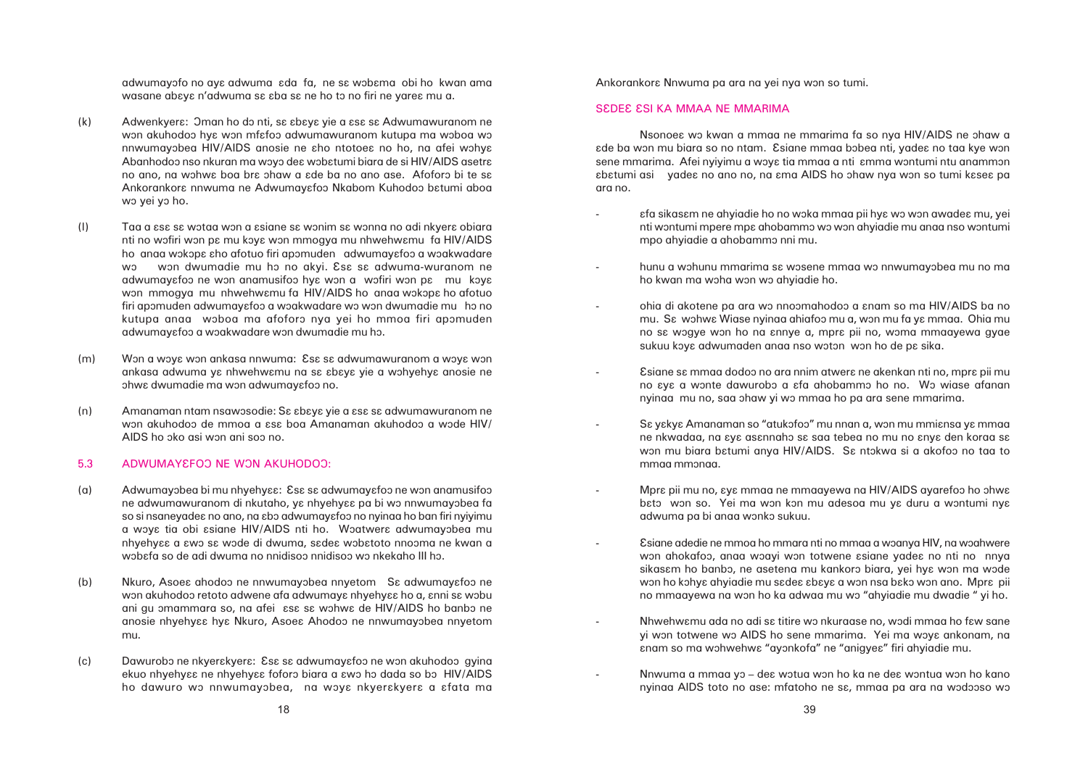afa sikasam ne ahyiadie ho no woka mmaa pii hya wo won awadea mu, yei nti wontumi mpere mpa ahobammo wo won ahyiadie mu anaa nso wontumi

mu. Sa wohwa Wiase nyinaa ahiafoo mu a, won mu fa ya mmaa. Ohia mu no sa wogye won ho na annye a, mpra pii no, woma mmaayewa gyae

Esiane sa mmaa dodoo no ara nnim atwera ne akenkan nti no, mpra pii mu no  $\epsilon$ y $\epsilon$  a wonte dawurobo a  $\epsilon$ fa ahobammo ho no. Wo wiase afanan

ne nkwadaa, na  $\epsilon$ y $\epsilon$  as $\epsilon$ nnaho s $\epsilon$  saa tebea no mu no  $\epsilon$ ny $\epsilon$  den koraa s $\epsilon$ won mu biara batumi anya HIV/AIDS. Sa ntokwa si a akofoo no taa to

Mpra pii mu no, aya mmaa ne mmaayewa na HIV/AIDS ayarefoo ho ohwa bato won so. Yei ma won kon mu adesoa mu ya duru a wontumi nya

Esiane adedie ne mmoa ho mmara nti no mmaa a woanya HIV, na woahwere won ahokafoo, anaa woayi won totwene asiane yadea no nti no nnya sikasam ho banbo, ne asetena mu kankoro biara, yei hya won ma wode won ho kohya ahyiadie mu sadea abaya a won nsa bako won ano. Mpra pii no mmaayewa na won ho ka adwaa mu wo "ahyiadie mu dwadie " yi ho.

Nhwehwamu ada no adi sa titire wo nkuraase no, wodi mmaa ho faw sane yi won totwene wo AIDS ho sene mmarima. Yei ma woye ankonam, na

nyinaa AIDS toto no ase: mfatoho ne sɛ, mmaa pa ara na wodooso wo

adwumayofo no aya adwuma ada fa, ne sa wobama obi ho kwan ama wasane abaya n'adwuma sa aba sa ne ho to no firi ne yarea mu a.

- (k) Adwenkyera: Oman ho do nti, sa abaya yie a asa sa Adwumawuranom ne won akuhodoo hya won mfafoo adwumawuranom kutupa ma woboa wo nnwumayobea HIV/AIDS anosie ne aho ntotoea no ho, na afei wohya Abanhodoo nso nkuran ma woyo dea wobatumi biara de si HIV/AIDS asetra no ano, na wohwe boa bre ohaw a ede ba no ano ase. Afoforo bi te se Ankorankora nnwuma ne Adwumayafoo Nkabom Kuhodoo batumi aboa wo yei yo ho.
- (I) Taa a  $\epsilon$ sa sa wotaa won a asiane sa wonim sa wonna no adi nkyera obiara nti no wofiri won pa mu koya won mmogya mu nhwehwamu fa HIV/AIDS ho anaa wokopa aho afotuo firi apomuden adwumayafoo a woakwadare wo won dwumadie mu ho no akyi. Ese se adwuma-wuranom ne adwumayɛfoɔ ne wɔn anamusifoɔ hyɛ wɔn a wɔfiri wɔn pɛ mu kɔyɛ won mmogya mu nhwehwamu fa HIV/AIDS ho anaa wokopa ho afotuo firi apomuden adwumayɛfoɔ a wɔakwadare wɔ wɔn dwumadie mu hɔ no kutupa anaa woboa ma afoforo nya yei ho mmoa firi apomuden adwumayɛfoɔ a wɔakwadare wɔn dwumadie mu hɔ.
- (m) Won a woya won ankasa nnwuma: Esa sa adwumawuranom a woya won ankasa adwuma ya nhwehwamu na sa abaya yie a wohyehya anosie ne ohwa dwumadie ma won adwumayafoo no.
- (n) Amanaman ntam nsawosodie: Se abaya yie a asa sa adwumawuranom ne won akuhodoo de mmoa a  $\text{ess}$  boa Amanaman akuhodoo a wode HIV/ AIDS ho ôko asi wôn ani soô no.

### 5.3 ADWUMAYEFOO NE WON AKUHODOO:

- (a) Adwumayobea bi mu nhyehyɛɛ: Esɛ sɛ adwumayɛfoo ne won anamusifoo ne adwumawuranom di nkutaho, ya nhyehyaa pa bi wo nnwumayobea fa so si nsaneyadea no ano, na abo adwumayafoo no nyinaa ho ban firi nyiyimu a woya tia obi asiane HIV/AIDS nti ho. Woatwera adwumayobea mu nhyehyaa a awo sa wode di dwuma, sadea wobatoto nnooma ne kwan a wobafa so de adi dwuma no nnidisoo nnidisoo wo nkekaho III ho.
- (b) Nkuro, Asoes ahodoo ne nnwumayobea nnyetom S& adwumayafoo ne won akuhodoo retoto adwene afa adwumaya nhyehyaa ho a, anni sa wobu ani gu omammara so, na afei ese se wohwe de HIV/AIDS ho banbo ne anosie nhyehy $\epsilon$ a hya Nkuro, Asoea Ahodoo ne nnwumayobea nnyetom mu.
- (c) Dawurobo ne nkyerakyera: Esa sa adwumayafoo ne won akuhodoo gyina ekuo nhyehyaa ne nhyehyaa foforo biara a awo ho dada so bo HIV/AIDS ho dawuro wo nnwumayobea, na woya nkyerakyera a afata ma

Ankorankora Nnwuma pa ara na yei nya won so tumi.

# SEDEE ESI KA MMAA NE MMARIMA

Nsonoe $\epsilon$  wo kwan a mmaa ne mmarima fa so nya HIV/AIDS ne ohaw a ade ba won mu biara so no ntam. Esiane mmaa bobea nti, yadea no taa kye won sene mmarima. Afei nyiyimu a woye tia mmaa a nti  $\epsilon$ mma wontumi ntu anammon abatumi asi yadea no ano no, na ama AIDS ho ohaw nya won so tumi kasea pa ara no.

- mpo ahyiadie a ahobammô nni mu.
- hunu a wohunu mmarima sa wosene mmaa wo nnwumayobea mu no ma ho kwan ma woha won wo ahyiadie ho.
- ohia di akotene pa ara wo nnoomahodoo a anam so ma HIV/AIDS ba no sukuu koya adwumaden anaa nso woton won ho de pa sika.
- nyinaa mu no, saa ohaw yi wo mmaa ho pa ara sene mmarima.
- Sε γεκγε Amanaman so "atukofoo" mu nnan a, won mu mmiεnsa γε mmaa mmaa mmônaa.
- adwuma pa bi anaa wonko sukuu.
- 
- anam so ma wohwehwa "ayonkofa" ne "anigyea" firi ahyiadie mu.
	- Nnwuma a mmaa yo dea wotua won ho ka ne dea wontua won ho kano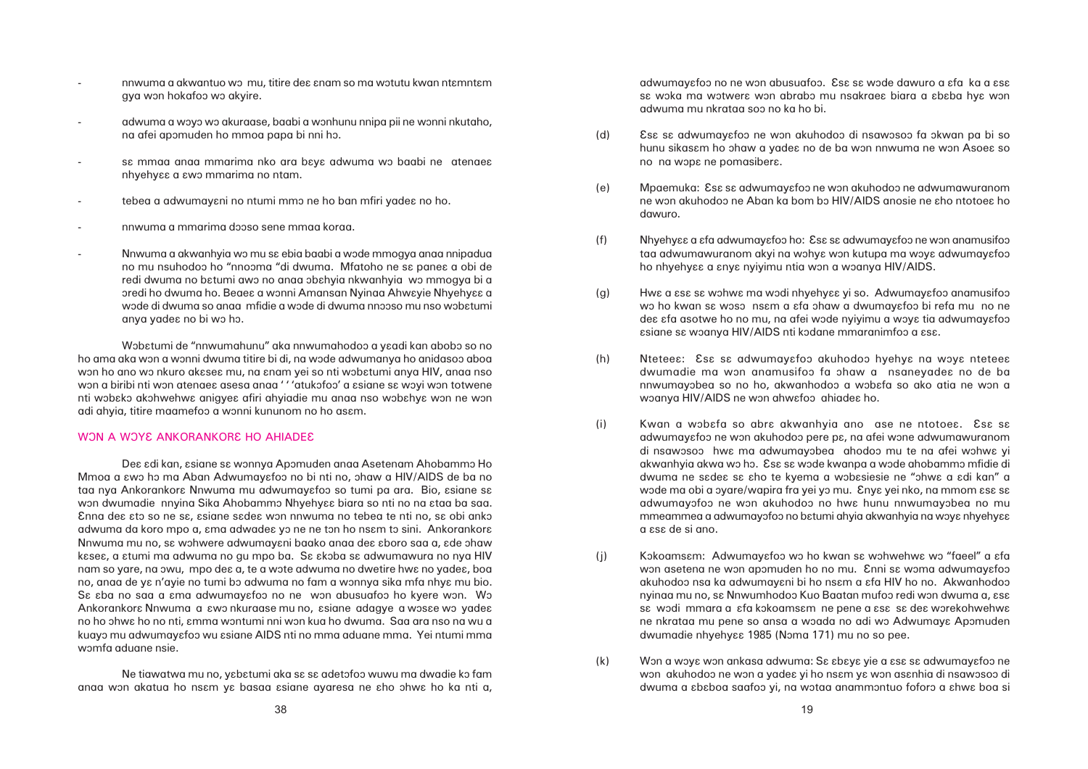- nnwuma a akwantuo wo mu, titire dea anam so ma wotutu kwan ntamntam gya won hokafoo wo akyire.
- adwuma a woyo wo akuraase, baabi a wonhunu nnipa pii ne wonni nkutaho, na afei apomuden ho mmoa papa bi nni ho.
- sa mmaa anaa mmarima nko ara baya adwuma wo baabi ne atenaea nhyehyɛɛ a ɛwɔ mmarima no ntam.
- tebea a adwumayani no ntumi mmo ne ho ban mfiri yadea no ho.
- nnwuma a mmarima dôôso sene mmaa koraa.
- Nnwuma a akwanhyia wo mu sa ebia baabi a wode mmogya anaa nnipadua no mu nsuhodoo ho "nnooma "di dwuma. Mfatoho ne sa panea a obi de redi dwuma no bɛtumi awɔ no anaa ɔbɛhyia nkwanhyia wɔ mmogya bi a oredi ho dwuma ho. Beaes a wonni Amansan Nyinaa Ahweyie Nhyehyes a wode di dwuma so anaa mfidie a wode di dwuma nnooso mu nso wobatumi anya yadea no bi wo ho.

Wobatumi de "nnwumahunu" aka nnwumahodoo a yaadi kan abobo so no ho ama aka won a wonni dwuma titire bi di, na wode adwumanya ho anidasoo aboa won ho ano wo nkuro akasea mu, na anam yei so nti wobatumi anya HIV, anaa nso won a biribi nti won atenae asesa anaa ' ' 'atukofoo' a ssiane sa woyi won totwene nti wobako akohwehwa anigyea afiri ahyiadie mu anaa nso wobahya won ne won adi ahyia, titire maamefoo a wonni kununom no ho asam.

#### WON A WOYE ANKORANKORE HO AHIADEE

Dea adi kan, asiane sa wonnya Apomuden anaa Asetenam Ahobammo Ho Mmoa a  $\epsilon$ wo ho ma Aban Adwumay $\epsilon$ foo no bi nti no, ohaw a HIV/AIDS de ba no taa nya Ankorankora Nnwuma mu adwumayafoo so tumi pa ara. Bio, asiane sa won dwumadie nnyina Sika Ahobammo Nhyehyaa biara so nti no na ataa ba saa. Enna dea ato so ne sa, asiane sadea won nnwuma no tebea te nti no, sa obi anko adwuma da koro mpo a, ama adwadea yo ne ne ton ho nsam to sini. Ankorankora Nnwuma mu no, se wohwere adwumayani baako anaa dea aboro saa a, ade ohaw kasea, a atumi ma adwuma no gu mpo ba. Sa akoba sa adwumawura no nya HIV nam so yare, na owu, mpo dea a, te a wote adwuma no dwetire hwa no yadea, boa no, anaa de ya n'ayie no tumi bo adwuma no fam a wonnya sika mfa nhya mu bio. Sa aba no saa a ama adwumayafoo no ne won abusuafoo ho kyere won. Wo Ankorankora Nnwuma a awo nkuraase mu no, asiane adagye a wosae wo yadea no ho ôhwâ ho no nti, âmma wôntumi nni wôn kua ho dwuma. Saa ara nso na wu a kuayo mu adwumayɛfoɔ wu ɛsiane AIDS nti no mma aduane mma. Yei ntumi mma womfa aduane nsie.

Ne tiawatwa mu no, yabatumi aka sa sa adetofoo wuwu ma dwadie ko fam anaa won akatua ho nsam ya basaa asiane ayaresa ne aho ohwa ho ka nti a, hunu sikasam ho ohaw a yadea no de ba won nnwuma ne won Asoea so

ne won akuhodoo ne Aban ka bom bo HIV/AIDS anosie ne aho ntotoea ho

taa adwumawuranom akyi na wohya won kutupa ma woya adwumayafoo

wo ho kwan sa woso nsam a afa ohaw a dwumayafoo bi refa mu no ne dea afa asotwe ho no mu, na afei wode nyiyimu a woya tia adwumayafoo

dwumadie ma won anamusifoo fa ohaw a nsaneyades no de ba nnwumayobea so no ho, akwanhodoo a wobafa so ako atia ne won a

adwumayɛfoɔ ne wɔn akuhodoɔ pere pɛ, na afei wɔne adwumawuranom di nsawosoo hwa ma adwumayobea ahodoo mu te na afei wohwa yi akwanhyia akwa wo ho. Esa sa wode kwanpa a wode ahobammo mfidie di dwuma ne sadea sa aho te kyema a wobasiesie ne "ohwa a adi kan" a wode ma obi a oyare/wapira fra yei yo mu. Enya yei nko, na mmom asa sa adwumayofoo ne won akuhodoo no hwa hunu nnwumayobea no mu mmeammea a adwumayofoo no batumi ahyia akwanhyia na woya nhyehyaa

won asetena ne won apomuden ho no mu. Enni sa woma adwumayafoo akuhodoo nsa ka adwumayani bi ho nsam a afa HIV ho no. Akwanhodoo nyinga mu no, sa Nnwumhodoo Kuo Baatan mufoo redi won dwuma a, asa sa wodi mmara a afa kokoamsam ne pene a asa sa dea worekohwehwa ne nkrataa mu pene so ansa a woada no adi wo Adwumaya Apomuden

won akuhodoo ne won a yadea yi ho nsam ya won asanhia di nsawosoo di dwuma a  $\epsilon$ b $\epsilon$ boa saafoo yi, na wotaa anammontuo foforo a  $\epsilon$ hw $\epsilon$  boa si

adwumayafoo no ne won abusuafoo. Esa sa wode dawuro a afa ka a asa sa woka ma wotwera won abrabo mu nsakraea biara a ababa hya won adwuma mu nkrataa soô no ka ho bi.

- (d) Esa sa adwumayafoo ne won akuhodoo di nsawosoo fa okwan pa bi so no na wopε ne pomasiberε.
- (e) Mpaemuka: Esa sa adwumayafoo ne won akuhodoo ne adwumawuranom dawuro.
- (f) Nhyehyaa a afa adwumayafoo ho: Esa sa adwumayafoo ne won anamusifoo ho nhyehyɛɛ a ɛnyɛ nyiyimu ntia wɔn a wɔanya HIV/AIDS.
- (g) Hwa a asa sa wohwa ma wodi nhyehyaa yi so. Adwumayafoo anamusifoo  $s$ siane s $s$  woanya HIV/AIDS nti kodane mmaranimfoo a  $s$ s $s$ .
- (h) Ntetees: Ess se adwumayafoo akuhodoo hyehya na woya nteteea woanya HIV/AIDS ne won ahwafoo ahiadea ho.
- (i) Kwan a wobafa so abra akwanhyia ano ase ne ntotoea. Esa sa a âsâ de si ano.
- (i) Kokoamsam: Adwumayafoo wo ho kwan sa wohwehwa wo "faeel" a afa dwumadie nhyehyaa 1985 (Noma 171) mu no so pee.
- (k) Won a woya won ankasa adwuma: Sa abaya yie a asa sa adwumayafoo ne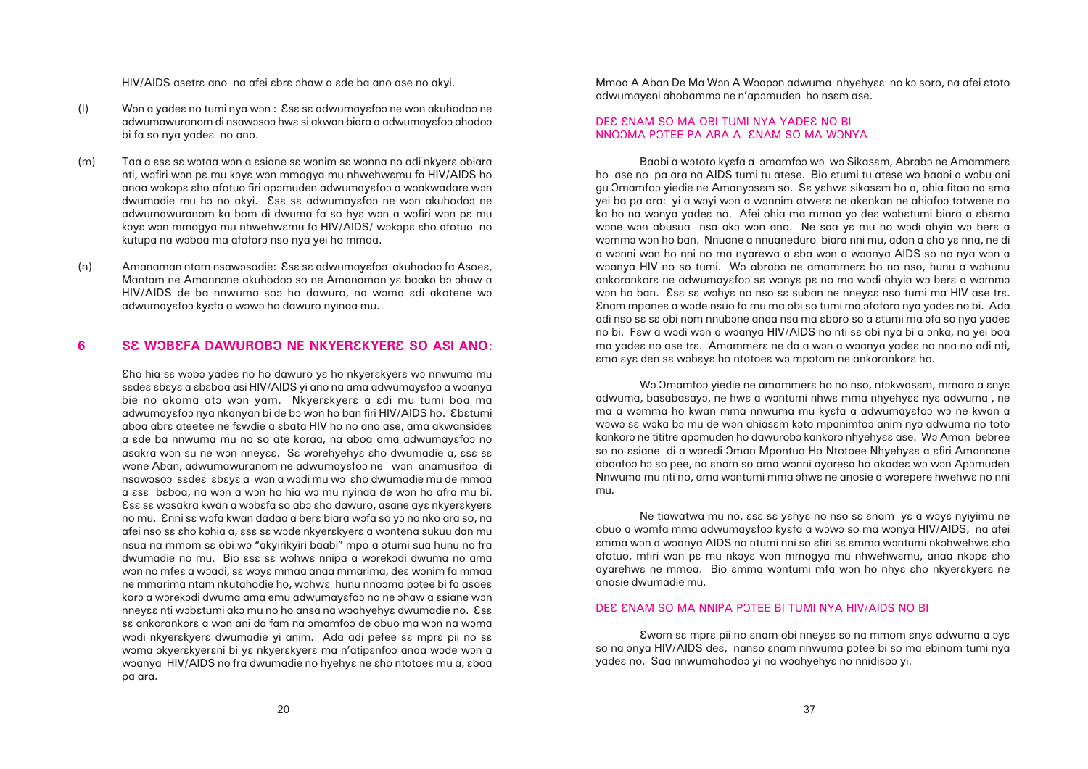HIV/AIDS asetre ano na afei abre ohaw a ade ba ano ase no akyi.

- (I) Won a yadea no tumi nya won : Esa sa adwumayafoo ne won akuhodoo ne adwumawuranom di nsawosoo hwa si akwan biara a adwumayafoo ahodoo bi fa so nya yadea no ano.
- (m) Taa a  $\epsilon$ sa sa wotaa won a asiane sa wonim sa wonna no adi nkyera obiara nti, wofiri won pa mu koya won mmogya mu nhwehwamu fa HIV/AIDS ho anaa wokopa aho afotuo firi apomuden adwumayafoo a woakwadare won dwumadie mu ho no akyi. Esa sa adwumayafoo ne won akuhodoo ne adwumawuranom ka bom di dwuma fa so hye won a wofiri won pe mu koya won mmogya mu nhwehwamu fa HIV/AIDS/ wokopa aho afotuo no kutupa na woboa ma afoforo nso nya yei ho mmoa.
- (n) Amanaman ntam nsawosodie: Ese se adwumayefoo akuhodoo fa Asoee, Mantam ne Amannone akuhodoo so ne Amanaman ya baako bo ohaw a HIV/AIDS de ba nnwuma soo ho dawuro, na woma adi akotene wo adwumayafoo kyafa a wowo ho dawuro nyinaa mu.

# **6 SE WOBEFA DAWUROBO NE NKYEREKYERE SO ASI ANO:**

Eho hia sa wobo yadea no ho dawuro ya ho nkyerakyera wo nnwuma mu sadea abaya a ababoa asi HIV/AIDS yi ano na ama adwumayafoo a woanya bie no akoma ato won yam. Nkyerskyera a adi mu tumi boa ma adwumayɛfoɔ nya nkanyan bi de bɔ wɔn ho ban firi HIV/AIDS ho. Ebɛtumi aboa abra ateetee ne fawdie a abata HIV ho no ano ase, ama akwansidea a  $\epsilon$ de ba nnwuma mu no so ate koraa, na aboa ama adwumay $\epsilon$ foo no asakra won su ne won nneyaa. Sa worehyehya aho dwumadie a, asa sa wone Aban, adwumawuranom ne adwumayafoo ne won anamusifoo di nsawosoo sadea abaya a won a wodi mu wo aho dwumadie mu de mmoa a  $\epsilon$ sa b $\epsilon$ baoa, na won a won ho hia wo mu nyinaa de won ho afra mu bi. Esa sa wosakra kwan a wobafa so abo aho dawuro, asane aya nkyerakyera no mu. Enni sa wofa kwan dadaa a bera biara wofa so yo no nko ara so, na afei nso sa aho kohia a, asa sa wode nkyerakyera a wontena sukuu dan mu nsua na mmom sa obi wo "akyirikyiri baabi" mpo a otumi sua hunu no fra dwumadie no mu. Bio  $\epsilon$ sa sa wohwa nnipa a worekodi dwuma no ama won no mfea a woadi, sa woya mmaa anaa mmarima, dea wonim fa mmaa ne mmarima ntam nkutahodie ho, wohwa hunu nnooma potee bi fa asoea koro a worekodi dwuma ama emu adwumayafoo no ne ohaw a asiane won nneyaa nti wobatumi ako mu no ho ansa na woahyehya dwumadie no. Esa sa ankorankora a won ani da fam na omamfoo de obuo ma won na woma wodi nkyerakyera dwumadie yi anim. Ada adi pefee sa mpra pii no sa woma okyerakyerani bi ya nkyerakyera ma n'atipanfoo anaa wode won a woanya HIV/AIDS no fra dwumadie no hyehya ne aho ntotoea mu a, aboa pa ara.

Mmoa A Aban De Ma Won A Woapon adwuma nhyehyaa no ko soro, na afei atoto adwumayani ahobammo ne n'apomuden ho nsam ase.

### DEE ENAM SO MA OBI TUMI NYA YADEE NO BI NNOOMA POTEE PA ARA A ENAM SO MA WONYA

Baabi a wototo kyɛfa a omamfoo wo wo Sikasɛm, Abrabo ne Amammerɛ ho ase no pa ara na AIDS tumi tu atese. Bio  $\varepsilon$ tumi tu atese wo baabi a wobu ani gu Omamfoo yiedie ne Amanyosam so. Sa yahwa sikasam ho a, ohia fitaa na ama yei ba pa ara: yi a woyi won a wonnim atwers ne akenkan ne ahiafoo totwene no ka ho na wonya yadea no. Afei ohia ma mmaa yo dea wobatumi biara a abama wone won abusua nsa ako won ano. Ne saa ya mu no wodi ahyia wo bera a wommo won ho ban. Nnuane a nnuaneduro biara nni mu, adan a  $\epsilon$ ho y $\epsilon$  nna, ne di a wonni won ho nni no ma nyarewa a aba won a woanya AIDS so no nya won a woanya HIV no so tumi. Wo abrabo ne amammera ho no nso, hunu a wohunu ankorankora ne adwumayafoo sa wonya pa no ma wodi ahyia wo bera a wommo won ho ban. Esa sa wohya no nso sa suban ne nneyaa nso tumi ma HIV ase tra. Enam mpane $\varepsilon$  a wode nsuo fa mu ma obi so tumi ma ofoforo nya yade $\varepsilon$  no bi. Ada adi nso sa sa obi nom nnubone anaa nsa ma aboro so a atumi ma ofa so nya yadea no bi. Few a wodi won a woanya HIV/AIDS no nti se obi nya bi a onka, na yei boa ma yadea no ase tra. Amammera ne da a won a woanya yadea no nna no adi nti, âma âyâ den sâ wôbâyâ ho ntotoeâ wô mpôtam ne ankorankorâ ho.

Wo Omamfoo yiedie ne amammera ho no nso, ntokwasam, mmara a anya adwuma, basabasayo, ne hwa a wontumi nhwa mma nhyehyaa nya adwuma, ne ma a womma ho kwan mma nnwuma mu kyɛfa a adwumayɛfoo wo ne kwan a wowo sa woka bo mu de won ahiasam koto mpanimfoo anim nyo adwuma no toto kankoro ne tititre apomuden ho dawurobo kankoro nhyehyaa ase. Wo Aman bebree so no asiane di a woredi Oman Mpontuo Ho Ntotoee Nhyehyaa a afiri Amannone aboafoo ho so pee, na anam so ama wonni ayaresa ho akadea wo won Apomuden Nnwuma mu nti no, ama wontumi mma ohwa ne anosie a worepere hwehwa no nni mu.

Ne tiawatwa mu no,  $\epsilon$ sa sa yahya no nso sa anam ya a woya nyiyimu ne obuo a womfa mma adwumayafoo kyafa a wowo so ma wonya HIV/AIDS, na afei amma won a woanya AIDS no ntumi nni so afiri sa amma wontumi nkohwehwa aho afotuo, mfiri won pa mu nkoya won mmogya mu nhwehwamu, anaa nkopa aho ayarehwa ne mmoa. Bio amma wontumi mfa won ho nhya aho nkyerakyera ne anosie dwumadie mu.

# DEE ENAM SO MA NNIPA POTEE BI TUMI NYA HIV/AIDS NO BI

Ewom sa mpra pii no anam obi nneya so na mmom anya adwuma a oya so na onya HIV/AIDS des, nanso anam nnwuma potee bi so ma ebinom tumi nya yadea no. Saa nnwumahodoo yi na woahyehya no nnidisoo yi.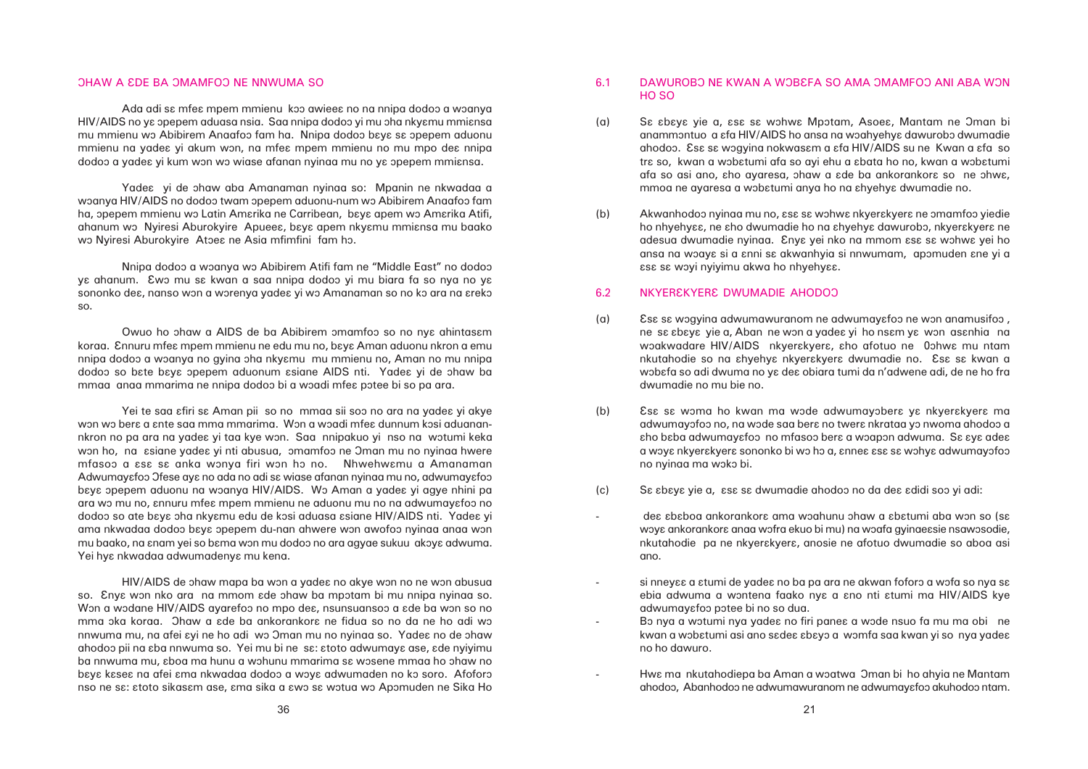#### OHAW A EDE BA OMAMFOO NE NNWUMA SO

Ada adi sa mfea mpem mmienu koo awieea no na nnipa dodoo a woanya HIV/AIDS no ya opepem aduasa nsia. Saa nnipa dodoo yi mu oha nkyamu mmiansa mu mmienu wo Abibirem Anaafoo fam ha. Nnipa dodoo baya sa opepem aduonu mmienu na vadea yi akum won, na mfea mpem mmienu no mu mpo dea nnipa dodoo a yadea yi kum won wo wiase afanan nyinaa mu no ya opepem mmiansa.

Yade $\epsilon$  yi de ohaw aba Amanaman nyinaa so: Mpanin ne nkwadaa a woanya HIV/AIDS no dodoo twam opepem aduonu-num wo Abibirem Anaafoo fam ha, opepem mmienu wo Latin Amarika ne Carribean, baya apem wo Amarika Atifi, ahanum wo Nyiresi Aburokyire Apuees, baya apem nkyamu mmiansa mu baako wo Nyiresi Aburokyire Atoea ne Asia mfimfini fam ho.

anammontuo a  $\epsilon$ fa HIV/AIDS ho ansa na woahyehy $\epsilon$  dawurobo dwumadie ahodoo. Es $\varepsilon$  s $\varepsilon$  wogyina nokwas $\varepsilon$ m a  $\varepsilon$ fa HIV/AIDS su ne Kwan a  $\varepsilon$ fa so tre so, kwan a wobetumi afa so ayi ehu a ebata ho no, kwan a wobetumi afa so asi ano, aho ayaresa, ohaw a ade ba ankorankora so ne ohwa,

ho nhyehyaa, ne aho dwumadie ho na ahyehya dawurobo, nkyerakyera ne adesua dwumadie nyinaa. Enya yei nko na mmom asa sa wohwa yei ho ansa na woaya si a anni sa akwanhyia si nnwumam, apomuden ane yi a

ne sa abaya yie a, Aban ne won a yadea yi ho nsam ya won asanhia na woakwadare HIV/AIDS nkyerakyera, aho afotuo ne 0ohwa mu ntam nkutahodie so na ahyehya nkyerakyera dwumadie no. Esa sa kwan a wobafa so adi dwuma no ya dea obiara tumi da n'adwene adi, de ne ho fra

adwumayofoo no, na wode saa bera no twera nkrataa yo nwoma ahodoo a aho baba adwumayafoo no mfasoo bera a woapon adwuma. Sa aya adea a woya nkyerakyera sononko bi wo ho a, annea asa sa wohya adwumayofoo

dea ababog ankorankora ama woahunu ohaw a abatumi aba won so (sa woye ankorankore anaa wofra ekuo bi mu) na woafa gyinaeesie nsawosodie, nkutahodie pa ne nkyerakyera, anosie ne afotuo dwumadie so aboa asi

si nneyɛɛ a ɛtumi de yadeɛ no ba pa ara ne akwan foforɔ a wɔfa so nya sɛ ebia adwuma a wontena faako nya a ano nti atumi ma HIV/AIDS kye

kwan a wobatumi asi ano sadea abayo a womfa saa kwan yi so nya yadea

ahodoo, Abanhodoo ne adwumawuranom ne adwumayafoo akuhodoo ntam.

# 6.1 DAWUROBO NE KWAN A WOBEFA SO AMA OMAMFOO ANI ABA WON HO SO

- (a) Sa abaya yie a, asa sa wohwa Mpotam, Asoea, Mantam ne Oman bi mmoa ne ayaresa a wobatumi anya ho na ahyehya dwumadie no.
- (b) Akwanhodoo nyinaa mu no,  $\epsilon$ s $\epsilon$  sa wohwa nkyerakyera ne omamfoo yiedie  $\epsilon$ sa sa woyi nyiyimu akwa ho nhyehy $\epsilon$ a.

#### 6.2 NKYER EKYERÊ DWUMADIE AHODOO

- (a) Ess sa wogying adwumawuranom ne adwumayafoo ne won anamusifoo, dwumadie no mu bie no.
- (b) Esa sa woma ho kwan ma wode adwumayobera ya nkyerakyera ma no nyinaa ma woko bi.
- (c) Sâ âbâyâ yie a, âsâ sâ dwumadie ahodoô no da deâ âdidi soô yi adi:

- ano.
- adwumayafoo potee bi no so dua. -Bo nya a wotumi nya yadea no firi panea a wode nsuo fa mu ma obi ne no ho dawuro.
	- Hwa ma nkutahodiepa ba Aman a woatwa Oman bi ho ahyia ne Mantam

-

Nnipa dodoo a woanya wo Abibirem Atifi fam ne "Middle East" no dodoo yɛ ahanum. Ewɔ mu sɛ kwan a saa nnipa dodoɔ yi mu biara fa so nya no yɛ sononko de $\epsilon$ , nanso won a worenya yade $\epsilon$  yi wo Amanaman so no ko ara na  $\epsilon$ reko so.

Owuo ho ohaw a AIDS de ba Abibirem omamfoo so no nya ahintasam koraa. Ennuru mfea mpem mmienu ne edu mu no, baya Aman aduonu nkron a emu nnipa dodoo a woanya no gyina oha nkyɛmu mu mmienu no, Aman no mu nnipa dodoo so bate baya opepem aduonum asiane AIDS nti. Yadea yi de ohaw ba mmaa anaa mmarima ne nnipa dodoo bi a woadi mfea potee bi so pa ara.

Yei te saa afiri sa Aman pii so no mmaa sii soo no ara na yadea yi akye won wo bera a ante saa mma mmarima. Won a woadi mfea dunnum kosi aduanannkron no pa ara na yadea yi taa kye won. Saa nnipakuo yi nso na wotumi keka won ho, na ssiane yades yi nti abusua, omamfoo ne Oman mu no nyinaa hwere mfasoo a  $\mathfrak s$  is anka wonya firi won ho no. Nhwehwemu a Amanaman Adwumayɛfoɔ Ofese ayɛ no ada no adi sɛ wiase afanan nyinaa mu no, adwumayɛfoɔ baya opepem aduonu na woanya HIV/AIDS. Wo Aman a yadea yi agye nhini pa ara wo mu no, annuru mfea mpem mmienu ne aduonu mu no na adwumayafoo no dodoo so ate baya oha nkyamu edu de kosi aduasa asiane HIV/AIDS nti. Yadea yi ama nkwadaa dodoo b $\epsilon$ y $\epsilon$  opepem du-nan ahwere won awofoo nyinaa anaa won mu baako, na snam yei so b $em$ a won mu dodoo no ara agyae sukuu akoy $\varepsilon$  adwuma. Yei hya nkwadaa adwumadenya mu kena.

HIV/AIDS de ohaw mapa ba won a yadea no akye won no ne won abusua so. Enye won nko ara na mmom ede ohaw ba mpotam bi mu nnipa nyinaa so. Won a wodane HIV/AIDS ayarefoo no mpo des, nsunsuansoo a ade ba won so no mma oka koraa. Ohaw a  $\epsilon$ de ba ankorankor $\epsilon$  ne fidua so no da ne ho adi wo nnwuma mu, na afei syi ne ho adi wo Oman mu no nyinaa so. Yades no de ohaw ahodoo pii na aba nnwuma so. Yei mu bi ne sa: atoto adwumaya ase, ade nyiyimu ba nnwuma mu, aboa ma hunu a wohunu mmarima sa wosene mmaa ho ohaw no baya kasea na afei ama nkwadaa dodoo a woya adwumaden no ko soro. Afoforo nso ne sa: atoto sikasam ase, ama sika a awo sa wotua wo Apomuden ne Sika Ho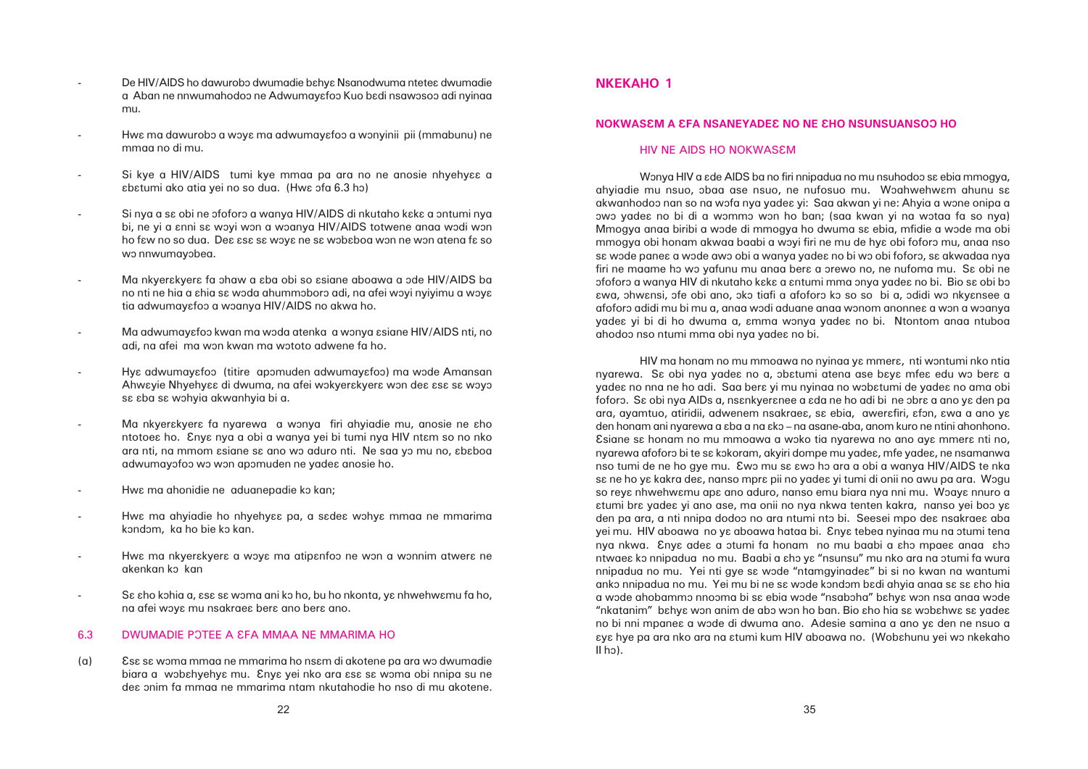- De HIV/AIDS ho dawurobo dwumadie bahya Nsanodwuma ntetea dwumadie a Aban ne nnwumahodoo ne Adwumayɛfoɔ Kuo bɛdi nsawɔsoɔ adi nyinaa mu.
- Hwa ma dawurobo a woya ma adwumayafoo a wonyinii pii (mmabunu) ne mmaa no di mu.
- Si kye a HIV/AIDS tumi kye mmaa pa ara no ne anosie nhyehyee a abatumi ako atia yei no so dua. (Hwa ofa 6.3 ho)
- Si nya a sa obi ne ofoforo a wanya HIV/AIDS di nkutaho kaka a ontumi nya bi, ne yi a anni sa woyi won a woanya HIV/AIDS totwene anaa wodi won ho faw no so dua. Dea asa sa woya ne sa wobaboa won ne won atena fa so wo nnwumayobea.
- Ma nkyer $\epsilon$ kyer $\epsilon$  fa ohaw a  $\epsilon$ ba obi so  $\epsilon$ siane aboawa a ode HIV/AIDS ba no nti ne hia a shia sa woda ahummoboro adi, na afei woyi nyiyimu a woya tia adwumayafoo a woanya HIV/AIDS no akwa ho.
- Ma adwumayafoo kwan ma woda atenka a wonya asiane HIV/AIDS nti, no adi, na afei ma won kwan ma wototo adwene fa ho.
- Hye adwumayefoo (titire apomuden adwumayefoo) ma wode Amansan Ahwayie Nhyehyaa di dwuma, na afei wokyerakyera won dea asa sa woyo sa aba sa wohyia akwanhyia bi a.
- Ma nkyer $\epsilon$ kyer $\epsilon$  fa nyarewa a wonya firi ahyiadie mu, anosie ne  $\epsilon$ ho ntotoea ho. Enya nya a obi a wanya yei bi tumi nya HIV ntam so no nko ara nti, na mmom asiane sa ano wo aduro nti. Ne saa yo mu no, ababoa adwumayofoo wo won apomuden ne yades anosie ho.
- Hwa ma ahonidie ne aduanepadie ko kan;
- Hwa ma ahyiadie ho nhyehyaa pa, a sadea wohya mmaa ne mmarima kondom, ka ho bie ko kan.
- Hwa ma nkyerakyera a woya ma atipanfoo ne won a wonnim atwera ne akenkan ko kan
- Sε εho kohia a, εsε sε woma ani ko ho, bu ho nkonta, yε nhwehwεmu fa ho, na afei woys mu nsakraes bers ano bers ano.

# 6.3 DWUMADIE POTEE A £FA MMAA NE MMARIMA HO

(a) Es $\epsilon$  se woma mmaa ne mmarima ho nsem di akotene pa ara wo dwumadie biara a wobahyehya mu. Enya yei nko ara asa sa woma obi nnipa su ne deâ ônim fa mmaa ne mmarima ntam nkutahodie ho nso di mu akotene.

Wonya HIV a *ede AIDS* ba no firi nnipadua no mu nsuhodoo se ebia mmogya, ahyiadie mu nsuo, obaa ase nsuo, ne nufosuo mu. Woahwehwam ahunu sa akwanhodoo nan so na wofa nya yadea yi: Saa akwan yi ne: Ahyia a wone onipa a ôwô yadeâ no bi di a wômmô wôn ho ban; (saa kwan yi na wôtaa fa so nya) Mmogya anaa biribi a wode di mmogya ho dwuma sa ebia, mfidie a wode ma obi mmogya obi honam akwaa baabi a woyi firi ne mu de hy $\varepsilon$  obi foforo mu, anaa nso sa wode panea a wode awo obi a wanya yadea no bi wo obi foforo, sa akwadaa nya firi ne maame ho wo yafunu mu anaa bera a orewo no, ne nufoma mu. Sa obi ne ofoforo a wanya HIV di nkutaho kaka a antumi mma onya yadea no bi. Bio sa obi bo âwa, ôhwânsi, ôfe obi ano, ôkô tiafi a afoforô kô so so bi a, ôdidi wô nkyânsee a afoforo adidi mu bi mu a, anaa wodi aduane anaa wonom anonne $\bm{\varepsilon}$  a won a woanya yadea yi bi di ho dwuma a, amma wonya yadea no bi. Ntontom anaa ntuboa ahodoô nso ntumi mma obi nya yadeâ no bi.

HIV ma honam no mu mmoawa no nyinaa ya mmera, nti wontumi nko ntia nyarewa. Sa obi nya yadea no a, obatumi atena ase baya mfea edu wo bera a yadeɛ no nna ne ho adi. Saa berɛ yi mu nyinaa no wɔbɛtumi de yadeɛ no ama obi foforo. Sa obi nya AIDs a, nsankyeranee a ada ne ho adi bi ne obra a ano ya den pa ara, ayamtuo, atiridii, adwenem nsakraea, sa ebia, awerafiri, afon, awa a ano ya den honam ani nyarewa a ɛba a na ɛkɔ – na asane-aba, anom kuro ne ntini ahonhono. Esiane sa honam no mu mmoawa a woko tia nyarewa no ano aya mmera nti no, nyarewa afoforo bi te sa kokoram, akyiri dompe mu yadea, mfe yadea, ne nsamanwa nso tumi de ne ho gye mu. Ewo mu sa awo ho gra a obi a wanya HIV/AIDS te nka sa ne ho ya kakra dea, nanso mpra pii no yadea yi tumi di onii no awu pa ara. Wogu so reya nhwehwamu apa ano aduro, nanso emu biara nya nni mu. Woaya nnuro a atumi bra yadea yi ano ase, ma onii no nya nkwa tenten kakra, nanso yei boo ya den pa ara, a nti nnipa dodoo no ara ntumi nto bi. Seesei mpo dea nsakraea aba yei mu. HIV aboawa no ya aboawa hataa bi. Enya tebea nyinaa mu na otumi tena nya nkwa. Enya adea a otumi fa honam no mu baabi a aho mpaea anaa aho ntwae ko nnipadua no mu. Baabi a ɛhɔ yɛ "nsunsu" mu nko ara na otumi fa wura nnipadua no mu. Yei nti gye sa wode "ntamgyinadea" bi si no kwan na wantumi anko nnipadua no mu. Yei mu bi ne sa wode kondom badi ahyia anaa sa sa aho hia a wode ahobammo nnooma bi sa ebia wode "nsaboha" bahya won nsa anaa wode "nkatanim" bahya won anim de abo won ho ban. Bio aho hia sa wobahwa sa yadea no bi nni mpanea a wode di dwuma ano. Adesie samina a ano ya den ne nsuo a âyâ hye pa ara nko ara na âtumi kum HIV aboawa no. (Wobâhunu yei wô nkekaho  $II$  ho).

# **NKEKAHO 1**

### **NOKWASÂM A ÂFA NSANEYADEÂ NO NE ÂHO NSUNSUANSOÔ HO**

#### HIV NE AIDS HO NOKWASEM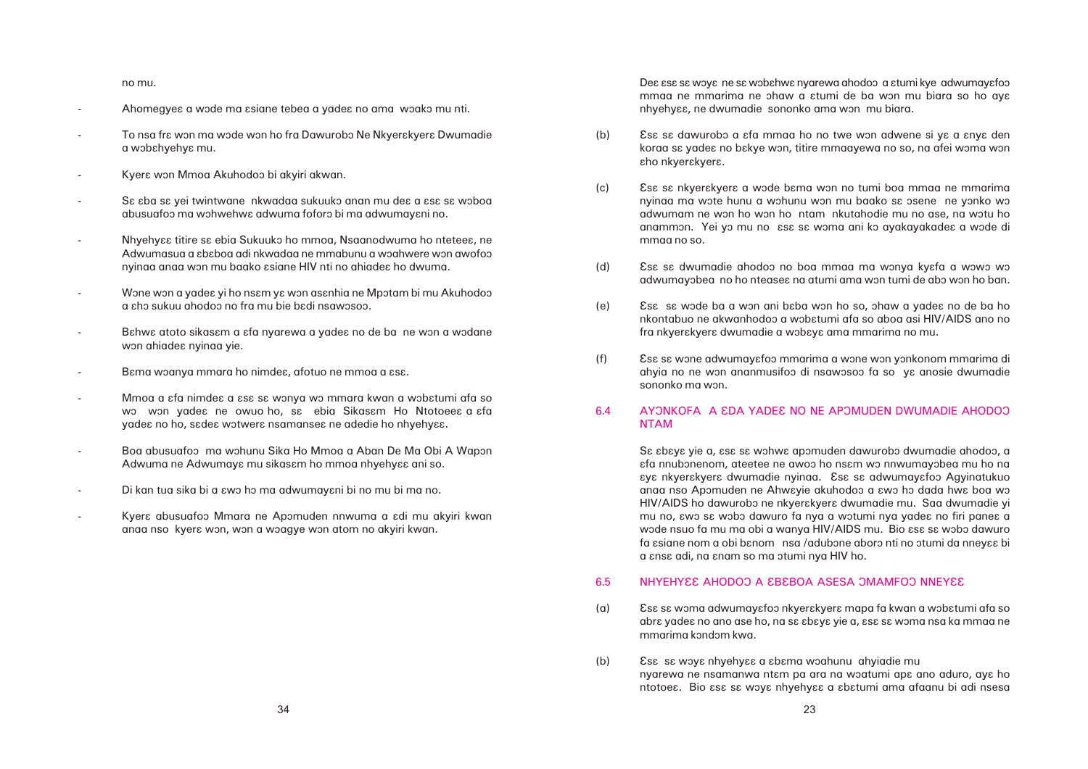# 6.4 AYONKOFA A EDA YADEE NO NE APOMUDEN DWUMADIE AHODOO NTAM

Sa abaya yie a, asa sa wohwa apomuden dawurobo dwumadie ahodoo, a  $\epsilon$ fa nnubonenom, ateetee ne awoo ho ns $\epsilon$ m wo nnwumayobea mu ho na âyâ nkyerâkyerâ dwumadie nyinaa. Âsâ sâ adwumayâfoô Agyinatukuo anaa nso Apomuden ne Ahwayie akuhodoo a awo ho dada hwa boa wo HIV/AIDS ho dawurobo ne nkyerakyera dwumadie mu. Saa dwumadie yi mu no,  $\epsilon$ wo s $\epsilon$  wobo dawuro fa nya a wotumi nya yade $\epsilon$  no firi pane $\epsilon$  a wode nsuo fa mu ma obi a wanya HIV/AIDS mu. Bio εsε sε wobo dawuro fa esiane nom a obi benom nsa /adubone aboro nti no otumi da nneyee bi a  $e$ ns $e$  adi, na  $e$ nam so ma  $\sigma$ tumi nya HIV ho.

# 6.5 NHYEHYÊ AHODOO A EBÊBOA ASESA ƏMAMFOO NNEYÊ

- (a) Es $\epsilon$  sa woma adwumayafoo nkyerakyera mapa fa kwan a wobatumi afa so mmarima kondom kwa.
- (b) Esa sa woya nhyehyaa a abama woahunu ahyiadie mu nyarewa ne nsamanwa ntam pa ara na woatumi apa ano aduro, aya ho

koraa sa yadea no bakye won, titire mmaayewa no so, na afei woma won

nyinaa ma wote hunu a wohunu won mu baako sa osene ne yonko wo adwumam ne won ho won ho ntam nkutahodie mu no ase, na wotu ho anammon. Yei yo mu no ese se woma ani ko ayakayakadee a wode di

adwumayobea no ho nteasea na atumi ama won tumi de abo won ho ban.

nkontabuo ne akwanhodoo a wobatumi afa so aboa asi HIV/AIDS ano no

ahyia no ne won ananmusifoo di nsawosoo fa so ye anosie dwumadie

abra yadea no ano ase ho, na sa abaya yie a, asa sa woma nsa ka mmaa ne

ntotoea. Bio asa sa woya nhyehyaa a abatumi ama afaanu bi adi nsesa

no mu.

- Ahomegyea a wode ma asiane tebea a yadea no ama woako mu nti.
- To nsa fra won ma wode won ho fra Dawurobo Ne Nkyerakyera Dwumadie a wôbâhyehyâ mu.
- Kyera won Mmoa Akuhodoo bi akyiri akwan.
- Sa aba sa yei twintwane nkwadaa sukuuko anan mu dea a asa sa woboa abusuafoo ma wohwehwe adwuma foforo bi ma adwumayeni no.
- Nhyehyaa titire sa ebia Sukuuko ho mmoa, Nsaanodwuma ho nteteea, ne Adwumasua a ababoa adi nkwadaa ne mmabunu a woahwere won awofoo nyinaa anaa won mu baako  $s$ siane HIV nti no ahiade $\epsilon$  ho dwuma.
- Wone won a yadea yi ho nsam ya won asanhia ne Mpotam bi mu Akuhodoo a âhô sukuu ahodoô no fra mu bie bâdi nsawôsoô.
- Bahwa atoto sikasam a afa nyarewa a yadea no de ba ne won a wodane won ahiadea nyinaa yie.
- Bama woanya mmara ho nimdea, afotuo ne mmoa a asa.
- Mmoa a  $\epsilon$ fa nimde $\epsilon$  a  $\epsilon$ s $\epsilon$  sa wonya wo mmara kwan a wob $\epsilon$ tumi afa so wo won yadea ne owuo ho, sa ebia Sikasam Ho Ntotoeea a afa yadea no ho, sadea wotwera nsamansea ne adedie ho nhyehyaa.
- Boa abusuafoo ma wohunu Sika Ho Mmoa a Aban De Ma Obi A Wapon Adwuma ne Adwumaya mu sikasam ho mmoa nhyehyaa ani so.
- Di kan tua sika bi a  $\epsilon$ wo ho ma adwumayani bi no mu bi ma no.
- Kyera abusuafoo Mmara ne Apomuden nnwuma a adi mu akyiri kwan anaa nso kyera won, won a woagye won atom no akyiri kwan.

Dea asa sa woya ne sa wobahwa nyarewa ahodoo a atumi kye adwumayafoo mmaa ne mmarima ne ohaw a  $\epsilon$ tumi de ba won mu biara so ho ay $\epsilon$ nhyehy $\epsilon$ e, ne dwumadie sononko ama won mu biara.

- (b) Ess sa dawurobo a afa mmaa ho no twe won adwene si ya a anya den εho nkyerεkyerε.
- (c) Essa sa nkyerakyera a wode bama won no tumi boa mmaa ne mmarima mmaa no so.
- (d) Ess se dwumadie ahodoo no boa mmaa ma wonya kyafa a wowo wo
- (e) Esa sa wode ba a won ani baba won ho so, ohaw a yadea no de ba ho fra nkyer $\epsilon$ kyer $\epsilon$  dwumadie a wob $\epsilon$ y $\epsilon$  ama mmarima no mu.
- (f) Ess se wone adwumayefoo mmarima a wone won yonkonom mmarima di sononko ma won.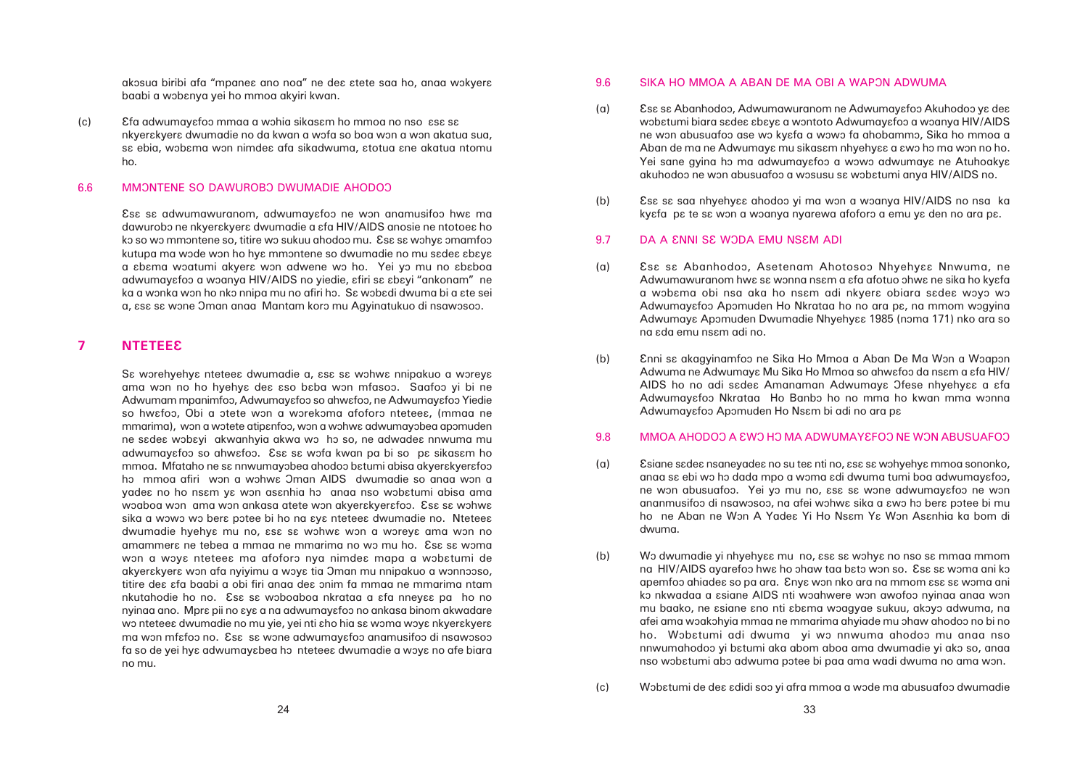wobatumi biara sadea abaya a wontoto Adwumayafoo a woanya HIV/AIDS ne won abusuafoo ase wo kyɛfa a wowo fa ahobammo, Sika ho mmoa a Aban de ma ne Adwumaya mu sikasam nhyehyaa a awo ho ma won no ho. Yei sane gyina ho ma adwumayafoo a wowo adwumaya ne Atuhoakya

Adwumawuranom hwa sa wonna nsam a afa afotuo ohwa ne sika ho kyafa a wobama obi nsa aka ho nsam adi nkyera obiara sadea woyo wo Adwumayafoo Apomuden Ho Nkrataa ho no ara pa, na mmom wogyina Adwumaya Apomuden Dwumadie Nhyehyaa 1985 (noma 171) nko ara so

Adwuma ne Adwumaya Mu Sika Ho Mmoa so ahwafoo da nsam a afa HIV/ AIDS ho no adi sadea Amanaman Adwumaya Ofese nhyehyaa a afa Adwumayafoo Nkrataa Ho Banbo ho no mma ho kwan mma wonna

anaa sa ebi wo ho dada mpo a woma adi dwuma tumi boa adwumayafoo, ne won abusuafoo. Yei yo mu no, asa sa wone adwumayafoo ne won ananmusifoo di nsawosoo, na afei wohwe sika a  $\epsilon$ wo ho bere potee bi mu ho ne Aban ne Won A Yadea Yi Ho Nsam Ya Won Asanhia ka bom di

na HIV/AIDS ayarefoo hwa ho ohaw taa bato won so. Esa sa woma ani ko apemfoo ahiadea so pa ara. Enya won nko ara na mmom asa sa woma ani ko nkwadaa a asiane AIDS nti woahwere won awofoo nyinaa anaa won mu baako, ne asiane ano nti abama woagyae sukuu, akoyo adwuma, na afei ama wôakôhyia mmaa ne mmarima ahyiade mu ôhaw ahodoô no bi no ho. Wobatumi adi dwuma yi wo nnwuma ahodoo mu anaa nso nnwumahodoo yi batumi aka abom aboa ama dwumadie yi ako so, anaa nso wobatumi abo adwuma potee bi paa ama wadi dwuma no ama won.

akosua biribi afa "mpanea ano noa" ne dea atete saa ho, anaa wokyera baabi a wobanya yei ho mmoa akyiri kwan.

(c) Efa adwumayefoo mmaa a wohia sikasam ho mmoa no nso asa sa nkyerakyera dwumadie no da kwan a wofa so boa won a won akatua sua, sa ebia, wobama won nimdea afa sikadwuma, atotua ane akatua ntomu ho.

#### 6.6 MMONTENE SO DAWUROBO DWUMADIE AHODOO

Esa sa adwumawuranom, adwumayafoo ne won anamusifoo hwa ma dawurobo ne nkyerakyera dwumadie a afa HIV/AIDS anosie ne ntotoea ho ko so wo mmontene so, titire wo sukuu ahodoo mu. Esa sa wohya omamfoo kutupa ma wode won ho hya mmontene so dwumadie no mu sadea abaya a sbama woatumi akyera won adwene wo ho. Yei yo mu no ababoa adwumayɛfoɔ a wɔanya HIV/AIDS no yiedie, ɛfiri sɛ ɛbɛyi "ankonam" ne ka a wonka won ho nko nnipa mu no afiri ho. Se wobedi dwuma bi a ete sei a, ese se wone Oman anaa Mantam koro mu Agyinatukuo di nsawosoo.

# **7 NTETEEÂ**

Sa worehyehya nteteea dwumadie a, asa sa wohwa nnipakuo a woreya ama won no ho hyehya dea aso baba won mfasoo. Saafoo yi bi ne Adwumam mpanimfoo, Adwumayɛfoo so ahwɛfoɔ, ne Adwumayɛfoo Yiedie so hwafoo, Obi a otete won a worekoma afoforo nteteea, (mmaa ne mmarima), won a wotete atipanfoo, won a wohwa adwumayobea apomuden ne sadea wobayi akwanhyia akwa wo ho so, ne adwadea nnwuma mu adwumayafoo so ahwafoo. Esa sa wofa kwan pa bi so pa sikasam ho mmog. Mfataho ne sa nnwumayobea ahodoo batumi abisa akyerakyerafoo ho mmoa afiri won a wohwe Oman AIDS dwumadie so anaa won a yadea no ho nsam ya won asanhia ho anaa nso wobatumi abisa ama woaboa won ama won ankasa atete won akyerakyerafoo. Esa sa wohwa sika a wowo wo bera potee bi ho na aya nteteea dwumadie no. Nteteea dwumadie hyehya mu no, asa sa wohwa won a woreya ama won no amammera ne tebea a mmaa ne mmarima no wo mu ho. Esa sa woma won a woya nteteea ma afoforo nya nimdea mapa a wobatumi de akyerakyera won afa nyiyimu a woya tia Oman mu nnipakuo a wonnooso, titire des sfa baabi a obi firi anaa des onim fa mmaa ne mmarima ntam nkutahodie ho no. Ese se woboaboa nkrataa a efa nneyee pa ho no nyinaa ano. Mpra pii no aya a na adwumayafoo no ankasa binom akwadare wo ntetee dwumadie no mu yie, yei nti aho hia sa woma woya nkyerakyera ma won mfafoo no. Esa sa wone adwumayafoo anamusifoo di nsawosoo fa so de yei hya adwumayabea ho nteteea dwumadie a woya no afe biara no mu.

# 9.6 SIKA HO MMOA A ABAN DE MA OBI A WAPON ADWUMA

- (a) Es $\epsilon$  sa Abanhodoo, Adwumawuranom ne Adwumayafoo Akuhodoo ya dea akuhodoo ne won abusuafoo a wosusu sa wobatumi anya HIV/AIDS no.
- (b) Essa saa nhyehyaa ahodoo yi ma won a woanya HIV/AIDS no nsa ka kyefa pe te se won a woanya nyarewa afoforo a emu ye den no ara pe.

### 9.7 DA A ENNI SE WODA EMU NSEM ADI

- (a) Ess sa Abanhodoo, Asetenam Ahotosoo Nhyehyaa Nnwuma, ne na  $\epsilon$ da emu ns $\epsilon$ m adi no.
- (b) Enni sa akagyinamfoo ne Sika Ho Mmoa a Aban De Ma Won a Woapon Adwumayɛfoɔ Apɔmuden Ho Nsɛm bi adi no ara pɛ

# 9.8 MMOA AHODOO A EWO HO MA ADWUMAYEFOO NE WON ABUSUAFOO

- (a) Esiane sadea nsaneyadea no su tea nti no, asa sa wohyehya mmoa sononko, dwuma.
- (b) Wo dwumadie yi nhyehyaa mu no, asa sa wohya no nso sa mmaa mmom
- (c) Wôbâtumi de deâ âdidi soô yi afra mmoa a wôde ma abusuafoô dwumadie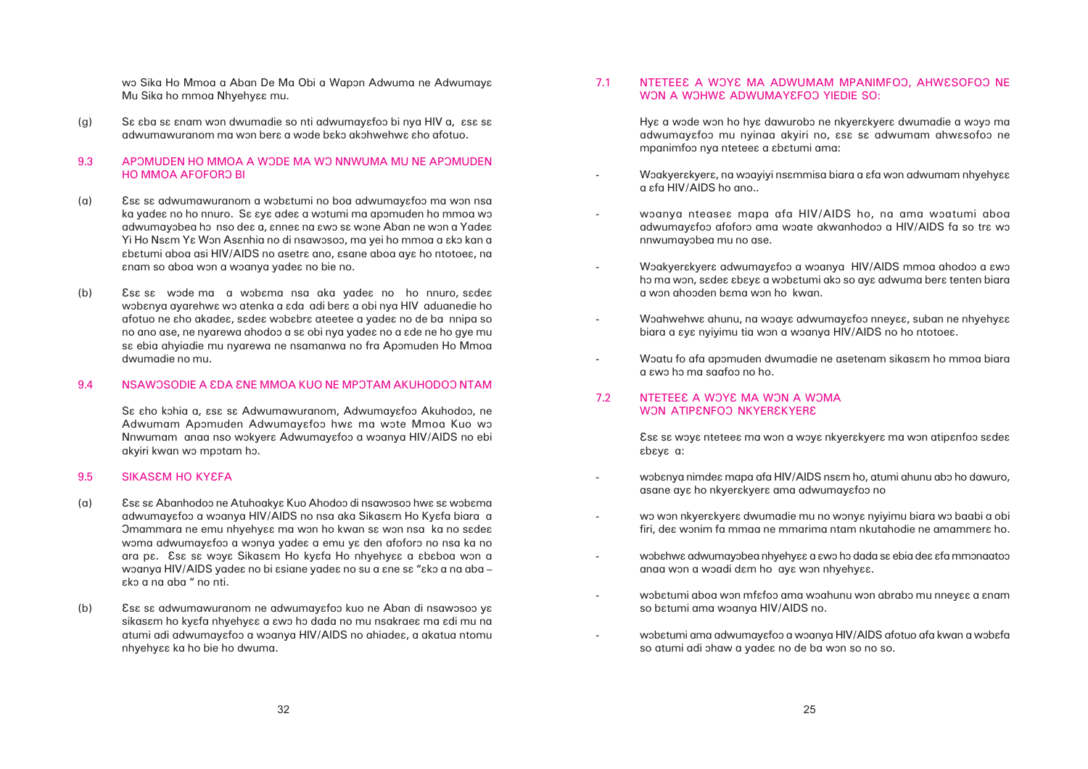wo Sika Ho Mmoa a Aban De Ma Obi a Wapon Adwuma ne Adwumaya Mu Sika ho mmoa Nhyehyaa mu.

(g) S $\epsilon$  sba sa anam won dwumadie so nti adwumayafoo bi nya HIV a, asa sa adwumawuranom ma won bera a wode bako akohwehwa aho afotuo.

### 9.3 APOMUDEN HO MMOA A WODE MA WO NNWUMA MU NE APOMUDEN HO MMOA AFOFORO BI

Hya a wode won ho hya dawurobo ne nkyerakyera dwumadie a woyo ma adwumayafoo mu nyinaa akyiri no, asa sa adwumam ahwasofoo ne

Woakyerakyera, na woayiyi nsammisa biara a afa won adwumam nhyehyaa

woanya nteasea mapa afa HIV/AIDS ho, na ama woatumi aboa adwumayɛfoɔ afoforɔ ama wɔate akwanhodoɔ a HIV/AIDS fa so trɛ wɔ

Woakyerakyera adwumayafoo a woanya HIV/AIDS mmoa ahodoo a awo ho ma won, sadea abaya a wobatumi ako so aya adwuma bera tenten biara

Woahwehwa ahunu, na woaya adwumayafoo nneyaa, suban ne nhyehyaa

Woatu fo afa apomuden dwumadie ne asetenam sikasam ho mmoa biara

wobɛnya nimdeɛ mapa afa HIV/AIDS nsɛm ho, atumi ahunu abo ho dawuro,

wo won nkyerakyera dwumadie mu no wonya nyiyimu biara wo baabi a obi firi, des wonim fa mmaa ne mmarima ntam nkutahodie ne amammers ho.

wobahwa adwumayobea nhyehyaa a awo ho dada sa ebia dea afa mmonaatoo

wobatumi aboa won mfafoo ama woahunu won abrabo mu nneyaa a anam

wobatumi ama adwumayafoo a woanya HIV/AIDS afotuo afa kwan a wobafa

- mpanimfoo nya nteteea a abatumi ama:
- a  $\varepsilon$ fa HIV/AIDS ho ano..
- nnwumayôbea mu no ase.
- a wôn ahoôden bâma wôn ho kwan.
- biara a  $\epsilon$ y $\epsilon$  nyiyimu tia won a woanya HIV/AIDS no ho ntotoe $\epsilon$ .
- a âwô hô ma saafoô no ho.

### 7.2 NTETEE E A WOYE MA WON A WOMA WON ATIPENFOO NKYEREKYERE

Âsâ sâ wôyâ nteteeâ ma wôn a wôyâ nkyerâkyerâ ma wôn atipânfoô sâdeâ âbâyâ a:

- asane aya ho nkyerakyera ama adwumayafoo no
- 
- anaa won a woadi dam ho aya won nhyehyaa.
- so bɛtumi ama wɔanya HIV/AIDS no.
- so atumi adi ohaw a yades no de ba won so no so.
- (a) Ess sa adwumawuranom a wobatumi no boa adwumayafoo ma won nsa ka yadea no ho nnuro. Sa aya adea a wotumi ma apomuden ho mmoa wo adwumayobea ho nso dea a, annea na awo sa wone Aban ne won a Yadea Yi Ho Nsɛm Yɛ Wɔn Asɛnhia no di nsawɔsoɔ, ma yei ho mmoa a ɛkɔ kan a  $\epsilon$ batumi aboa asi HIV/AIDS no asetra ano, asane aboa aya ho ntotoea, na anam so aboa won a woanya yadea no bie no.
- (b) Ess sa wode ma a wobama nsa aka yadea no ho nnuro, sadea wobanya ayarehwa wo atenka a ada adi bera a obi nya HIV aduanedie ho afotuo ne âho akadeâ, sâdeâ wôbâbrâ ateetee a yadeâ no de ba nnipa so no ano ase, ne nyarewa ahodoo a sa obi nya yadea no a ade ne ho gye mu sa ebia ahyiadie mu nyarewa ne nsamanwa no fra Apomuden Ho Mmoa dwumadie no mu.

### 9.4 NSAWOSODIE A £DA £NE MMOA KUO NE MPOTAM AKUHODOO NTAM

Sa aho kohia a, asa sa Adwumawuranom, Adwumayafoo Akuhodoo, ne Adwumam Apomuden Adwumayafoo hwa ma wote Mmoa Kuo wo Nnwumam anaa nso wokyera Adwumayafoo a woanya HIV/AIDS no ebi akyiri kwan wo mpotam ho.

#### 9.5 SIKASEM HO KYEFA

- (a) Es $\epsilon$  sa Abanhodoo ne Atuhoakya Kuo Ahodoo di nsawosoo hwa sa wobama adwumayɛfoɔ a wɔanya HIV/AIDS no nsa aka Sikasɛm Ho Kyɛfa biara a Omammara ne emu nhyehyaa ma won ho kwan sa won nsa ka no sadea woma adwumayafoo a wonya yadea a emu ya den afoforo no nsa ka no ara pa. Esa sa woya Sikasam Ho kyafa Ho nhyehyaa a ababoa won a woanya HIV/AIDS yadea no bi asiane yadea no su a ane sa "ako a na aba – âkô a na aba " no nti.
- (b) Ess sa adwumawuranom ne adwumayafoo kuo ne Aban di nsawosoo ya sikasam ho kyafa nhyehyaa a awo ho dada no mu nsakraea ma adi mu na atumi adi adwumayafoo a woanya HIV/AIDS no ahiadea, a akatua ntomu nhyehyaa ka ho bie ho dwuma.

# 7.1 NTETEE A WOYE MA ADWUMAM MPANIMFOO, AHWESOFOO NE WON A WOHWE ADWUMAYEFOO YIEDIE SO:

-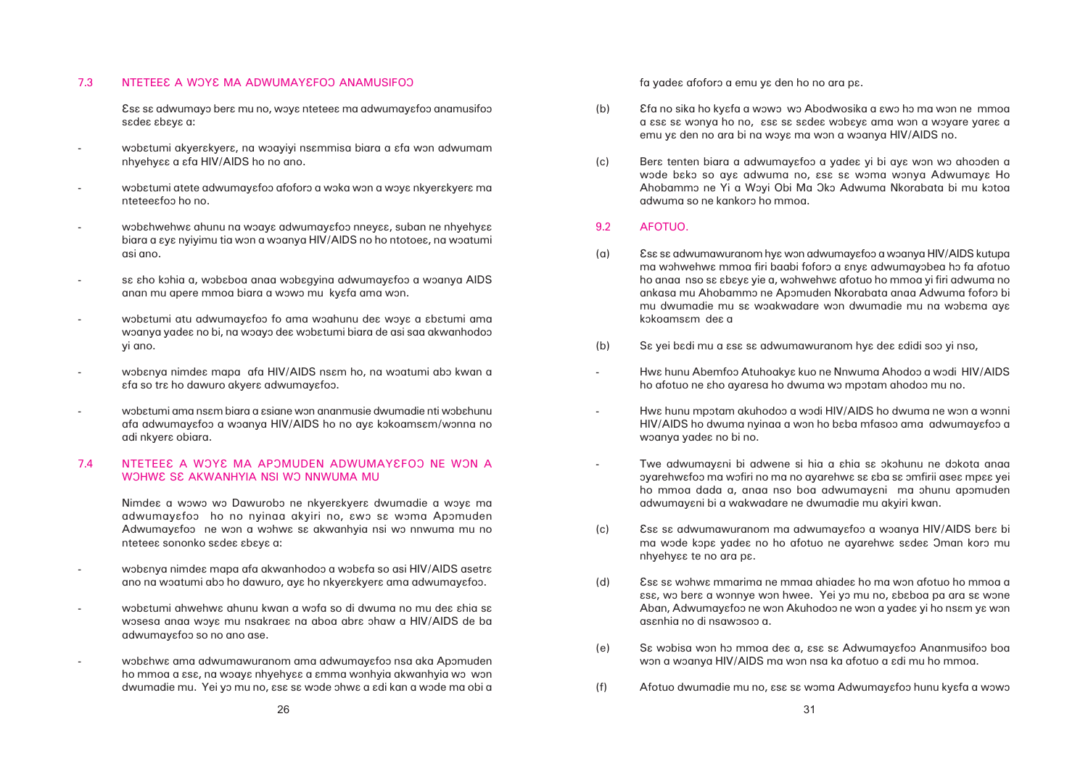#### 7.3 NTETEE A WOYE MA ADWUMAYE FOO ANAMUSIFOO

Esa sa adwumayo bera mu no, woya nteteea ma adwumayafoo anamusifoo sadea abaya a:

- wobatumi akyerakyera, na woayiyi nsammisa biara a afa won adwumam nhyehyââ a âfa HIV/AIDS ho no ano.
- wobatumi atete adwumayafoo afoforo a woka won a woya nkyerakyera ma nteteeâfoô ho no.
- wobahwehwa ahunu na woaya adwumayafoo nneyaa, suban ne nhyehyaa biara a  $\epsilon$ y $\epsilon$  nyiyimu tia won a woanya HIV/AIDS no ho ntotoe $\epsilon$ , na woatumi asi ano.
- sa aho kohia a, wobaboa anaa wobagyina adwumayafoo a woanya AIDS anan mu apere mmoa biara a wowo mu kyefa ama won.
- wobatumi atu adwumayafoo fo ama woahunu dea woya a abatumi ama woanya yadea no bi, na woayo dea wobatumi biara de asi saa akwanhodoo yi ano.
- wobanya nimdea mapa afa HIV/AIDS nsam ho, na woatumi abo kwan a  $\epsilon$ fa so tr $\epsilon$  ho dawuro akyer $\epsilon$  adwumay $\epsilon$ foo.
- wobatumi ama nsam biara a asiane won ananmusie dwumadie nti wobahunu afa adwumayafoo a woanya HIV/AIDS ho no aya kokoamsam/wonna no adi nkyera obiara.

# 7.4 NTETEE A WOYE MA APOMUDEN ADWUMAYEFOO NE WON A WOHWA SE AKWANHYIA NSI WO NNWUMA MU

Nimdea a wowo wo Dawurobo ne nkyerakyera dwumadie a woya ma adwumayafoo ho no nyinaa akyiri no, awo sa woma Apomuden Adwumayafoo ne won a wohwa sa akwanhyia nsi wo nnwuma mu no nteteea sononko sadea abaya a:

- wobanya nimdea mapa afa akwanhodoo a wobafa so asi HIV/AIDS asetra ano na woatumi abo ho dawuro, aya ho nkyerakyera ama adwumayafoo.
- wobatumi ahwehwa ahunu kwan a wofa so di dwuma no mu dea ahia sa wosesa anaa woya mu nsakraea na aboa abra ohaw a HIV/AIDS de ba adwumayafoo so no ano ase.
- wobahwa ama adwumawuranom ama adwumayafoo nsa aka Apomuden ho mmoa a  $\epsilon$ sa, na woaya nhyehyaa a amma wonhyia akwanhyia wo won dwumadie mu. Yei yo mu no,  $\epsilon$ s $\epsilon$  s $\epsilon$  wode ohwe a  $\epsilon$ di kan a wode ma obi a

fa yades afoforo a emu ye den ho no ara pe.

- (b) Efa no sika ho kyɛfa a wɔwɔ wɔ Abodwosika a ɛwɔ hɔ ma wɔn ne mmoa emu ya den no ara bi na woya ma won a woanya HIV/AIDS no.
- (c) Bera tenten biara a adwumayafoo a yadea yi bi aya won wo ahooden a adwuma so ne kankoro ho mmoa.

ôyarehwâfoô ma wôfiri no ma no ayarehwâ sâ âba sâ ômfirii aseâ mpââ yei ho mmoa dada a, anaa nso boa adwumayani ma ohunu apomuden

ma wode kopa yadea no ho afotuo ne ayarehwa sadea Oman koro mu

 $\epsilon$ sse, wo bere a wonnye won hwee. Yei yo mu no,  $\epsilon$ b $\epsilon$ boa pa ara s $\epsilon$  wone Aban, Adwumayafoo ne won Akuhodoo ne won a yadea yi ho nsam ya won

# 9.2 AFOTUO.

- (a) Ess sa adwumawuranom hya won adwumayafoo a woanya HIV/AIDS kutupa kokoamsam dea a
- (b) Sa yei badi mu a asa sa adwumawuranom hya dea adidi soo yi nso,
- -Hwa hunu Abemfoo Atuhoakya kuo ne Nnwuma Ahodoo a wodi HIV/AIDS ho afotuo ne sho ayaresa ho dwuma wo mpotam ahodoo mu no.
- Hwa hunu mpotam akuhodoo a wodi HIV/AIDS ho dwuma ne won a wonni woanya yadea no bi no.
- Twe adwumayani bi adwene si hia a ahia sa okohunu ne dokota anaa adwumayâni bi a wakwadare ne dwumadie mu akyiri kwan.
- (c) Ess sa adwumawuranom ma adwumayafoo a woanya HIV/AIDS bera bi nhyehyaa te no ara pa.
- (d) Essa sa wohwa mmarima ne mmaa ahiadea ho ma won afotuo ho mmoa a asanhia no di nsawosoo a.
- (e) S $\epsilon$  wobisa won ho mmoa dea a, asa sa Adwumayafoo Ananmusifoo boa won a woanya HIV/AIDS ma won nsa ka afotuo a adi mu ho mmoa.
- (f) Afotuo dwumadie mu no,  $\epsilon$ sa sa woma Adwumayafoo hunu kyafa a wowo

a  $\epsilon$ sa sa wonya ho no,  $\epsilon$ sa sa sadea wobaya ama won a woyare yarea a

wode bako so aya adwuma no, asa sa woma wonya Adwumaya Ho Ahobammo ne Yi a Woyi Obi Ma Oko Adwuma Nkorabata bi mu kotoa

ma wohwehwa mmoa firi baabi foforo a anya adwumayobea ho fa afotuo ho anaa nso sa abaya yie a, wohwehwa afotuo ho mmoa yi firi adwuma no ankasa mu Ahobammo ne Apomuden Nkorabata anaa Adwuma foforo bi mu dwumadie mu sa woakwadare won dwumadie mu na wobama aya

HIV/AIDS ho dwuma nyinaa a won ho baba mfasoo ama adwumayafoo a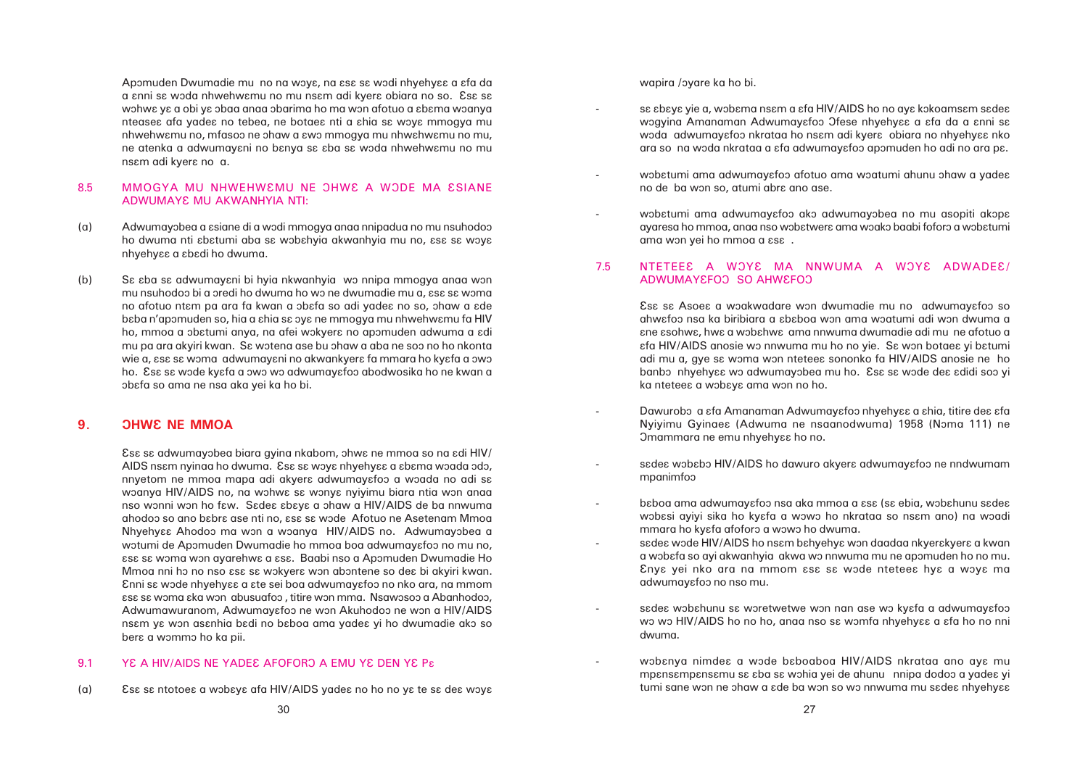Apomuden Dwumadie mu no na woya, na asa sa wodi nhyehyaa a afa da a anni sa woda nhwehwamu no mu nsam adi kyera obiara no so. Esa sa wohwa ya a obi ya obaa anaa obarima ho ma won afotuo a abama woanya nteasea afa yadea no tebea, ne botaea nti a ahia sa woya mmogya mu nhwehwamu no, mfasoo ne ohaw a awo mmogya mu nhwahwamu no mu, ne atenka a adwumayani no banya sa aba sa woda nhwehwamu no mu nsam adi kyera no a.

# 8.5 MMOGYA MU NHWEHWEMU NE OHWE A WODE MA ESIANE ADWUMAYE MU AKWANHYIA NTI:

sa abaya yie a, wobama nsam a afa HIV/AIDS ho no aya kokoamsam sadea wogyina Amanaman Adwumayafoo Ofese nhyehyaa a afa da a anni sa woda adwumayafoo nkrataa ho nsam adi kyera obiara no nhyehyaa nko ara so na woda nkrataa a  $\varepsilon$ fa adwumay $\varepsilon$ foo apomuden ho adi no ara p $\varepsilon$ .

wobatumi ama adwumayafoo afotuo ama woatumi ahunu ohaw a yadea

wobatumi ama adwumayafoo ako adwumayobea no mu asopiti akopa ayaresa ho mmoa, anaa nso wobatwera ama woako baabi foforo a wobatumi

Dawurobo a afa Amanaman Adwumayafoo nhyehyaa a ahia, titire dea afa Nyiyimu Gyinae $\epsilon$  (Adwuma ne nsaanodwuma) 1958 (Noma 111) ne

sadea wobabo HIV/AIDS ho dawuro akyera adwumayafoo ne nndwumam

baboa ama adwumayafoo nsa aka mmoa a asa (sa ebia, wobahunu sadea wobasi ayiyi sika ho kyafa a wowo ho nkrataa so nsam ano) na woadi

a wobafa so ayi akwanhyia akwa wo nnwuma mu ne apomuden ho no mu. Enya yei nko ara na mmom asa sa wode nteteea hya a woya ma

sadea wobahunu sa woretwetwe won nan ase wo kyafa a adwumayafoo wo wo HIV/AIDS ho no ho, anaa nso sa womfa nhyehyaa a afa ho no nni

wobanya nimdea a wode baboaboa HIV/AIDS nkrataa ano aya mu mpansampansamu sa aba sa wohia yei de ahunu nnipa dodoo a yadea yi tumi sane won ne ohaw a  $ad$ e ba won so wo nnwuma mu s $ad$ e nhyehy $\epsilon$ ε

- Omammara ne emu nhyehyaa ho no.
- mpanimfoô
- mmara ho kyefa afoforo a wowo ho dwuma. sadea wode HIV/AIDS ho nsam bahyehya won daadaa nkyerakyera a kwan adwumayafoo no nso mu.
- dwuma.
- 
- (a) Adwumayobea a asiane di a wodi mmogya anaa nnipadua no mu nsuhodoo ho dwuma nti sbɛtumi aba sɛ wɔbɛhyia akwanhyia mu no, ɛsɛ sɛ wɔyɛ nhyehyaa a abadi ho dwuma.
- (b) S $\epsilon$  *s*ba sa adwumayani bi hyia nkwanhyia wo nnipa mmogya anaa won mu nsuhodoo bi a oredi ho dwuma ho wo ne dwumadie mu a, εsε sε woma no afotuo ntam pa ara fa kwan a obafa so adi yadea no so, ohaw a ade baba n'apomuden so, hia a ahia sa oya ne mmogya mu nhwehwamu fa HIV ho, mmoa a obatumi anya, na afei wokyera no apomuden adwuma a adi mu pa ara akyiri kwan. Sa wotena ase bu ohaw a aba ne soo no ho nkonta wie a, εsε sε woma adwumayɛni no akwankyerɛ fa mmara ho kyɛfa a ɔwɔ ho. Esa sa wode kyafa a owo wo adwumayafoo abodwosika ho ne kwan a ôbâfa so ama ne nsa aka yei ka ho bi.

# **9. DHWE NE MMOA**

Esa sa adwumayobea biara gyina nkabom, ohwa ne mmoa so na adi HIV/ AIDS nsam nyinga ho dwuma. Esa sa woya nhyehyaa a abama woqda odo, nnyetom ne mmoa mapa adi akyera adwumayafoo a woada no adi sa woanya HIV/AIDS no, na wohwe sa wonya nyiyimu biara ntia won anaa nso wonni won ho fɛw. Sɛdeɛ ɛbɛyɛ a ɔhaw a HIV/AIDS de ba nnwuma ahodoo so ano babra ase nti no, asa sa wode Afotuo ne Asetenam Mmoa Nhyehyaa Ahodoo ma won a woanya HIV/AIDS no. Adwumayobea a wotumi de Apomuden Dwumadie ho mmoa boa adwumayafoo no mu no,  $\epsilon$ s $\epsilon$  s $\epsilon$  woma won ayarehw $\epsilon$  a  $\epsilon$ s $\epsilon$ . Baabi nso a Apomuden Dwumadie Ho Mmoa nni ho no nso  $\mathop{\mathrm{csc}}$  sa wokyera won abontene so dea bi akyiri kwan. Ânni sâ wôde nhyehyââ a âte sei boa adwumayâfoô no nko ara, na mmom  $\epsilon$ s $\epsilon$  s $\epsilon$  woma  $\epsilon$ ka won abusuafoo, titire won mma. Nsawosoo a Abanhodoo, Adwumawuranom, Adwumayafoo ne won Akuhodoo ne won a HIV/AIDS nsam ya won asanhia badi no baboa ama yadea yi ho dwumadie ako so bera a wommo ho ka pii.

# 9.1 YE A HIV/AIDS NE YADEE AFOFORO A EMU YE DEN YE Pa

(a) Essa sa ntotoea a wobaya afa HIV/AIDS yadea no ho no ya te sa dea woya

wapira /oyare ka ho bi.

- 
- no de ba won so, atumi abre ano ase.
- ama won yei ho mmoa a  $\text{c}$ sand a  $\text{c}$

# 7.5 NTETEE A WOYE MA NNWUMA A WOYE ADWADEE/ ADWUMAYEEOO SO AHWEFOO

Esa sa Asoea a woakwadare won dwumadie mu no adwumayafoo so ahwafoo nsa ka biribiara a ababoa won ama woatumi adi won dwuma a âne âsohwâ, hwâ a wôbâhwâ ama nnwuma dwumadie adi mu ne afotuo a  $\epsilon$ fa HIV/AIDS anosie wo nnwuma mu ho no yie. Sa won botaea yi batumi adi mu a, gye sa woma won nteteea sononko fa HIV/AIDS anosie ne ho banbo nhyehyaa wo adwumayobea mu ho. Esa sa wode dea adidi soo yi ka nteteea a wobaya ama won no ho.